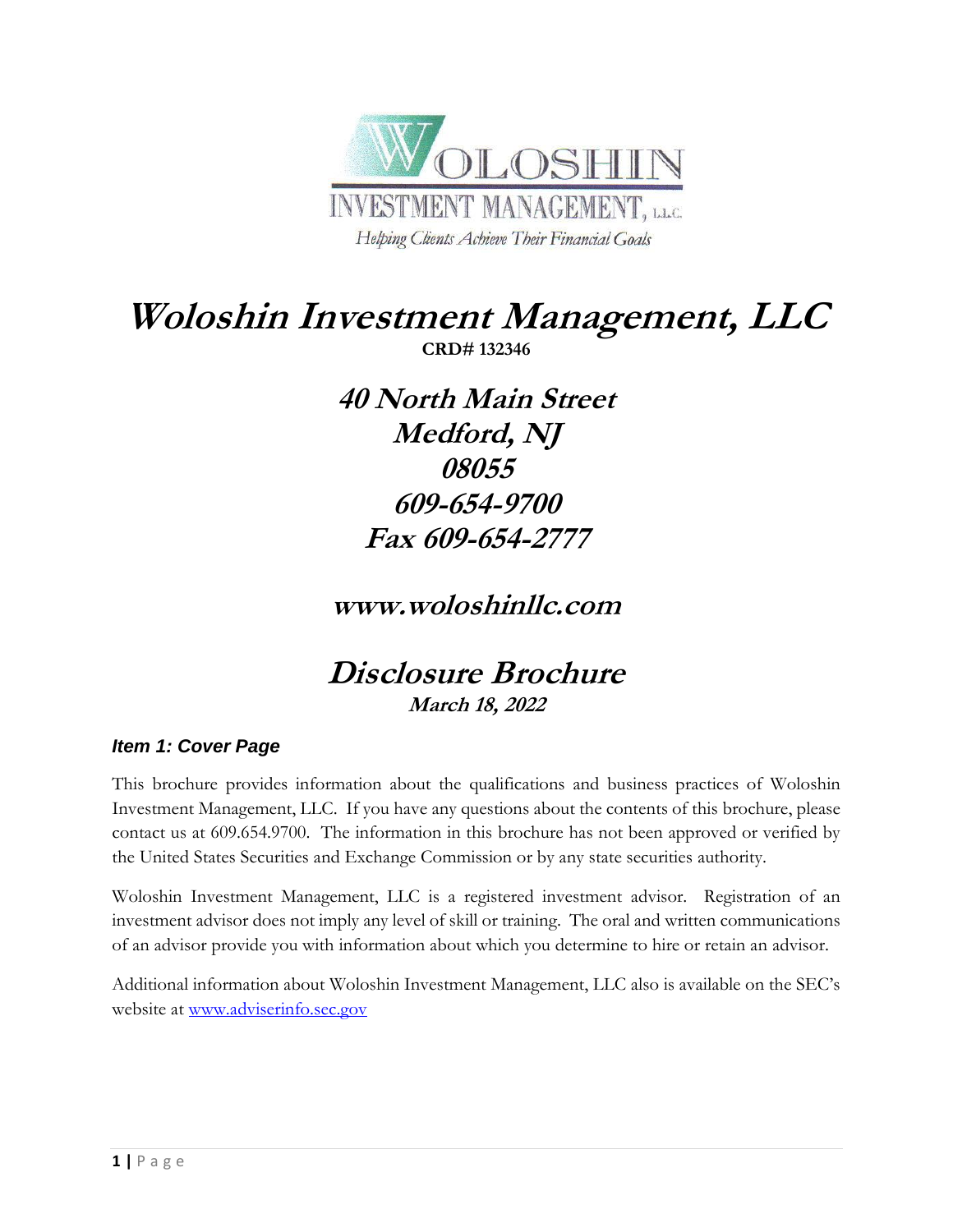

## **Woloshin Investment Management, LLC CRD# 132346**

**40 North Main Street Medford, NJ 08055 609-654-9700 Fax 609-654-2777**

## **www.woloshinllc.com**

## **Disclosure Brochure March 18, 2022**

## *Item 1: Cover Page*

This brochure provides information about the qualifications and business practices of Woloshin Investment Management, LLC. If you have any questions about the contents of this brochure, please contact us at 609.654.9700. The information in this brochure has not been approved or verified by the United States Securities and Exchange Commission or by any state securities authority.

Woloshin Investment Management, LLC is a registered investment advisor. Registration of an investment advisor does not imply any level of skill or training. The oral and written communications of an advisor provide you with information about which you determine to hire or retain an advisor.

Additional information about Woloshin Investment Management, LLC also is available on the SEC's website at [www.adviserinfo.sec.gov](http://www.adviserinfo.sec.gov/)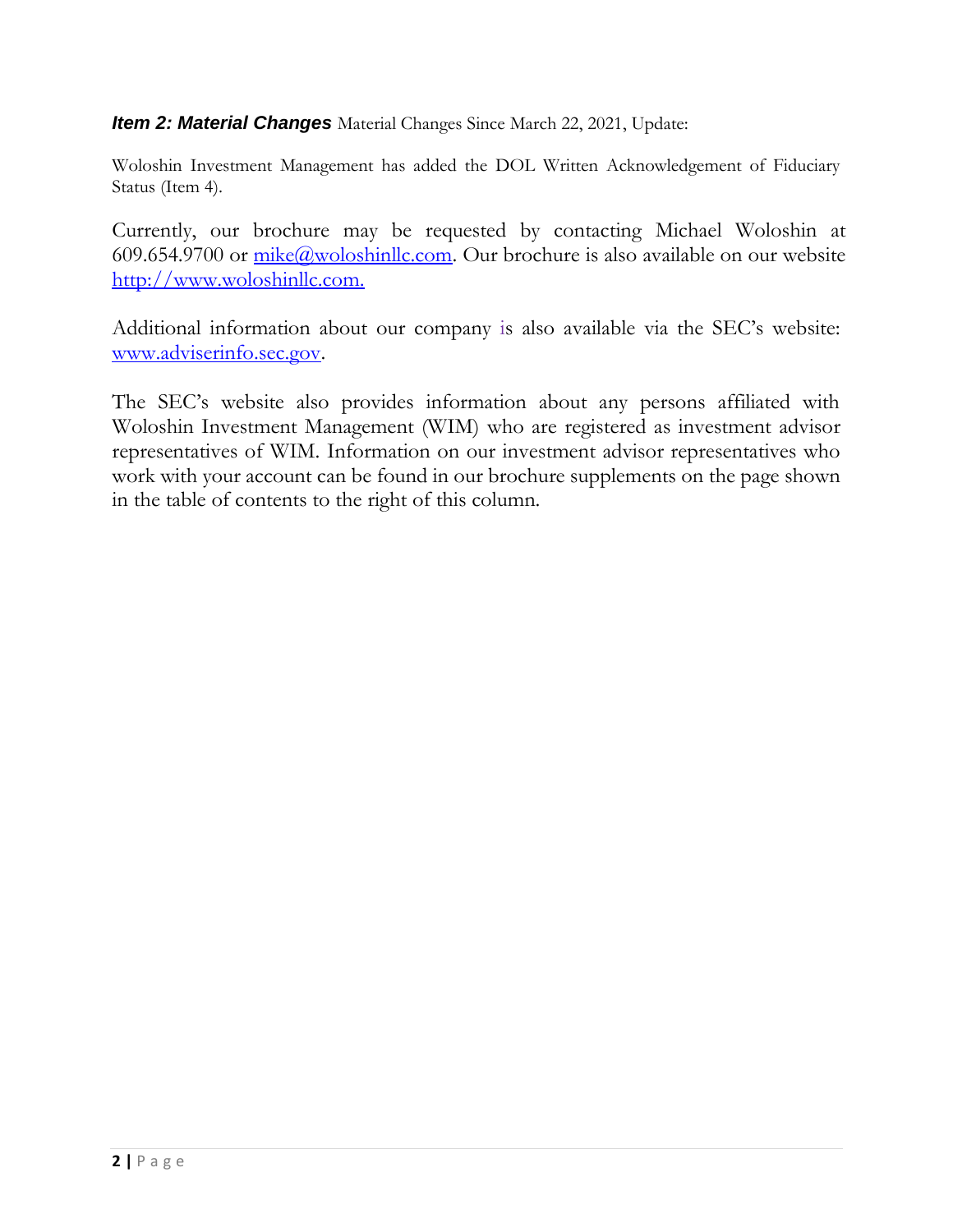*Item 2: Material Changes* Material Changes Since March 22, 2021, Update:

Woloshin Investment Management has added the DOL Written Acknowledgement of Fiduciary Status (Item 4).

Currently, our brochure may be requested by contacting Michael Woloshin at 609.654.9700 or  $mike@$ woloshinllc.com. Our brochure is also available on our website [http://www.woloshinllc.com.](http://www.woloshinllc.com/)

Additional information about our company is also available via the SEC's website: [www.adviserinfo.sec.gov.](http://www.adviserinfo.sec.gov/)

The SEC's website also provides information about any persons affiliated with Woloshin Investment Management (WIM) who are registered as investment advisor representatives of WIM. Information on our investment advisor representatives who work with your account can be found in our brochure supplements on the page shown in the table of contents to the right of this column.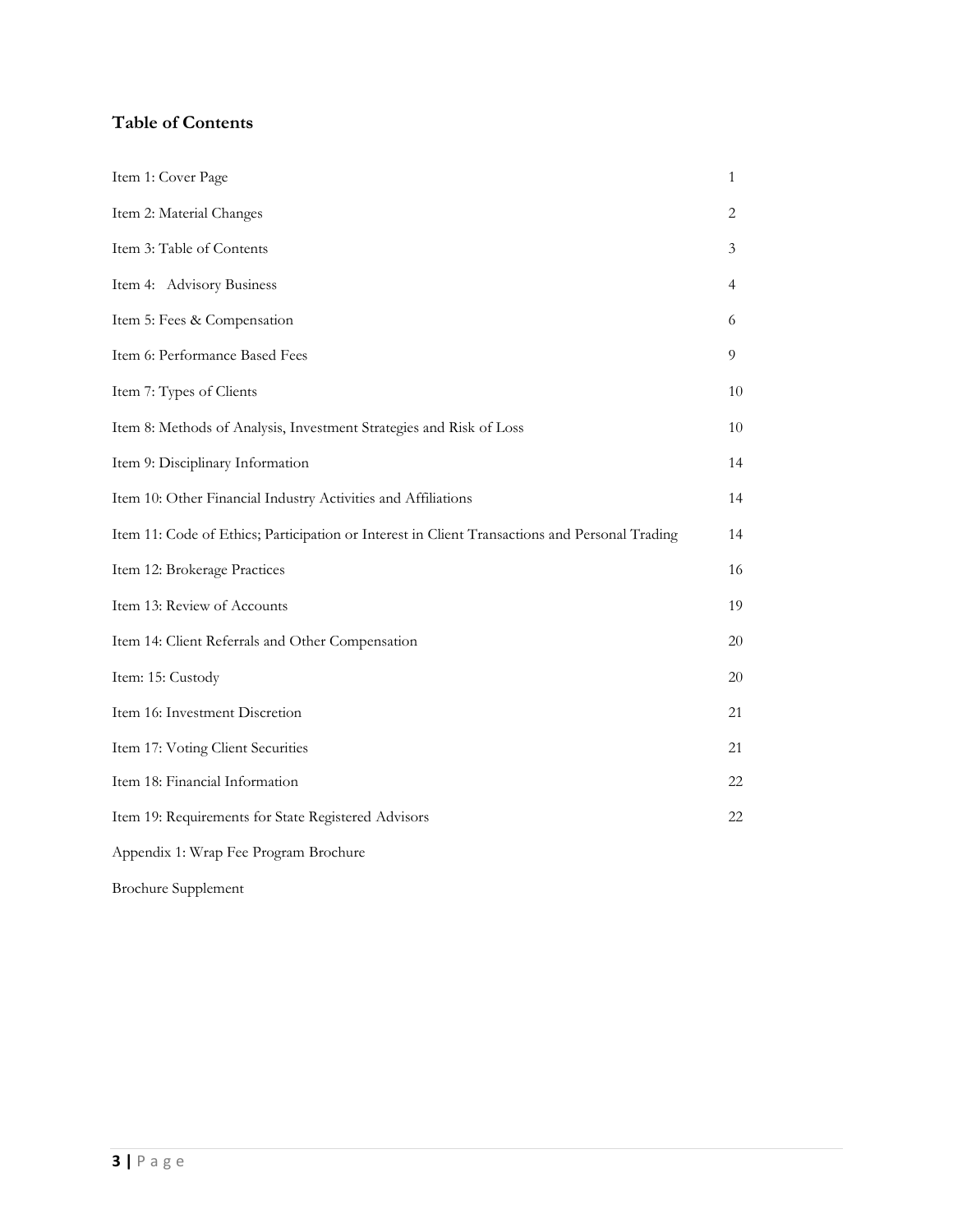## **Table of Contents**

| Item 1: Cover Page                                                                             | $\mathbf{1}$ |
|------------------------------------------------------------------------------------------------|--------------|
| Item 2: Material Changes                                                                       | 2            |
| Item 3: Table of Contents                                                                      | 3            |
| Item 4: Advisory Business                                                                      | 4            |
| Item 5: Fees & Compensation                                                                    | 6            |
| Item 6: Performance Based Fees                                                                 | 9            |
| Item 7: Types of Clients                                                                       | 10           |
| Item 8: Methods of Analysis, Investment Strategies and Risk of Loss                            | 10           |
| Item 9: Disciplinary Information                                                               | 14           |
| Item 10: Other Financial Industry Activities and Affiliations                                  | 14           |
| Item 11: Code of Ethics; Participation or Interest in Client Transactions and Personal Trading | 14           |
| Item 12: Brokerage Practices                                                                   | 16           |
| Item 13: Review of Accounts                                                                    | 19           |
| Item 14: Client Referrals and Other Compensation                                               | 20           |
| Item: 15: Custody                                                                              | 20           |
| Item 16: Investment Discretion                                                                 | 21           |
| Item 17: Voting Client Securities                                                              | 21           |
| Item 18: Financial Information                                                                 | 22           |
| Item 19: Requirements for State Registered Advisors                                            | 22           |
| Appendix 1: Wrap Fee Program Brochure                                                          |              |

Brochure Supplement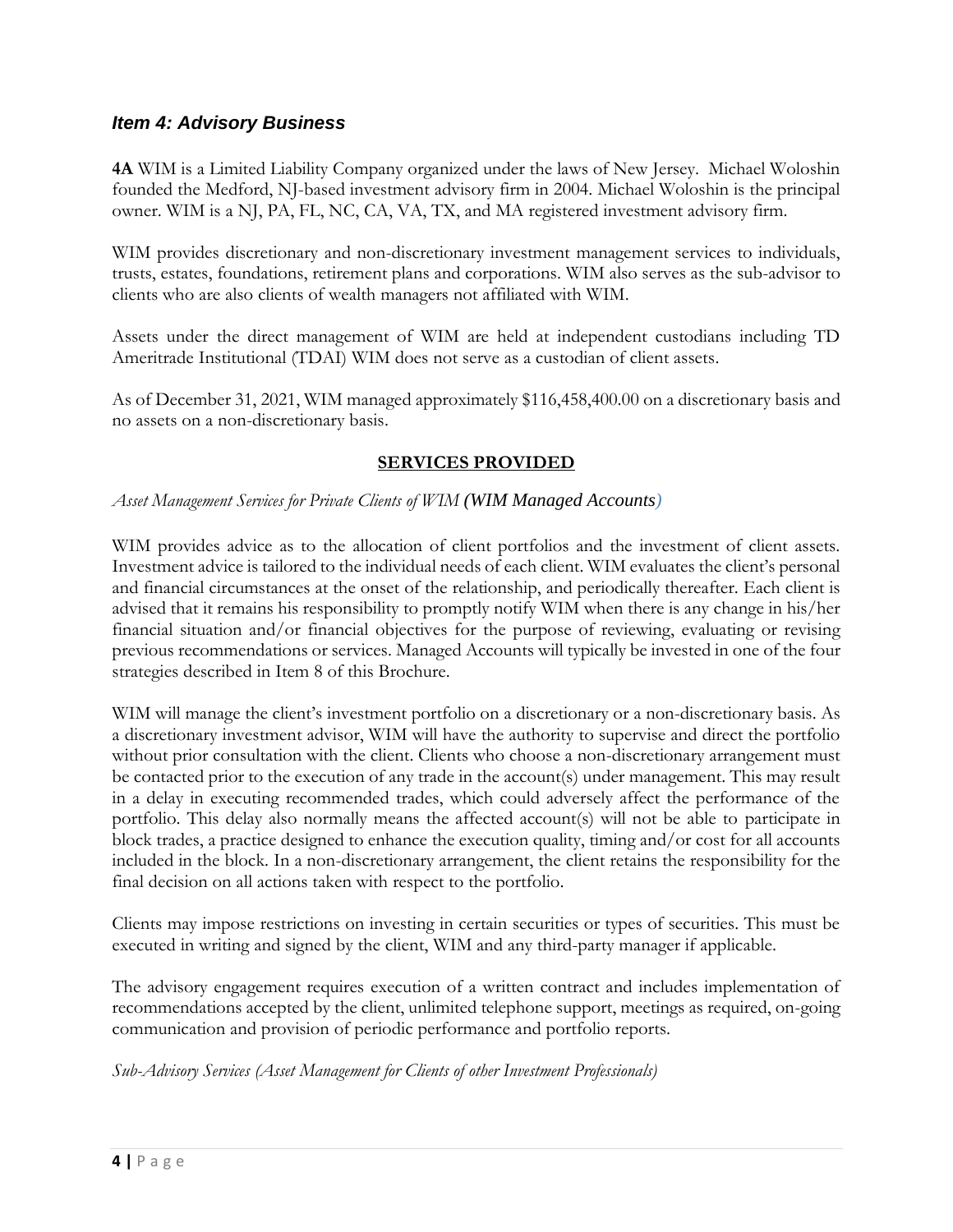## *Item 4: Advisory Business*

**4A** WIM is a Limited Liability Company organized under the laws of New Jersey. Michael Woloshin founded the Medford, NJ-based investment advisory firm in 2004. Michael Woloshin is the principal owner. WIM is a NJ, PA, FL, NC, CA, VA, TX, and MA registered investment advisory firm.

WIM provides discretionary and non-discretionary investment management services to individuals, trusts, estates, foundations, retirement plans and corporations. WIM also serves as the sub-advisor to clients who are also clients of wealth managers not affiliated with WIM.

Assets under the direct management of WIM are held at independent custodians including TD Ameritrade Institutional (TDAI) WIM does not serve as a custodian of client assets.

As of December 31, 2021, WIM managed approximately \$116,458,400.00 on a discretionary basis and no assets on a non-discretionary basis.

## **SERVICES PROVIDED**

*Asset Management Services for Private Clients of WIM (WIM Managed Accounts)*

WIM provides advice as to the allocation of client portfolios and the investment of client assets. Investment advice is tailored to the individual needs of each client. WIM evaluates the client's personal and financial circumstances at the onset of the relationship, and periodically thereafter. Each client is advised that it remains his responsibility to promptly notify WIM when there is any change in his/her financial situation and/or financial objectives for the purpose of reviewing, evaluating or revising previous recommendations or services. Managed Accounts will typically be invested in one of the four strategies described in Item 8 of this Brochure.

WIM will manage the client's investment portfolio on a discretionary or a non-discretionary basis. As a discretionary investment advisor, WIM will have the authority to supervise and direct the portfolio without prior consultation with the client. Clients who choose a non-discretionary arrangement must be contacted prior to the execution of any trade in the account(s) under management. This may result in a delay in executing recommended trades, which could adversely affect the performance of the portfolio. This delay also normally means the affected account(s) will not be able to participate in block trades, a practice designed to enhance the execution quality, timing and/or cost for all accounts included in the block. In a non-discretionary arrangement, the client retains the responsibility for the final decision on all actions taken with respect to the portfolio.

Clients may impose restrictions on investing in certain securities or types of securities. This must be executed in writing and signed by the client, WIM and any third-party manager if applicable.

The advisory engagement requires execution of a written contract and includes implementation of recommendations accepted by the client, unlimited telephone support, meetings as required, on-going communication and provision of periodic performance and portfolio reports.

*Sub-Advisory Services (Asset Management for Clients of other Investment Professionals)*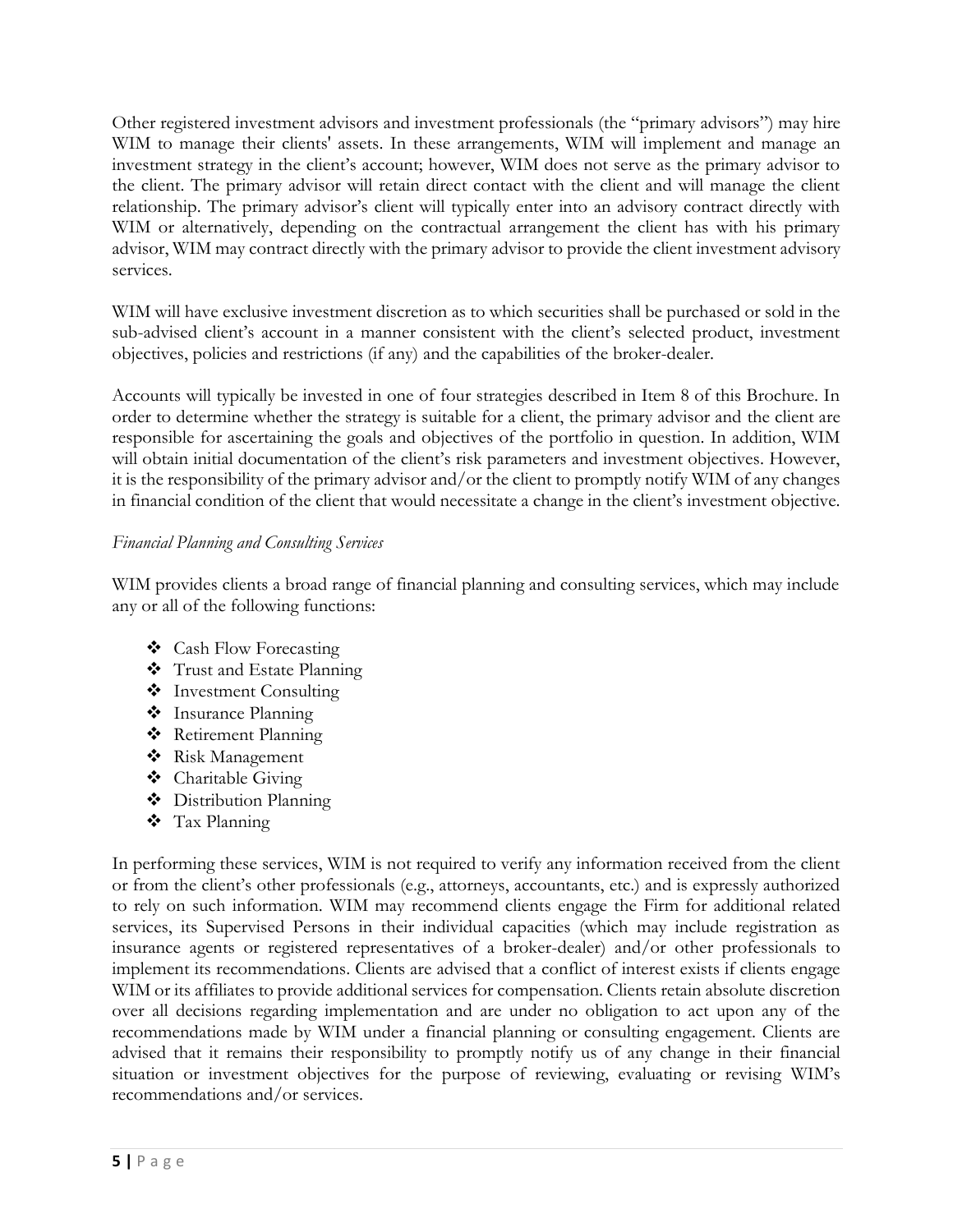Other registered investment advisors and investment professionals (the "primary advisors") may hire WIM to manage their clients' assets. In these arrangements, WIM will implement and manage an investment strategy in the client's account; however, WIM does not serve as the primary advisor to the client. The primary advisor will retain direct contact with the client and will manage the client relationship. The primary advisor's client will typically enter into an advisory contract directly with WIM or alternatively, depending on the contractual arrangement the client has with his primary advisor, WIM may contract directly with the primary advisor to provide the client investment advisory services.

WIM will have exclusive investment discretion as to which securities shall be purchased or sold in the sub-advised client's account in a manner consistent with the client's selected product, investment objectives, policies and restrictions (if any) and the capabilities of the broker-dealer.

Accounts will typically be invested in one of four strategies described in Item 8 of this Brochure. In order to determine whether the strategy is suitable for a client, the primary advisor and the client are responsible for ascertaining the goals and objectives of the portfolio in question. In addition, WIM will obtain initial documentation of the client's risk parameters and investment objectives. However, it is the responsibility of the primary advisor and/or the client to promptly notify WIM of any changes in financial condition of the client that would necessitate a change in the client's investment objective.

## *Financial Planning and Consulting Services*

WIM provides clients a broad range of financial planning and consulting services, which may include any or all of the following functions:

- ❖ Cash Flow Forecasting
- ❖ Trust and Estate Planning
- ❖ Investment Consulting
- ❖ Insurance Planning
- ❖ Retirement Planning
- ❖ Risk Management
- ❖ Charitable Giving
- ❖ Distribution Planning
- ❖ Tax Planning

In performing these services, WIM is not required to verify any information received from the client or from the client's other professionals (e.g., attorneys, accountants, etc.) and is expressly authorized to rely on such information. WIM may recommend clients engage the Firm for additional related services, its Supervised Persons in their individual capacities (which may include registration as insurance agents or registered representatives of a broker-dealer) and/or other professionals to implement its recommendations. Clients are advised that a conflict of interest exists if clients engage WIM or its affiliates to provide additional services for compensation. Clients retain absolute discretion over all decisions regarding implementation and are under no obligation to act upon any of the recommendations made by WIM under a financial planning or consulting engagement. Clients are advised that it remains their responsibility to promptly notify us of any change in their financial situation or investment objectives for the purpose of reviewing, evaluating or revising WIM's recommendations and/or services.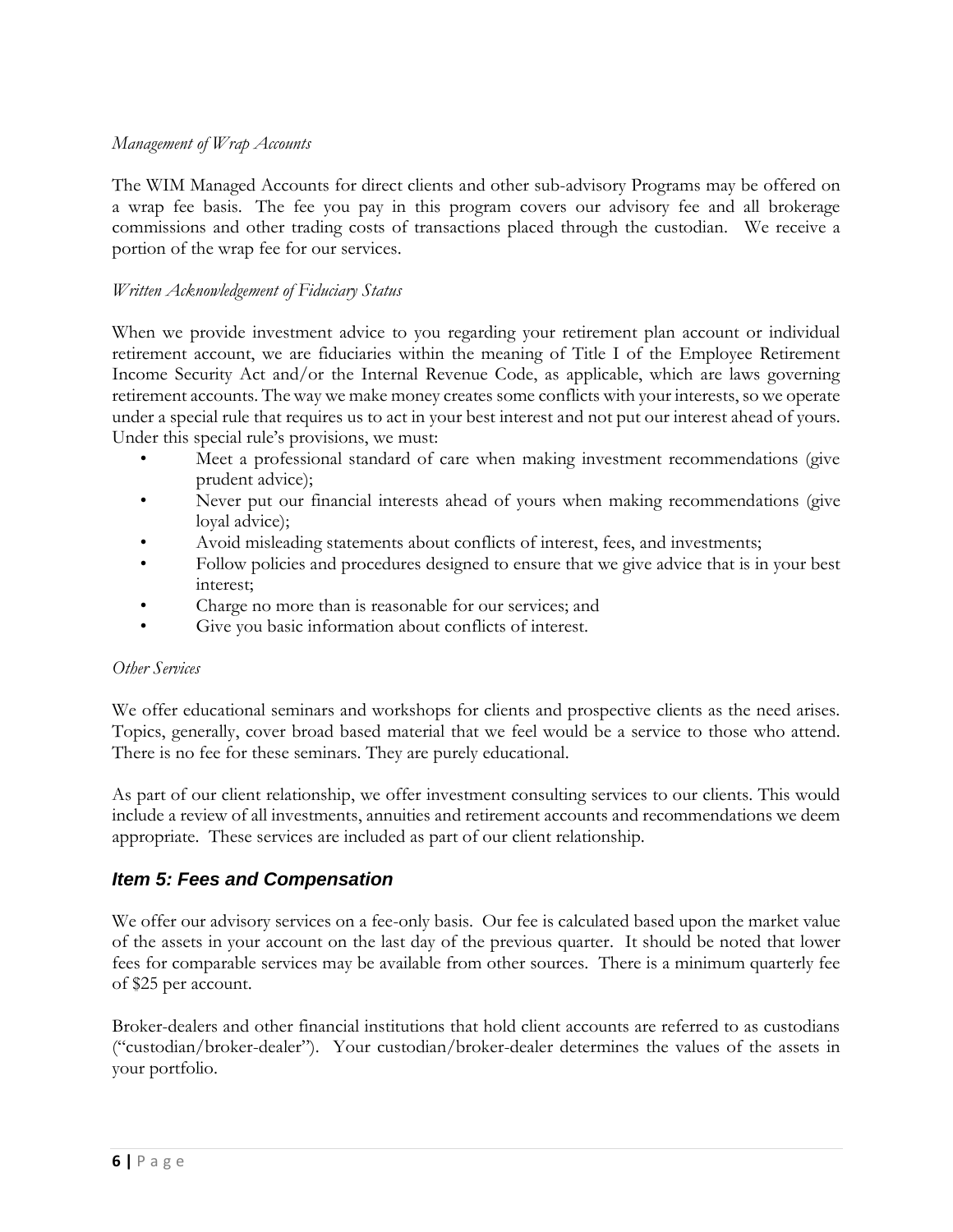#### *Management of Wrap Accounts*

The WIM Managed Accounts for direct clients and other sub-advisory Programs may be offered on a wrap fee basis. The fee you pay in this program covers our advisory fee and all brokerage commissions and other trading costs of transactions placed through the custodian. We receive a portion of the wrap fee for our services.

#### *Written Acknowledgement of Fiduciary Status*

When we provide investment advice to you regarding your retirement plan account or individual retirement account, we are fiduciaries within the meaning of Title I of the Employee Retirement Income Security Act and/or the Internal Revenue Code, as applicable, which are laws governing retirement accounts. The way we make money creates some conflicts with your interests, so we operate under a special rule that requires us to act in your best interest and not put our interest ahead of yours. Under this special rule's provisions, we must:

- Meet a professional standard of care when making investment recommendations (give prudent advice);
- Never put our financial interests ahead of yours when making recommendations (give loyal advice);
- Avoid misleading statements about conflicts of interest, fees, and investments;
- Follow policies and procedures designed to ensure that we give advice that is in your best interest;
- Charge no more than is reasonable for our services; and
- Give you basic information about conflicts of interest.

#### *Other Services*

We offer educational seminars and workshops for clients and prospective clients as the need arises. Topics, generally, cover broad based material that we feel would be a service to those who attend. There is no fee for these seminars. They are purely educational.

As part of our client relationship, we offer investment consulting services to our clients. This would include a review of all investments, annuities and retirement accounts and recommendations we deem appropriate. These services are included as part of our client relationship.

## *Item 5: Fees and Compensation*

We offer our advisory services on a fee-only basis. Our fee is calculated based upon the market value of the assets in your account on the last day of the previous quarter. It should be noted that lower fees for comparable services may be available from other sources. There is a minimum quarterly fee of \$25 per account.

Broker-dealers and other financial institutions that hold client accounts are referred to as custodians ("custodian/broker-dealer"). Your custodian/broker-dealer determines the values of the assets in your portfolio.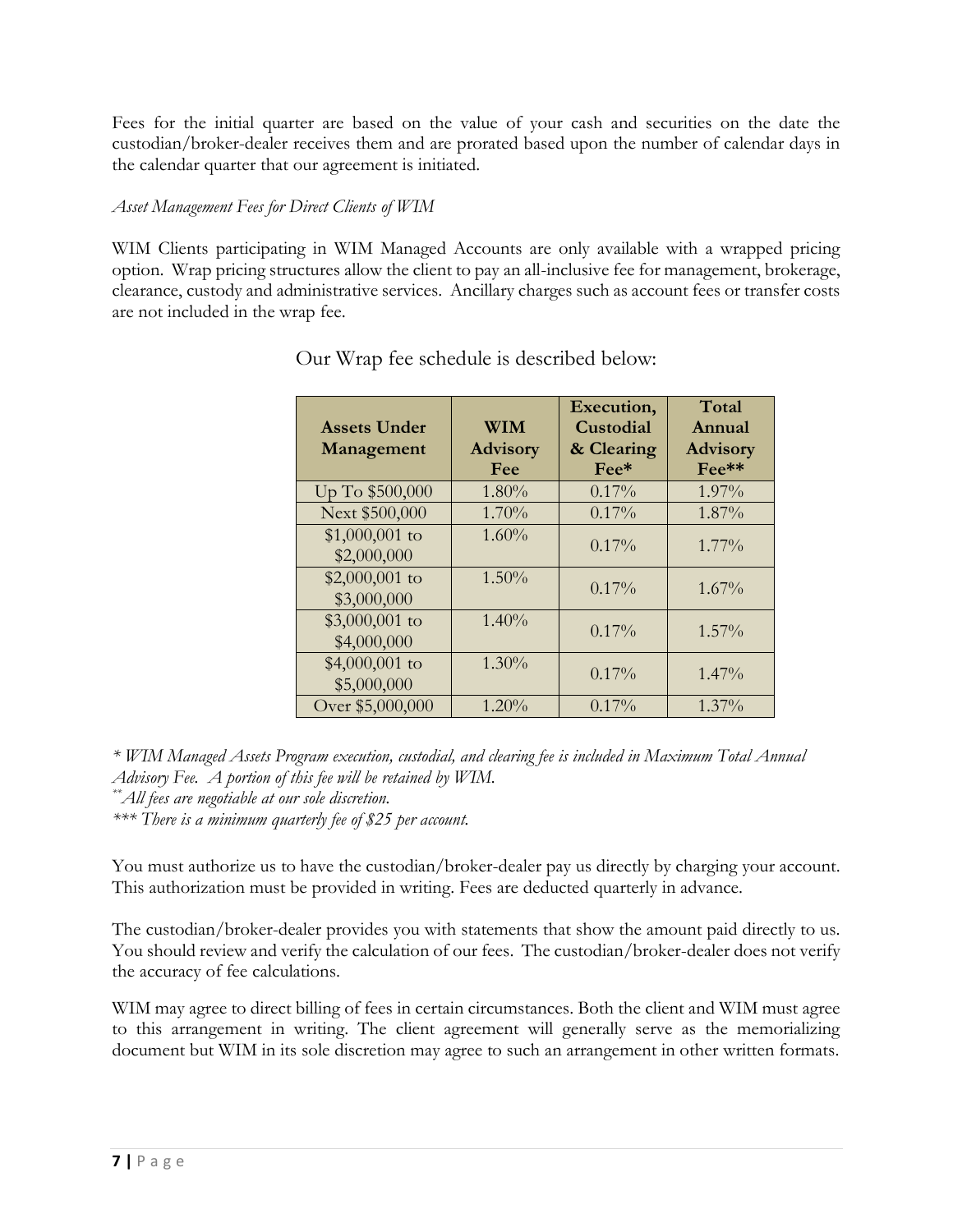Fees for the initial quarter are based on the value of your cash and securities on the date the custodian/broker-dealer receives them and are prorated based upon the number of calendar days in the calendar quarter that our agreement is initiated.

### *Asset Management Fees for Direct Clients of WIM*

WIM Clients participating in WIM Managed Accounts are only available with a wrapped pricing option. Wrap pricing structures allow the client to pay an all-inclusive fee for management, brokerage, clearance, custody and administrative services. Ancillary charges such as account fees or transfer costs are not included in the wrap fee.

| <b>Assets Under</b><br>Management | <b>WIM</b><br><b>Advisory</b><br>Fee | Execution,<br><b>Custodial</b><br>& Clearing<br>Fee* | Total<br>Annual<br><b>Advisory</b><br>Fee** |
|-----------------------------------|--------------------------------------|------------------------------------------------------|---------------------------------------------|
| Up To \$500,000                   | 1.80%                                | 0.17%                                                | 1.97%                                       |
| Next \$500,000                    | 1.70%                                | 0.17%                                                | 1.87%                                       |
| $$1,000,001$ to<br>\$2,000,000    | 1.60%                                | $0.17\%$                                             | $1.77\%$                                    |
| $$2,000,001$ to<br>\$3,000,000    | $1.50\%$                             | $0.17\%$                                             | $1.67\%$                                    |
| $$3,000,001$ to<br>\$4,000,000    | 1.40%                                | $0.17\%$                                             | $1.57\%$                                    |
| \$4,000,001 to<br>\$5,000,000     | $1.30\%$                             | 0.17%                                                | $1.47\%$                                    |
| Over \$5,000,000                  | $1.20\%$                             | 0.17%                                                | $1.37\%$                                    |

## Our Wrap fee schedule is described below:

*\* WIM Managed Assets Program execution, custodial, and clearing fee is included in Maximum Total Annual Advisory Fee. A portion of this fee will be retained by WIM.* 

*\*\*\* There is a minimum quarterly fee of \$25 per account.*

You must authorize us to have the custodian/broker-dealer pay us directly by charging your account. This authorization must be provided in writing. Fees are deducted quarterly in advance.

The custodian/broker-dealer provides you with statements that show the amount paid directly to us. You should review and verify the calculation of our fees. The custodian/broker-dealer does not verify the accuracy of fee calculations.

WIM may agree to direct billing of fees in certain circumstances. Both the client and WIM must agree to this arrangement in writing. The client agreement will generally serve as the memorializing document but WIM in its sole discretion may agree to such an arrangement in other written formats.

*<sup>\*\*</sup>All fees are negotiable at our sole discretion.*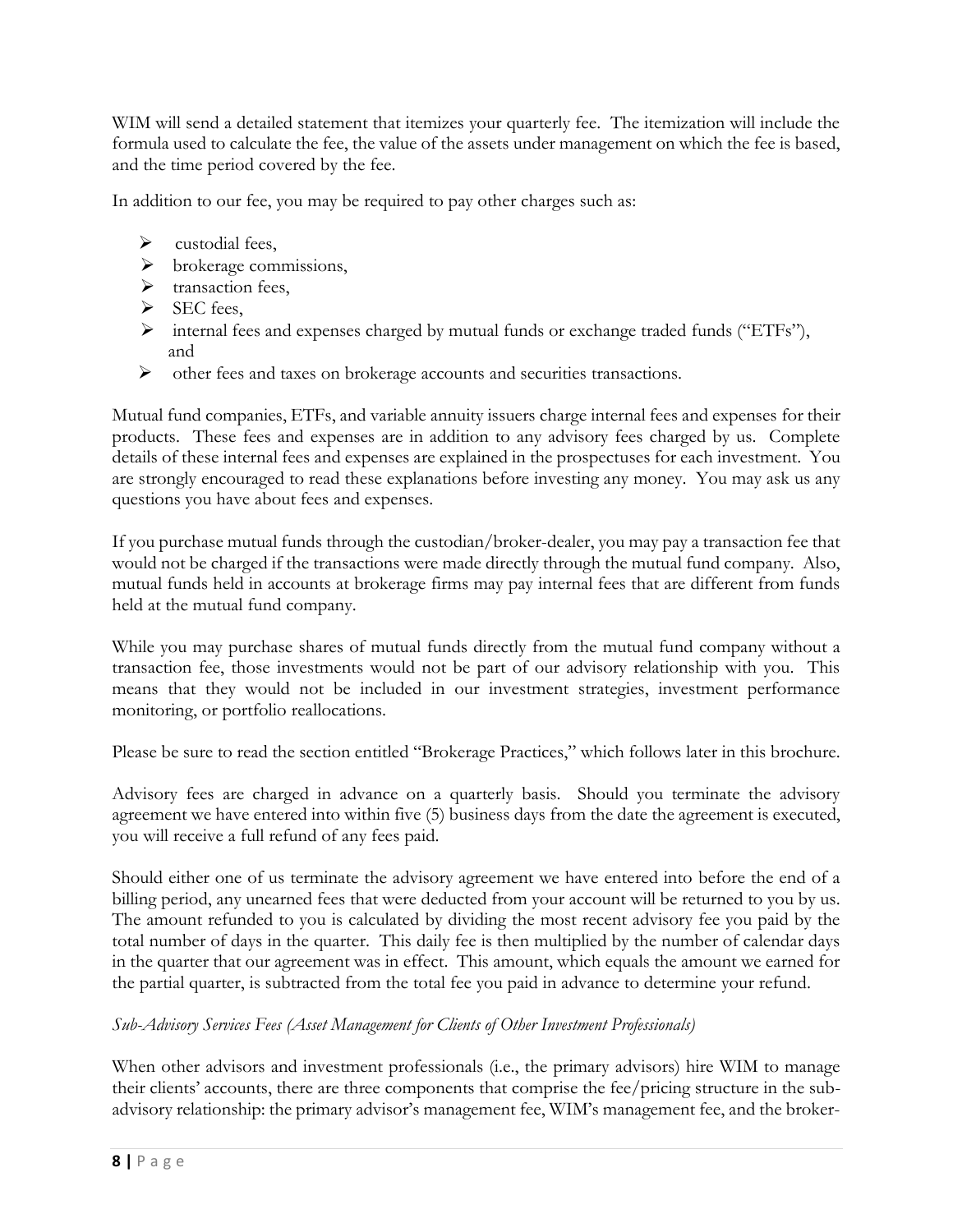WIM will send a detailed statement that itemizes your quarterly fee. The itemization will include the formula used to calculate the fee, the value of the assets under management on which the fee is based, and the time period covered by the fee.

In addition to our fee, you may be required to pay other charges such as:

- $\triangleright$  custodial fees.
- ➢ brokerage commissions,
- ➢ transaction fees,
- ➢ SEC fees,
- ➢ internal fees and expenses charged by mutual funds or exchange traded funds ("ETFs"), and
- ➢ other fees and taxes on brokerage accounts and securities transactions.

Mutual fund companies, ETFs, and variable annuity issuers charge internal fees and expenses for their products. These fees and expenses are in addition to any advisory fees charged by us. Complete details of these internal fees and expenses are explained in the prospectuses for each investment. You are strongly encouraged to read these explanations before investing any money. You may ask us any questions you have about fees and expenses.

If you purchase mutual funds through the custodian/broker-dealer, you may pay a transaction fee that would not be charged if the transactions were made directly through the mutual fund company. Also, mutual funds held in accounts at brokerage firms may pay internal fees that are different from funds held at the mutual fund company.

While you may purchase shares of mutual funds directly from the mutual fund company without a transaction fee, those investments would not be part of our advisory relationship with you. This means that they would not be included in our investment strategies, investment performance monitoring, or portfolio reallocations.

Please be sure to read the section entitled "Brokerage Practices," which follows later in this brochure.

Advisory fees are charged in advance on a quarterly basis. Should you terminate the advisory agreement we have entered into within five (5) business days from the date the agreement is executed, you will receive a full refund of any fees paid.

Should either one of us terminate the advisory agreement we have entered into before the end of a billing period, any unearned fees that were deducted from your account will be returned to you by us. The amount refunded to you is calculated by dividing the most recent advisory fee you paid by the total number of days in the quarter. This daily fee is then multiplied by the number of calendar days in the quarter that our agreement was in effect. This amount, which equals the amount we earned for the partial quarter, is subtracted from the total fee you paid in advance to determine your refund.

## *Sub-Advisory Services Fees (Asset Management for Clients of Other Investment Professionals)*

When other advisors and investment professionals (i.e., the primary advisors) hire WIM to manage their clients' accounts, there are three components that comprise the fee/pricing structure in the subadvisory relationship: the primary advisor's management fee, WIM's management fee, and the broker-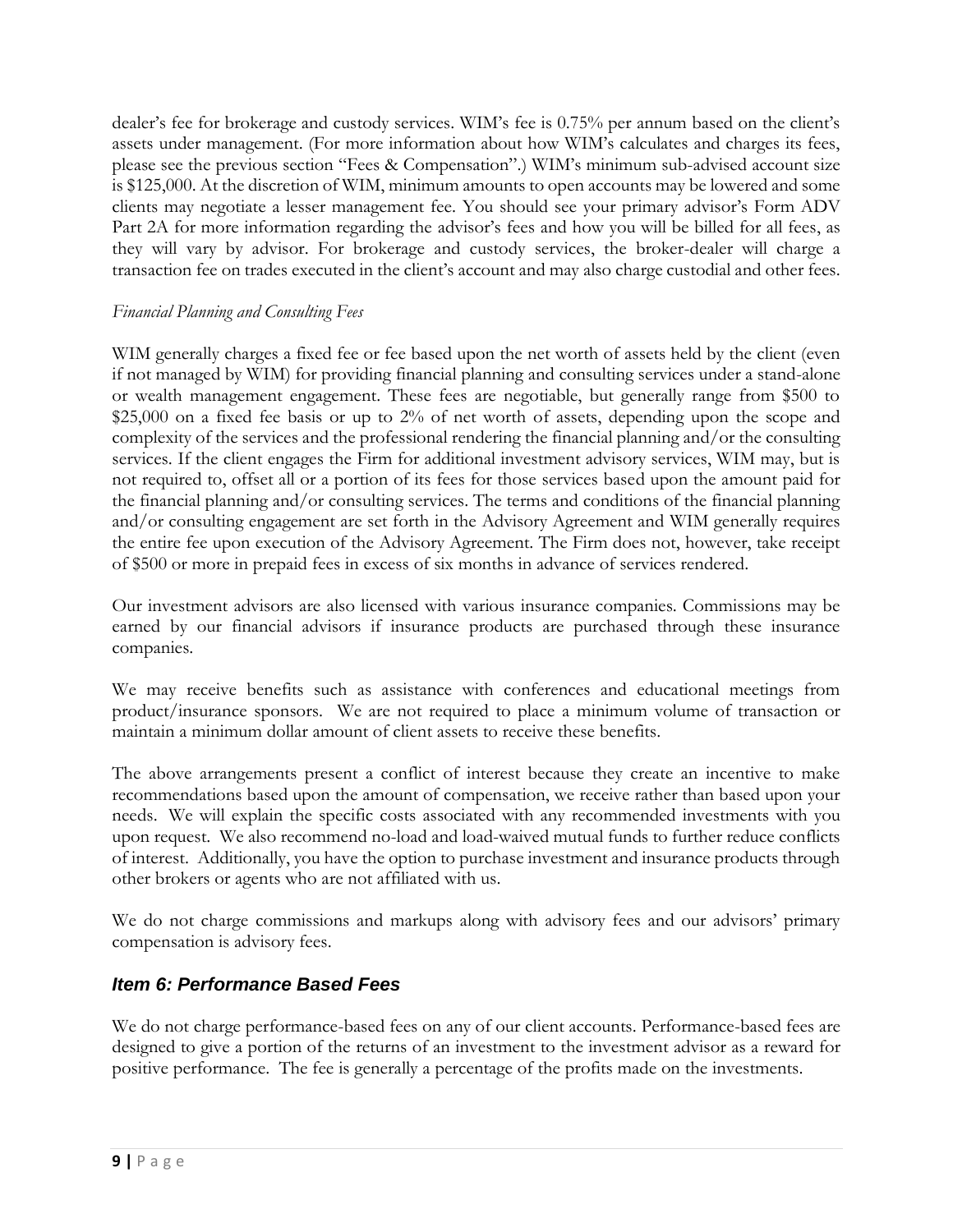dealer's fee for brokerage and custody services. WIM's fee is 0.75% per annum based on the client's assets under management. (For more information about how WIM's calculates and charges its fees, please see the previous section "Fees & Compensation".) WIM's minimum sub-advised account size is \$125,000. At the discretion of WIM, minimum amounts to open accounts may be lowered and some clients may negotiate a lesser management fee. You should see your primary advisor's Form ADV Part 2A for more information regarding the advisor's fees and how you will be billed for all fees, as they will vary by advisor. For brokerage and custody services, the broker-dealer will charge a transaction fee on trades executed in the client's account and may also charge custodial and other fees.

### *Financial Planning and Consulting Fees*

WIM generally charges a fixed fee or fee based upon the net worth of assets held by the client (even if not managed by WIM) for providing financial planning and consulting services under a stand-alone or wealth management engagement. These fees are negotiable, but generally range from \$500 to \$25,000 on a fixed fee basis or up to 2% of net worth of assets, depending upon the scope and complexity of the services and the professional rendering the financial planning and/or the consulting services. If the client engages the Firm for additional investment advisory services, WIM may, but is not required to, offset all or a portion of its fees for those services based upon the amount paid for the financial planning and/or consulting services. The terms and conditions of the financial planning and/or consulting engagement are set forth in the Advisory Agreement and WIM generally requires the entire fee upon execution of the Advisory Agreement. The Firm does not, however, take receipt of \$500 or more in prepaid fees in excess of six months in advance of services rendered.

Our investment advisors are also licensed with various insurance companies. Commissions may be earned by our financial advisors if insurance products are purchased through these insurance companies.

We may receive benefits such as assistance with conferences and educational meetings from product/insurance sponsors. We are not required to place a minimum volume of transaction or maintain a minimum dollar amount of client assets to receive these benefits.

The above arrangements present a conflict of interest because they create an incentive to make recommendations based upon the amount of compensation, we receive rather than based upon your needs. We will explain the specific costs associated with any recommended investments with you upon request. We also recommend no-load and load-waived mutual funds to further reduce conflicts of interest. Additionally, you have the option to purchase investment and insurance products through other brokers or agents who are not affiliated with us.

We do not charge commissions and markups along with advisory fees and our advisors' primary compensation is advisory fees.

## *Item 6: Performance Based Fees*

We do not charge performance-based fees on any of our client accounts. Performance-based fees are designed to give a portion of the [returns](http://www.investorwords.com/4244/return.html) of an [investment](http://www.investorwords.com/2599/investment.html) to the investment [advisor](http://www.investorwords.com/2937/manager.html) as a [reward](http://www.businessdictionary.com/definition/reward.html) for [positive](http://www.investorwords.com/10659/positive.html) [performance.](http://www.investorwords.com/3665/performance.html) The fee is generally a [percentage](http://www.businessdictionary.com/definition/percentage.html) of the [profits](http://www.investorwords.com/3880/profit.html) made [on](http://www.investorwords.com/9376/cut_down_on.html) the investments.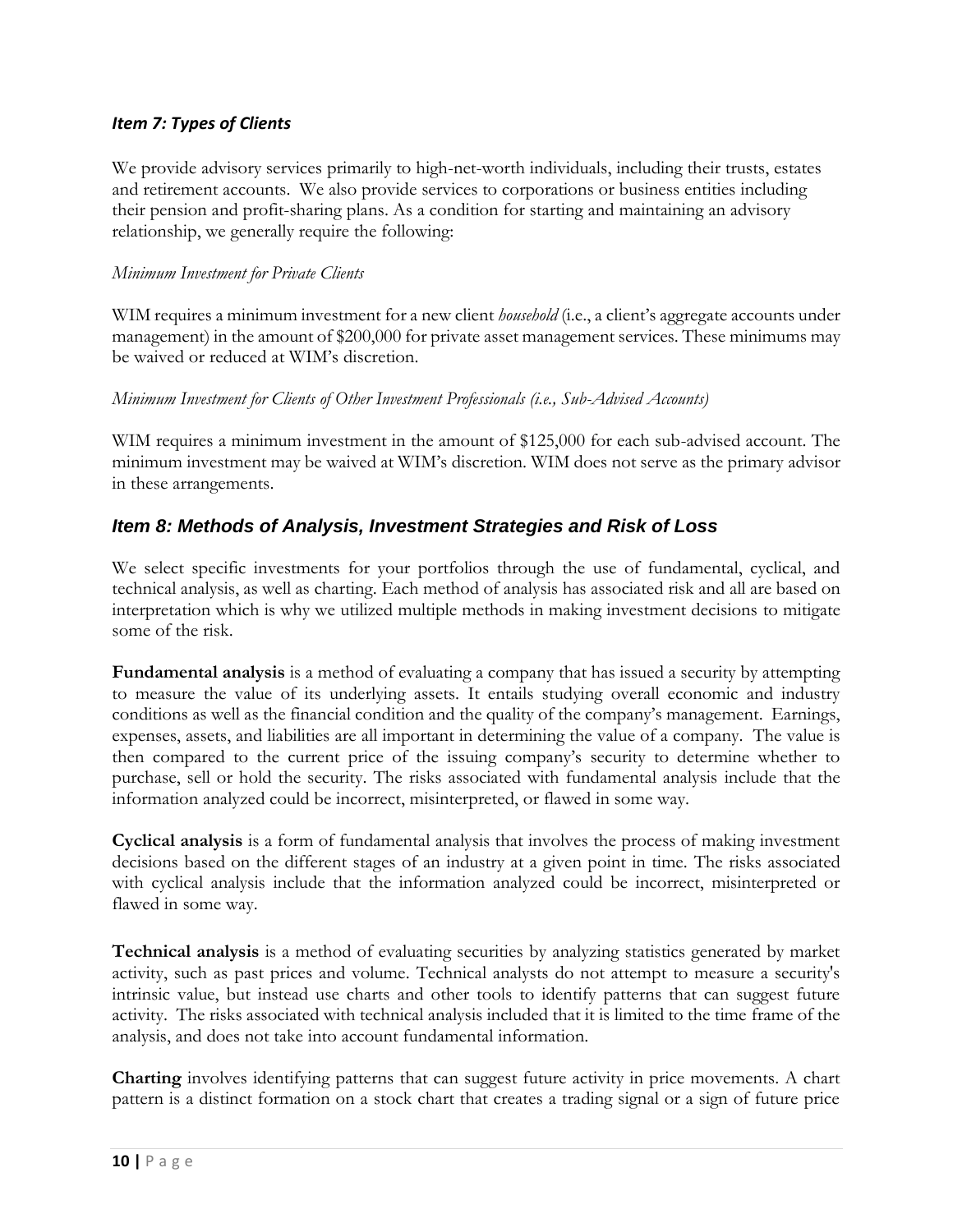### *Item 7: Types of Clients*

We provide advisory services primarily to high-net-worth individuals, including their trusts, estates and retirement accounts. We also provide services to corporations or business entities including their pension and profit-sharing plans. As a condition for starting and maintaining an advisory relationship, we generally require the following:

#### *Minimum Investment for Private Clients*

WIM requires a minimum investment for a new client *household* (i.e., a client's aggregate accounts under management) in the amount of \$200,000 for private asset management services. These minimums may be waived or reduced at WIM's discretion.

#### *Minimum Investment for Clients of Other Investment Professionals (i.e., Sub-Advised Accounts)*

WIM requires a minimum investment in the amount of \$125,000 for each sub-advised account. The minimum investment may be waived at WIM's discretion. WIM does not serve as the primary advisor in these arrangements.

## *Item 8: Methods of Analysis, Investment Strategies and Risk of Loss*

We select specific investments for your portfolios through the use of fundamental, cyclical, and technical analysis, as well as charting. Each method of analysis has associated risk and all are based on interpretation which is why we utilized multiple methods in making investment decisions to mitigate some of the risk.

**Fundamental analysis** is a method of evaluating a company that has issued a security by attempting to measure the value of its underlying assets. It entails studying overall economic and industry conditions as well as the financial condition and the quality of the company's management. Earnings, expenses, assets, and liabilities are all important in determining the value of a company. The value is then compared to the current price of the issuing company's security to determine whether to purchase, sell or hold the security. The risks associated with fundamental analysis include that the information analyzed could be incorrect, misinterpreted, or flawed in some way.

**Cyclical analysis** is a form of fundamental analysis that involves the process of making investment decisions based on the different stages of an industry at a given point in time. The risks associated with cyclical analysis include that the information analyzed could be incorrect, misinterpreted or flawed in some way.

**Technical analysis** is a method of evaluating securities by analyzing statistics generated by market activity, such as past prices and volume. Technical analysts do not attempt to measure a security's intrinsic value, but instead use charts and other tools to identify patterns that can suggest future activity. The risks associated with technical analysis included that it is limited to the time frame of the analysis, and does not take into account fundamental information.

**Charting** involves identifying patterns that can suggest future activity in price movements. A chart pattern is a distinct formation on a stock chart that creates a trading signal or a sign of future price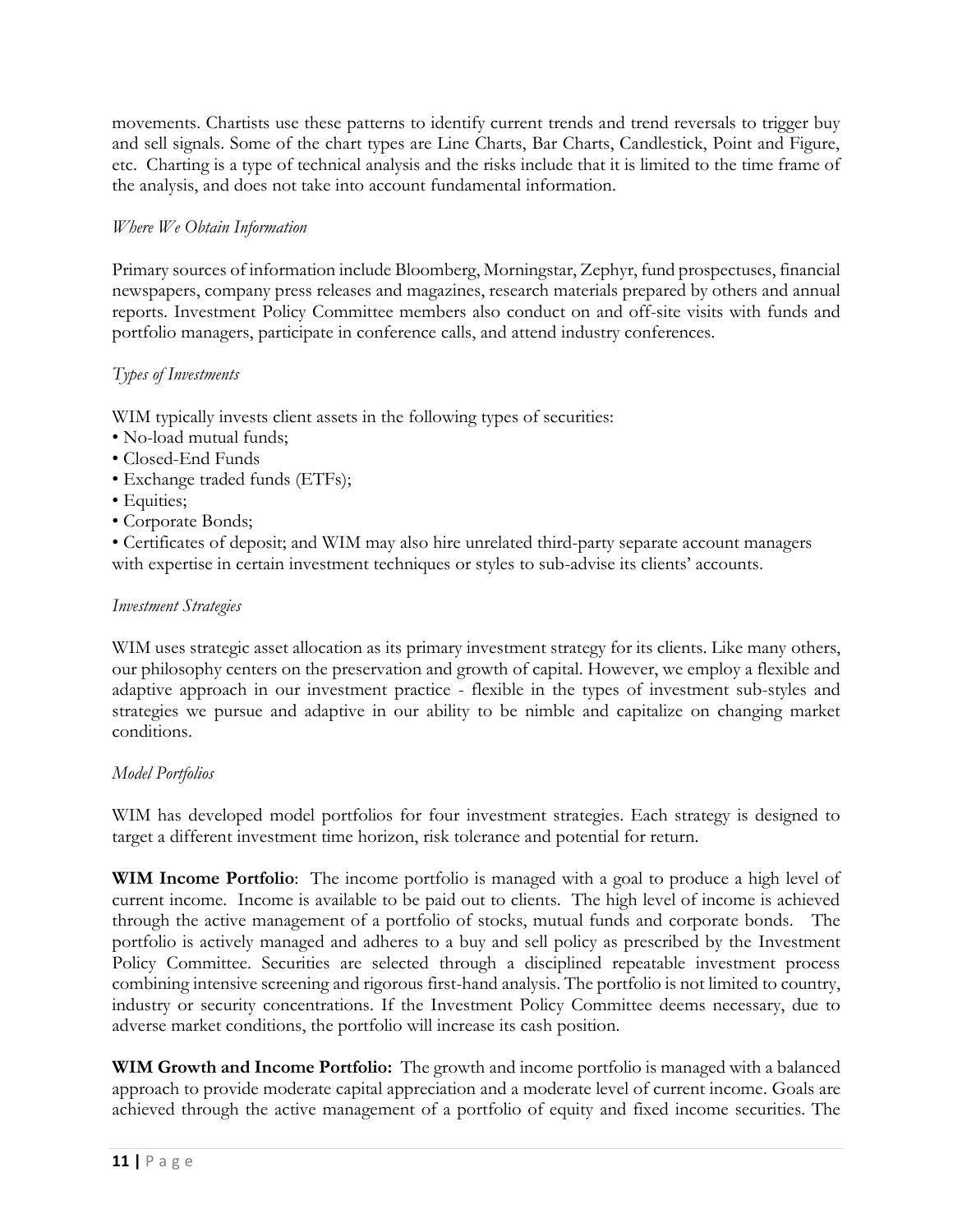movements. Chartists use these patterns to identify current trends and trend reversals to trigger buy and sell signals. Some of the chart types are Line Charts, Bar Charts, Candlestick, Point and Figure, etc. Charting is a type of technical analysis and the risks include that it is limited to the time frame of the analysis, and does not take into account fundamental information.

### *Where We Obtain Information*

Primary sources of information include Bloomberg, Morningstar, Zephyr, fund prospectuses, financial newspapers, company press releases and magazines, research materials prepared by others and annual reports. Investment Policy Committee members also conduct on and off-site visits with funds and portfolio managers, participate in conference calls, and attend industry conferences.

### *Types of Investments*

WIM typically invests client assets in the following types of securities:

- No-load mutual funds;
- Closed-End Funds
- Exchange traded funds (ETFs);
- Equities;
- Corporate Bonds;

• Certificates of deposit; and WIM may also hire unrelated third-party separate account managers with expertise in certain investment techniques or styles to sub-advise its clients' accounts.

#### *Investment Strategies*

WIM uses strategic asset allocation as its primary investment strategy for its clients. Like many others, our philosophy centers on the preservation and growth of capital. However, we employ a flexible and adaptive approach in our investment practice - flexible in the types of investment sub-styles and strategies we pursue and adaptive in our ability to be nimble and capitalize on changing market conditions.

#### *Model Portfolios*

WIM has developed model portfolios for four investment strategies. Each strategy is designed to target a different investment time horizon, risk tolerance and potential for return.

**WIM Income Portfolio**: The income portfolio is managed with a goal to produce a high level of current income. Income is available to be paid out to clients. The high level of income is achieved through the active management of a portfolio of stocks, mutual funds and corporate bonds. The portfolio is actively managed and adheres to a buy and sell policy as prescribed by the Investment Policy Committee. Securities are selected through a disciplined repeatable investment process combining intensive screening and rigorous first-hand analysis. The portfolio is not limited to country, industry or security concentrations. If the Investment Policy Committee deems necessary, due to adverse market conditions, the portfolio will increase its cash position.

**WIM Growth and Income Portfolio:** The growth and income portfolio is managed with a balanced approach to provide moderate capital appreciation and a moderate level of current income. Goals are achieved through the active management of a portfolio of equity and fixed income securities. The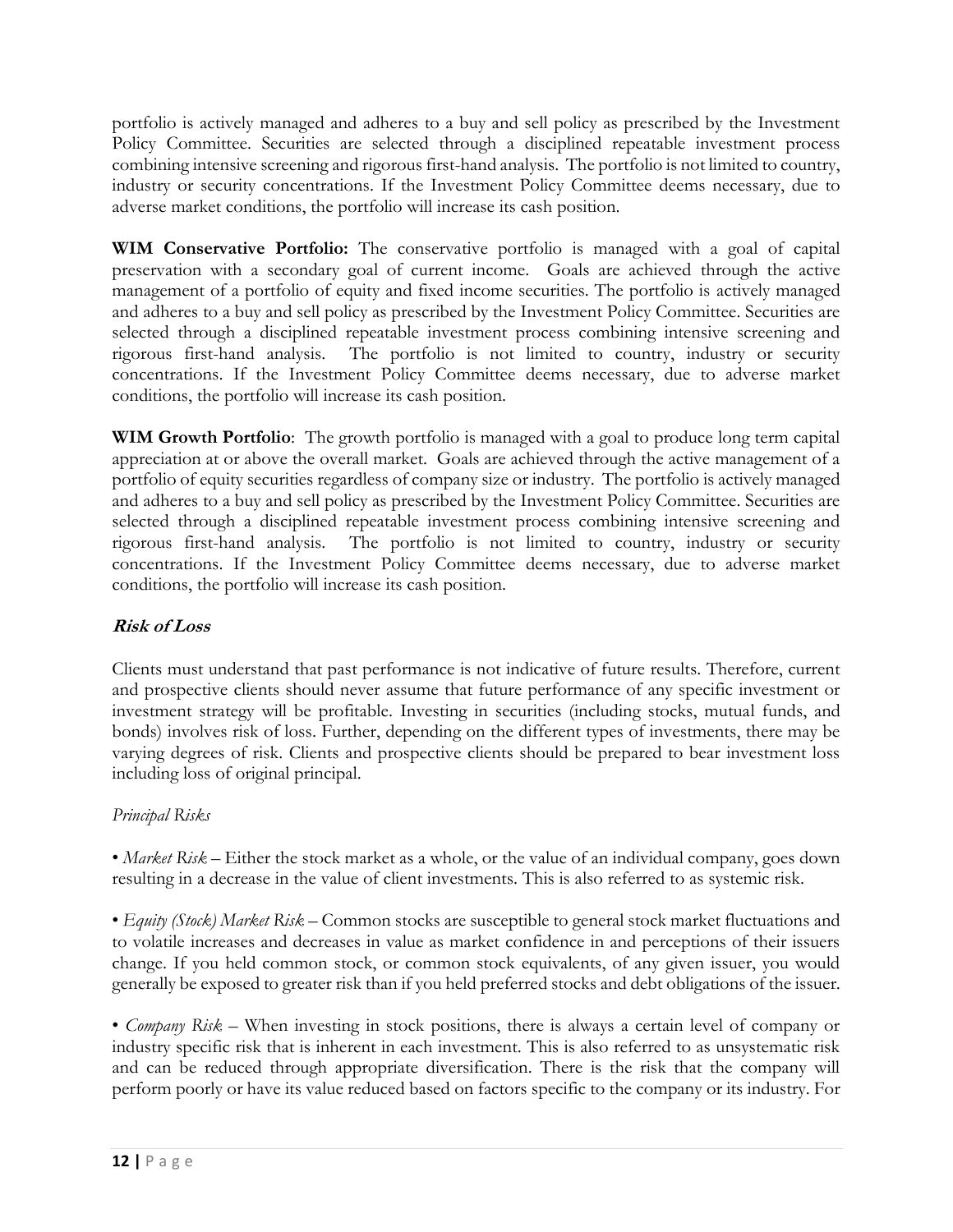portfolio is actively managed and adheres to a buy and sell policy as prescribed by the Investment Policy Committee. Securities are selected through a disciplined repeatable investment process combining intensive screening and rigorous first-hand analysis. The portfolio is not limited to country, industry or security concentrations. If the Investment Policy Committee deems necessary, due to adverse market conditions, the portfolio will increase its cash position.

**WIM Conservative Portfolio:** The conservative portfolio is managed with a goal of capital preservation with a secondary goal of current income. Goals are achieved through the active management of a portfolio of equity and fixed income securities. The portfolio is actively managed and adheres to a buy and sell policy as prescribed by the Investment Policy Committee. Securities are selected through a disciplined repeatable investment process combining intensive screening and rigorous first-hand analysis. The portfolio is not limited to country, industry or security concentrations. If the Investment Policy Committee deems necessary, due to adverse market conditions, the portfolio will increase its cash position.

**WIM Growth Portfolio**: The growth portfolio is managed with a goal to produce long term capital appreciation at or above the overall market. Goals are achieved through the active management of a portfolio of equity securities regardless of company size or industry. The portfolio is actively managed and adheres to a buy and sell policy as prescribed by the Investment Policy Committee. Securities are selected through a disciplined repeatable investment process combining intensive screening and rigorous first-hand analysis. The portfolio is not limited to country, industry or security concentrations. If the Investment Policy Committee deems necessary, due to adverse market conditions, the portfolio will increase its cash position.

## **Risk of Loss**

Clients must understand that past performance is not indicative of future results. Therefore, current and prospective clients should never assume that future performance of any specific investment or investment strategy will be profitable. Investing in securities (including stocks, mutual funds, and bonds) involves risk of loss. Further, depending on the different types of investments, there may be varying degrees of risk. Clients and prospective clients should be prepared to bear investment loss including loss of original principal.

## *Principal Risks*

• *Market Risk* – Either the stock market as a whole, or the value of an individual company, goes down resulting in a decrease in the value of client investments. This is also referred to as systemic risk.

• *Equity (Stock) Market Risk* – Common stocks are susceptible to general stock market fluctuations and to volatile increases and decreases in value as market confidence in and perceptions of their issuers change. If you held common stock, or common stock equivalents, of any given issuer, you would generally be exposed to greater risk than if you held preferred stocks and debt obligations of the issuer.

• *Company Risk* – When investing in stock positions, there is always a certain level of company or industry specific risk that is inherent in each investment. This is also referred to as unsystematic risk and can be reduced through appropriate diversification. There is the risk that the company will perform poorly or have its value reduced based on factors specific to the company or its industry. For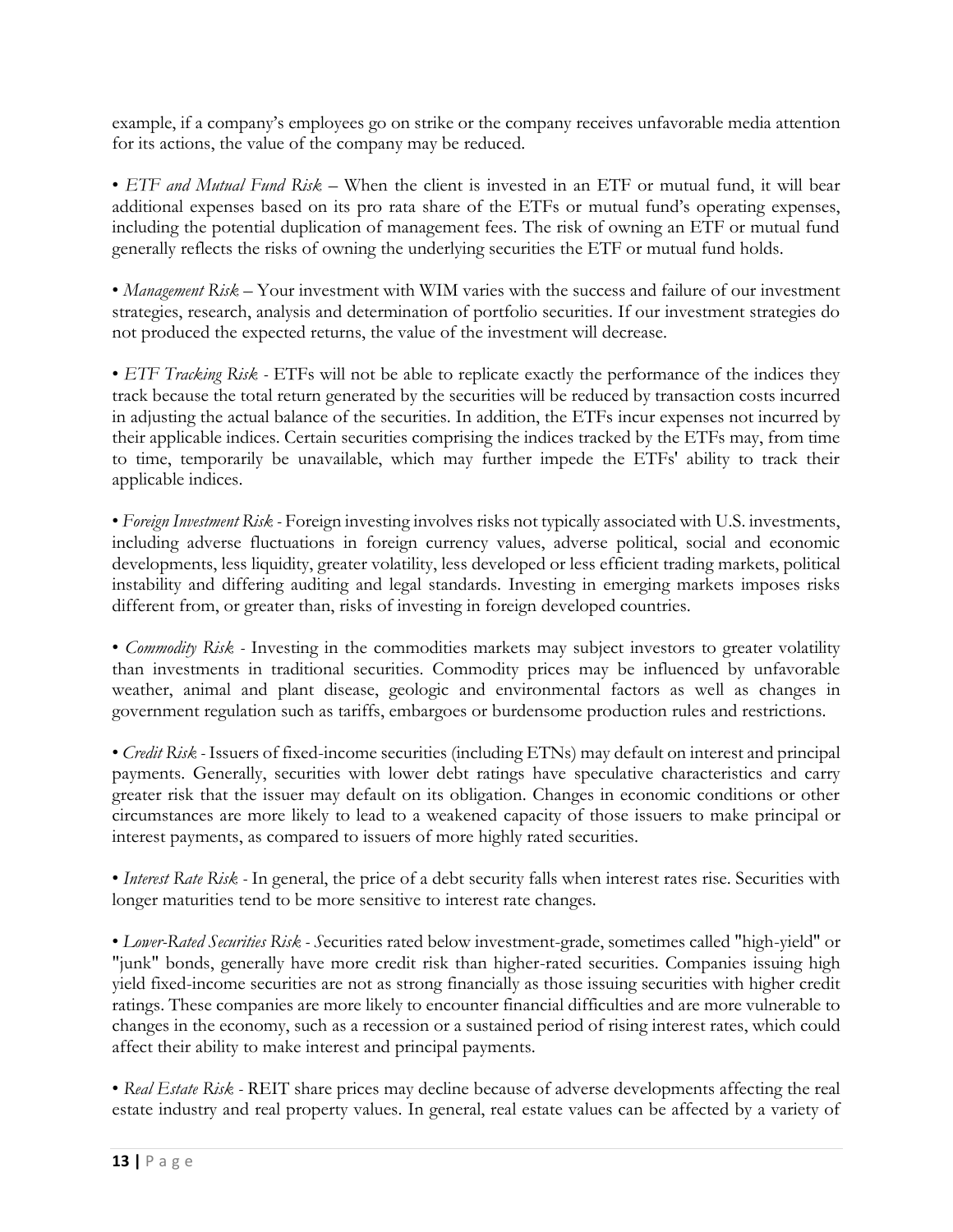example, if a company's employees go on strike or the company receives unfavorable media attention for its actions, the value of the company may be reduced.

• *ETF and Mutual Fund Risk* – When the client is invested in an ETF or mutual fund, it will bear additional expenses based on its pro rata share of the ETFs or mutual fund's operating expenses, including the potential duplication of management fees. The risk of owning an ETF or mutual fund generally reflects the risks of owning the underlying securities the ETF or mutual fund holds.

• *Management Risk* – Your investment with WIM varies with the success and failure of our investment strategies, research, analysis and determination of portfolio securities. If our investment strategies do not produced the expected returns, the value of the investment will decrease.

• *ETF Tracking Risk -* ETFs will not be able to replicate exactly the performance of the indices they track because the total return generated by the securities will be reduced by transaction costs incurred in adjusting the actual balance of the securities. In addition, the ETFs incur expenses not incurred by their applicable indices. Certain securities comprising the indices tracked by the ETFs may, from time to time, temporarily be unavailable, which may further impede the ETFs' ability to track their applicable indices.

• *Foreign Investment Risk -* Foreign investing involves risks not typically associated with U.S. investments, including adverse fluctuations in foreign currency values, adverse political, social and economic developments, less liquidity, greater volatility, less developed or less efficient trading markets, political instability and differing auditing and legal standards. Investing in emerging markets imposes risks different from, or greater than, risks of investing in foreign developed countries.

• *Commodity Risk -* Investing in the commodities markets may subject investors to greater volatility than investments in traditional securities. Commodity prices may be influenced by unfavorable weather, animal and plant disease, geologic and environmental factors as well as changes in government regulation such as tariffs, embargoes or burdensome production rules and restrictions.

• *Credit Risk -* Issuers of fixed-income securities (including ETNs) may default on interest and principal payments. Generally, securities with lower debt ratings have speculative characteristics and carry greater risk that the issuer may default on its obligation. Changes in economic conditions or other circumstances are more likely to lead to a weakened capacity of those issuers to make principal or interest payments, as compared to issuers of more highly rated securities.

• *Interest Rate Risk -* In general, the price of a debt security falls when interest rates rise. Securities with longer maturities tend to be more sensitive to interest rate changes.

• *Lower-Rated Securities Risk - S*ecurities rated below investment-grade, sometimes called "high-yield" or "junk" bonds, generally have more credit risk than higher-rated securities. Companies issuing high yield fixed-income securities are not as strong financially as those issuing securities with higher credit ratings. These companies are more likely to encounter financial difficulties and are more vulnerable to changes in the economy, such as a recession or a sustained period of rising interest rates, which could affect their ability to make interest and principal payments.

• *Real Estate Risk -* REIT share prices may decline because of adverse developments affecting the real estate industry and real property values. In general, real estate values can be affected by a variety of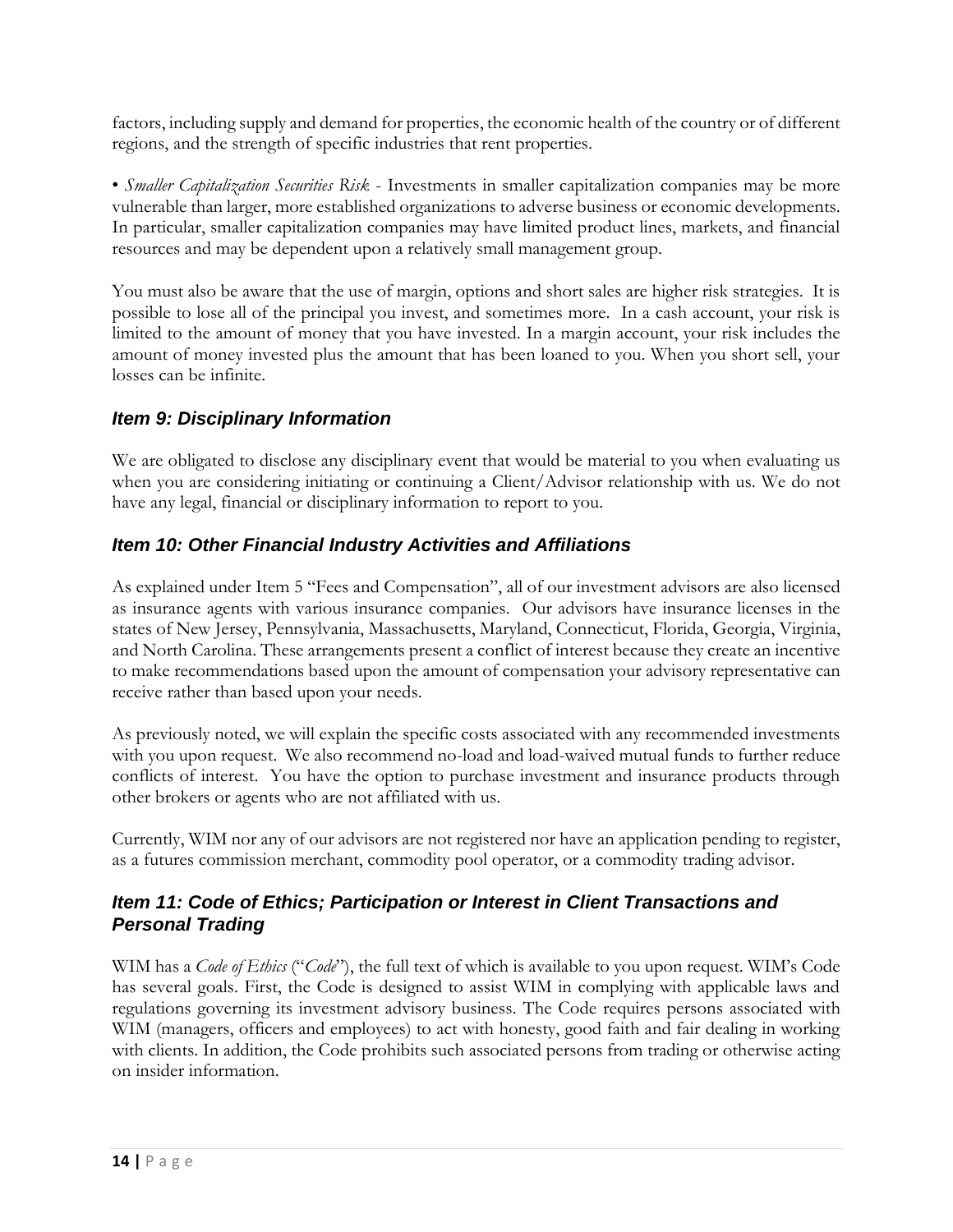factors, including supply and demand for properties, the economic health of the country or of different regions, and the strength of specific industries that rent properties.

• *Smaller Capitalization Securities Risk* - Investments in smaller capitalization companies may be more vulnerable than larger, more established organizations to adverse business or economic developments. In particular, smaller capitalization companies may have limited product lines, markets, and financial resources and may be dependent upon a relatively small management group.

You must also be aware that the use of margin, options and short sales are higher risk strategies. It is possible to lose all of the principal you invest, and sometimes more. In a cash account, your risk is limited to the amount of money that you have invested. In a margin account, your risk includes the amount of money invested plus the amount that has been loaned to you. When you short sell, your losses can be infinite.

## *Item 9: Disciplinary Information*

We are obligated to disclose any disciplinary event that would be material to you when evaluating us when you are considering initiating or continuing a Client/Advisor relationship with us. We do not have any legal, financial or disciplinary information to report to you.

## *Item 10: Other Financial Industry Activities and Affiliations*

As explained under Item 5 "Fees and Compensation", all of our investment advisors are also licensed as insurance agents with various insurance companies. Our advisors have insurance licenses in the states of New Jersey, Pennsylvania, Massachusetts, Maryland, Connecticut, Florida, Georgia, Virginia, and North Carolina. These arrangements present a conflict of interest because they create an incentive to make recommendations based upon the amount of compensation your advisory representative can receive rather than based upon your needs.

As previously noted, we will explain the specific costs associated with any recommended investments with you upon request. We also recommend no-load and load-waived mutual funds to further reduce conflicts of interest. You have the option to purchase investment and insurance products through other brokers or agents who are not affiliated with us.

Currently, WIM nor any of our advisors are not registered nor have an application pending to register, as a futures commission merchant, commodity pool operator, or a commodity trading advisor.

## *Item 11: Code of Ethics; Participation or Interest in Client Transactions and Personal Trading*

WIM has a *Code of Ethics* ("*Code*"), the full text of which is available to you upon request. WIM's Code has several goals. First, the Code is designed to assist WIM in complying with applicable laws and regulations governing its investment advisory business. The Code requires persons associated with WIM (managers, officers and employees) to act with honesty, good faith and fair dealing in working with clients. In addition, the Code prohibits such associated persons from trading or otherwise acting on insider information.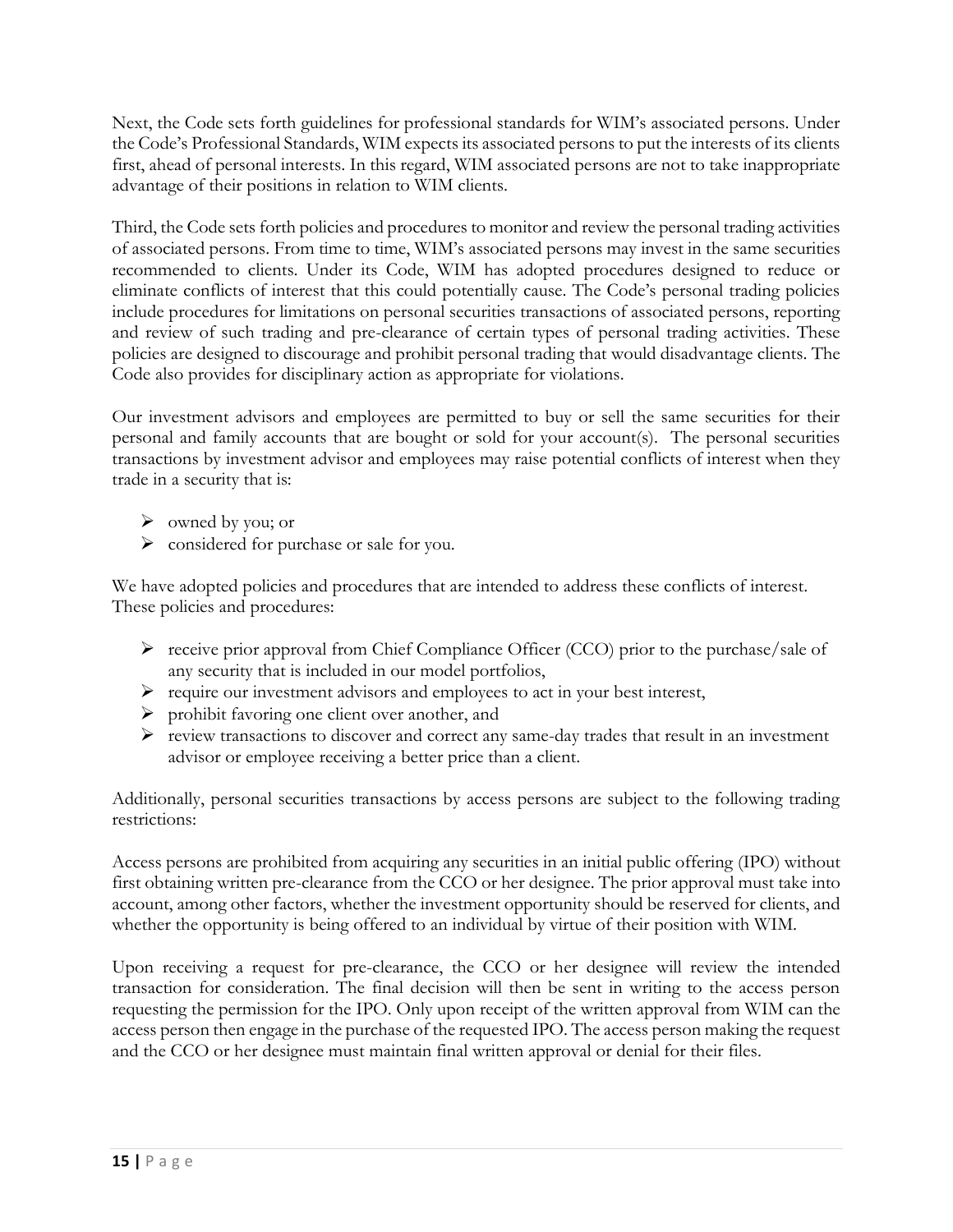Next, the Code sets forth guidelines for professional standards for WIM's associated persons. Under the Code's Professional Standards, WIM expects its associated persons to put the interests of its clients first, ahead of personal interests. In this regard, WIM associated persons are not to take inappropriate advantage of their positions in relation to WIM clients.

Third, the Code sets forth policies and procedures to monitor and review the personal trading activities of associated persons. From time to time, WIM's associated persons may invest in the same securities recommended to clients. Under its Code, WIM has adopted procedures designed to reduce or eliminate conflicts of interest that this could potentially cause. The Code's personal trading policies include procedures for limitations on personal securities transactions of associated persons, reporting and review of such trading and pre-clearance of certain types of personal trading activities. These policies are designed to discourage and prohibit personal trading that would disadvantage clients. The Code also provides for disciplinary action as appropriate for violations.

Our investment advisors and employees are permitted to buy or sell the same securities for their personal and family accounts that are bought or sold for your account(s). The personal securities transactions by investment advisor and employees may raise potential conflicts of interest when they trade in a security that is:

- ➢ owned by you; or
- ➢ considered for purchase or sale for you.

We have adopted policies and procedures that are intended to address these conflicts of interest. These policies and procedures:

- ➢ receive prior approval from Chief Compliance Officer (CCO) prior to the purchase/sale of any security that is included in our model portfolios,
- ➢ require our investment advisors and employees to act in your best interest,
- ➢ prohibit favoring one client over another, and
- ➢ review transactions to discover and correct any same-day trades that result in an investment advisor or employee receiving a better price than a client.

Additionally, personal securities transactions by access persons are subject to the following trading restrictions:

Access persons are prohibited from acquiring any securities in an initial public offering (IPO) without first obtaining written pre-clearance from the CCO or her designee. The prior approval must take into account, among other factors, whether the investment opportunity should be reserved for clients, and whether the opportunity is being offered to an individual by virtue of their position with WIM.

Upon receiving a request for pre-clearance, the CCO or her designee will review the intended transaction for consideration. The final decision will then be sent in writing to the access person requesting the permission for the IPO. Only upon receipt of the written approval from WIM can the access person then engage in the purchase of the requested IPO. The access person making the request and the CCO or her designee must maintain final written approval or denial for their files.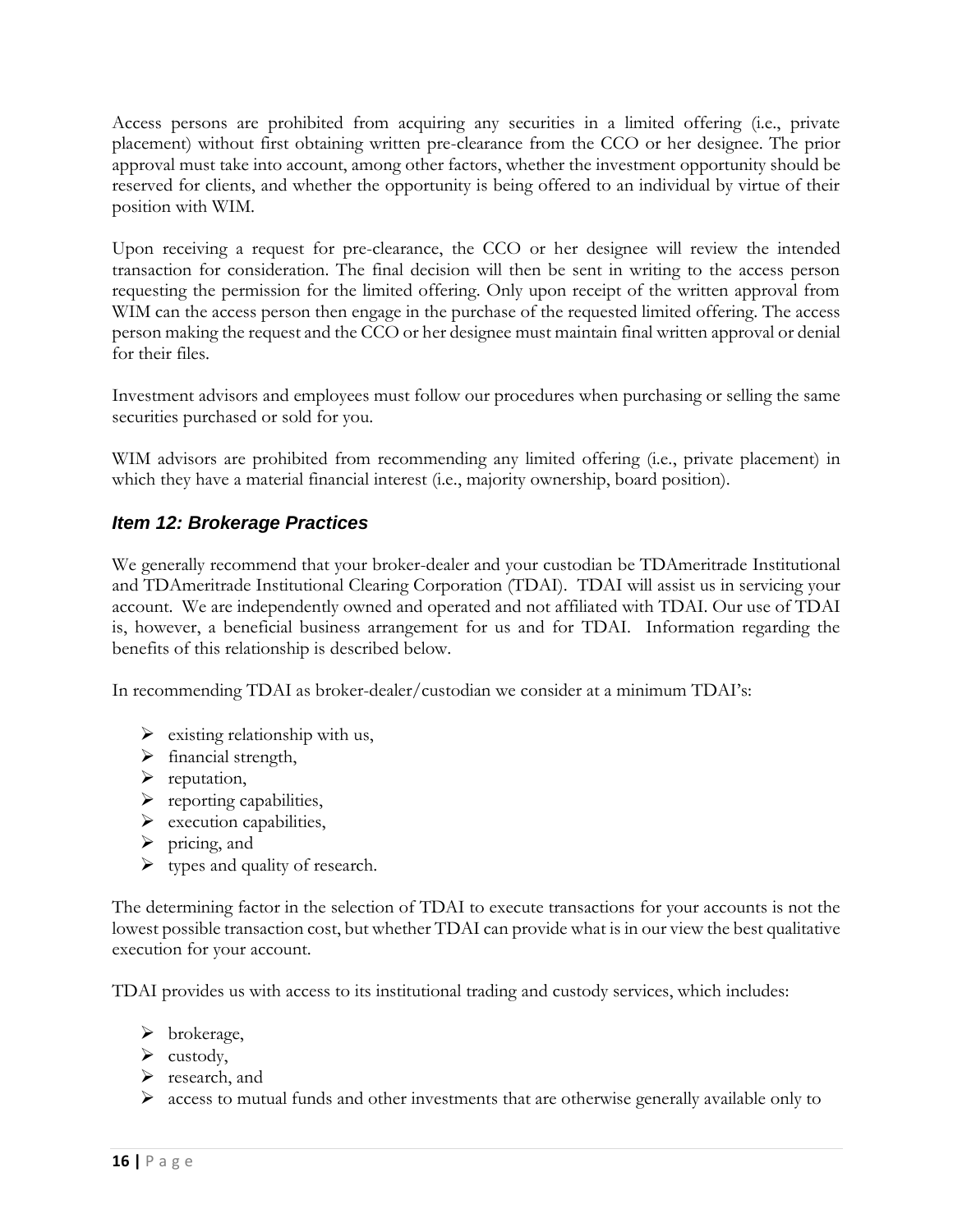Access persons are prohibited from acquiring any securities in a limited offering (i.e., private placement) without first obtaining written pre-clearance from the CCO or her designee. The prior approval must take into account, among other factors, whether the investment opportunity should be reserved for clients, and whether the opportunity is being offered to an individual by virtue of their position with WIM.

Upon receiving a request for pre-clearance, the CCO or her designee will review the intended transaction for consideration. The final decision will then be sent in writing to the access person requesting the permission for the limited offering. Only upon receipt of the written approval from WIM can the access person then engage in the purchase of the requested limited offering. The access person making the request and the CCO or her designee must maintain final written approval or denial for their files.

Investment advisors and employees must follow our procedures when purchasing or selling the same securities purchased or sold for you.

WIM advisors are prohibited from recommending any limited offering (i.e., private placement) in which they have a material financial interest (i.e., majority ownership, board position).

## *Item 12: Brokerage Practices*

We generally recommend that your broker-dealer and your custodian be TDAmeritrade Institutional and TDAmeritrade Institutional Clearing Corporation (TDAI). TDAI will assist us in servicing your account. We are independently owned and operated and not affiliated with TDAI. Our use of TDAI is, however, a beneficial business arrangement for us and for TDAI. Information regarding the benefits of this relationship is described below.

In recommending TDAI as broker-dealer/custodian we consider at a minimum TDAI's:

- $\triangleright$  existing relationship with us,
- $\triangleright$  financial strength,
- ➢ reputation,
- ➢ reporting capabilities,
- $\triangleright$  execution capabilities,
- $\triangleright$  pricing, and
- $\triangleright$  types and quality of research.

The determining factor in the selection of TDAI to execute transactions for your accounts is not the lowest possible transaction cost, but whether TDAI can provide what is in our view the best qualitative execution for your account.

TDAI provides us with access to its institutional trading and custody services, which includes:

- ➢ brokerage,
- $\blacktriangleright$  custody,
- ➢ research, and
- $\triangleright$  access to mutual funds and other investments that are otherwise generally available only to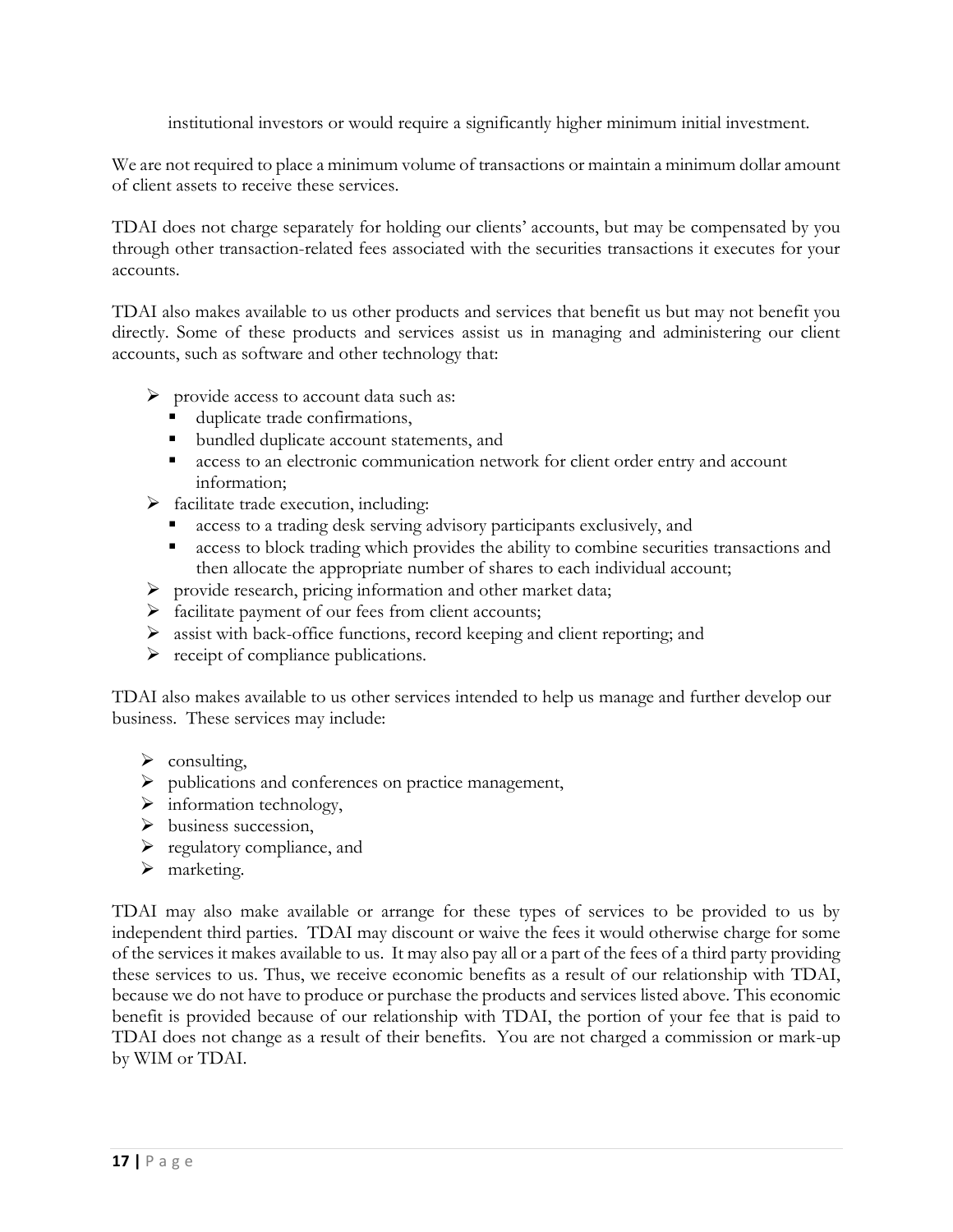institutional investors or would require a significantly higher minimum initial investment.

We are not required to place a minimum volume of transactions or maintain a minimum dollar amount of client assets to receive these services.

TDAI does not charge separately for holding our clients' accounts, but may be compensated by you through other transaction-related fees associated with the securities transactions it executes for your accounts.

TDAI also makes available to us other products and services that benefit us but may not benefit you directly. Some of these products and services assist us in managing and administering our client accounts, such as software and other technology that:

- ➢ provide access to account data such as:
	- duplicate trade confirmations,
	- bundled duplicate account statements, and
	- **EXECCESS** to an electronic communication network for client order entry and account information;
- ➢ facilitate trade execution, including:
	- access to a trading desk serving advisory participants exclusively, and
	- access to block trading which provides the ability to combine securities transactions and then allocate the appropriate number of shares to each individual account;
- ➢ provide research, pricing information and other market data;
- ➢ facilitate payment of our fees from client accounts;
- ➢ assist with back-office functions, record keeping and client reporting; and
- ➢ receipt of compliance publications.

TDAI also makes available to us other services intended to help us manage and further develop our business. These services may include:

- $\triangleright$  consulting,
- ➢ publications and conferences on practice management,
- ➢ information technology,
- ➢ business succession,
- ➢ regulatory compliance, and
- ➢ marketing.

TDAI may also make available or arrange for these types of services to be provided to us by independent third parties. TDAI may discount or waive the fees it would otherwise charge for some of the services it makes available to us. It may also pay all or a part of the fees of a third party providing these services to us. Thus, we receive economic benefits as a result of our relationship with TDAI, because we do not have to produce or purchase the products and services listed above. This economic benefit is provided because of our relationship with TDAI, the portion of your fee that is paid to TDAI does not change as a result of their benefits. You are not charged a commission or mark-up by WIM or TDAI.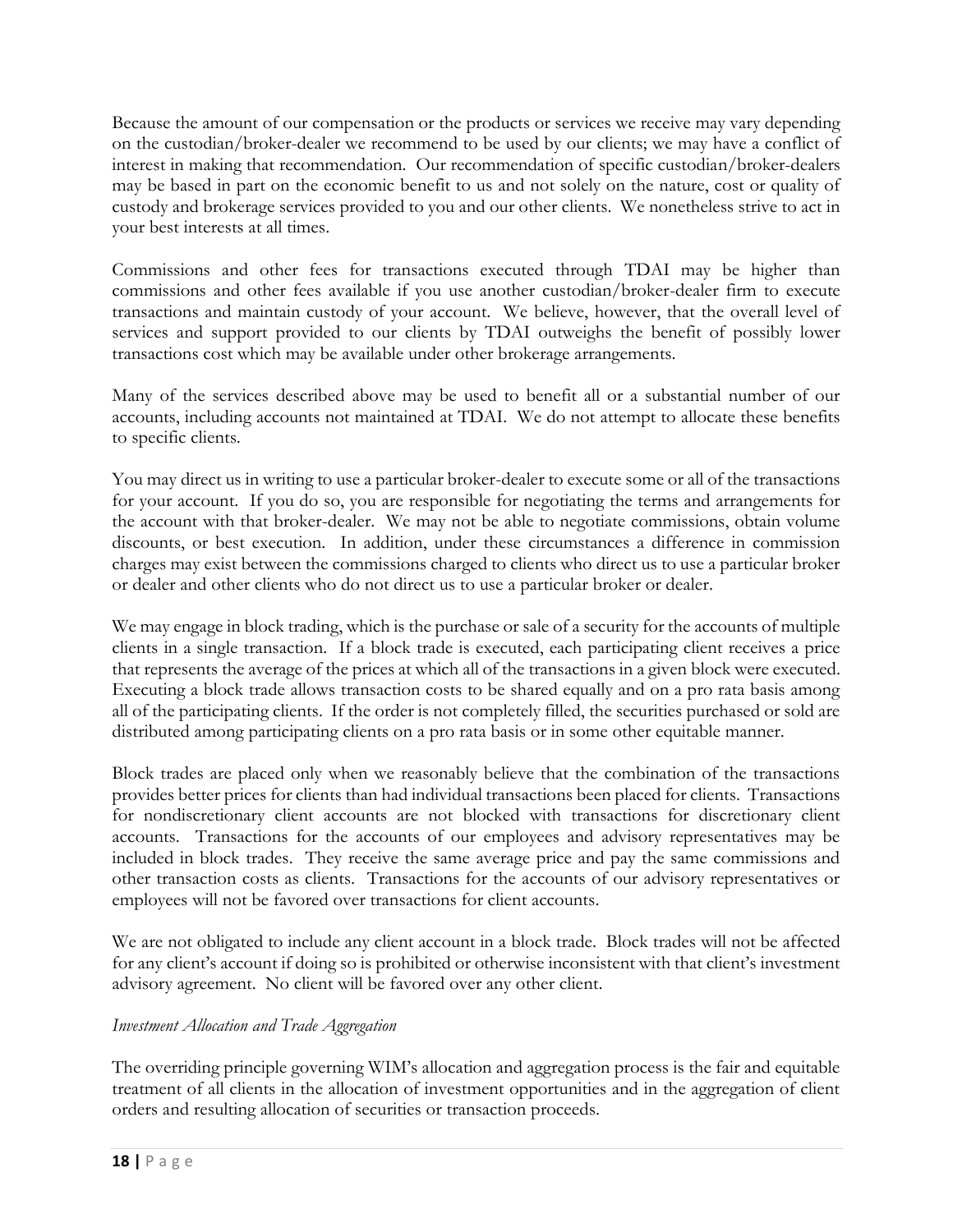Because the amount of our compensation or the products or services we receive may vary depending on the custodian/broker-dealer we recommend to be used by our clients; we may have a conflict of interest in making that recommendation. Our recommendation of specific custodian/broker-dealers may be based in part on the economic benefit to us and not solely on the nature, cost or quality of custody and brokerage services provided to you and our other clients. We nonetheless strive to act in your best interests at all times.

Commissions and other fees for transactions executed through TDAI may be higher than commissions and other fees available if you use another custodian/broker-dealer firm to execute transactions and maintain custody of your account. We believe, however, that the overall level of services and support provided to our clients by TDAI outweighs the benefit of possibly lower transactions cost which may be available under other brokerage arrangements.

Many of the services described above may be used to benefit all or a substantial number of our accounts, including accounts not maintained at TDAI. We do not attempt to allocate these benefits to specific clients.

You may direct us in writing to use a particular broker-dealer to execute some or all of the transactions for your account. If you do so, you are responsible for negotiating the terms and arrangements for the account with that broker-dealer. We may not be able to negotiate commissions, obtain volume discounts, or best execution. In addition, under these circumstances a difference in commission charges may exist between the commissions charged to clients who direct us to use a particular broker or dealer and other clients who do not direct us to use a particular broker or dealer.

We may engage in block trading, which is the purchase or sale of a security for the accounts of multiple clients in a single transaction. If a block trade is executed, each participating client receives a price that represents the average of the prices at which all of the transactions in a given block were executed. Executing a block trade allows transaction costs to be shared equally and on a pro rata basis among all of the participating clients. If the order is not completely filled, the securities purchased or sold are distributed among participating clients on a pro rata basis or in some other equitable manner.

Block trades are placed only when we reasonably believe that the combination of the transactions provides better prices for clients than had individual transactions been placed for clients. Transactions for nondiscretionary client accounts are not blocked with transactions for discretionary client accounts. Transactions for the accounts of our employees and advisory representatives may be included in block trades. They receive the same average price and pay the same commissions and other transaction costs as clients. Transactions for the accounts of our advisory representatives or employees will not be favored over transactions for client accounts.

We are not obligated to include any client account in a block trade. Block trades will not be affected for any client's account if doing so is prohibited or otherwise inconsistent with that client's investment advisory agreement. No client will be favored over any other client.

## *Investment Allocation and Trade Aggregation*

The overriding principle governing WIM's allocation and aggregation process is the fair and equitable treatment of all clients in the allocation of investment opportunities and in the aggregation of client orders and resulting allocation of securities or transaction proceeds.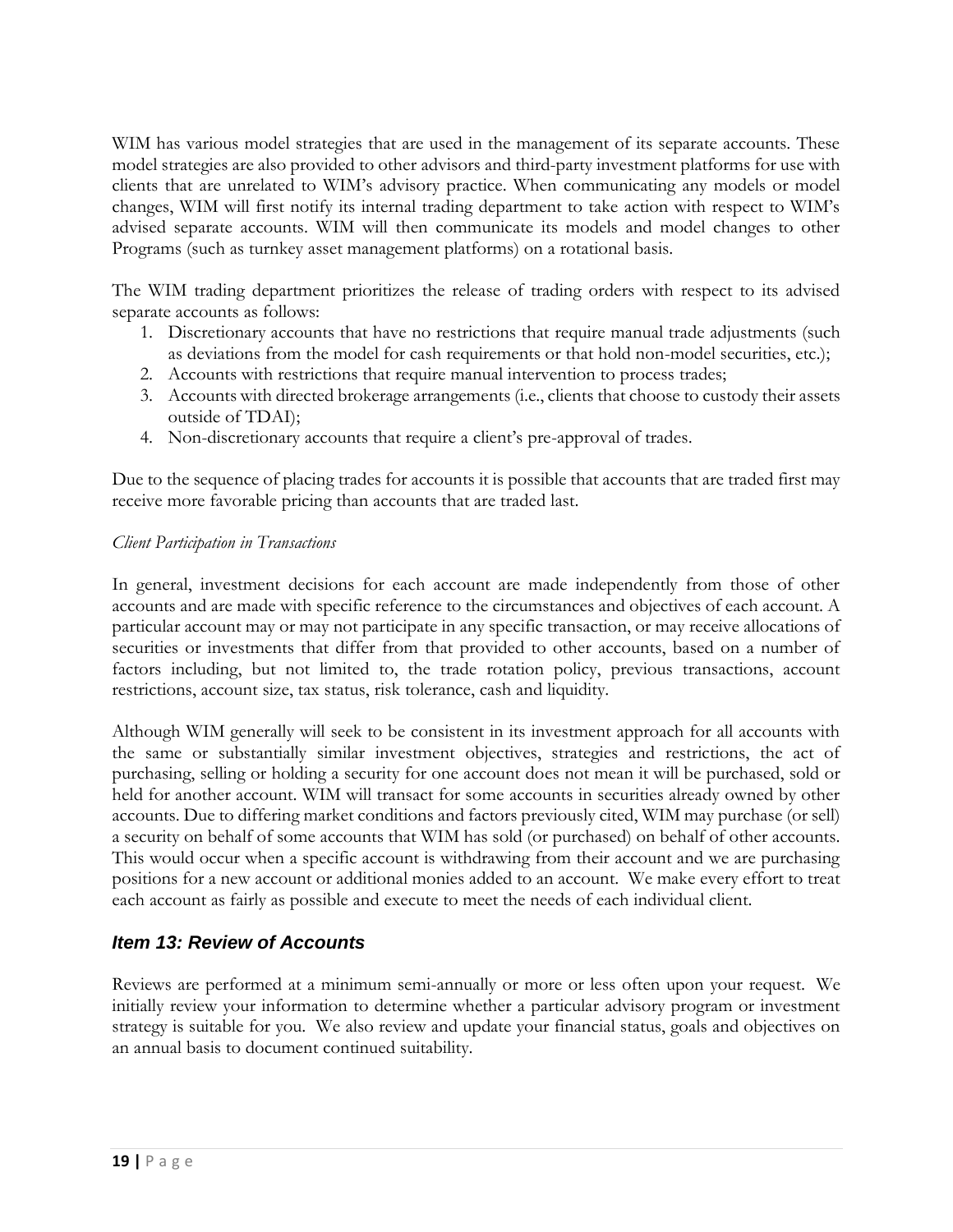WIM has various model strategies that are used in the management of its separate accounts. These model strategies are also provided to other advisors and third-party investment platforms for use with clients that are unrelated to WIM's advisory practice. When communicating any models or model changes, WIM will first notify its internal trading department to take action with respect to WIM's advised separate accounts. WIM will then communicate its models and model changes to other Programs (such as turnkey asset management platforms) on a rotational basis.

The WIM trading department prioritizes the release of trading orders with respect to its advised separate accounts as follows:

- 1. Discretionary accounts that have no restrictions that require manual trade adjustments (such as deviations from the model for cash requirements or that hold non-model securities, etc.);
- 2. Accounts with restrictions that require manual intervention to process trades;
- 3. Accounts with directed brokerage arrangements (i.e., clients that choose to custody their assets outside of TDAI);
- 4. Non-discretionary accounts that require a client's pre-approval of trades.

Due to the sequence of placing trades for accounts it is possible that accounts that are traded first may receive more favorable pricing than accounts that are traded last.

#### *Client Participation in Transactions*

In general, investment decisions for each account are made independently from those of other accounts and are made with specific reference to the circumstances and objectives of each account. A particular account may or may not participate in any specific transaction, or may receive allocations of securities or investments that differ from that provided to other accounts, based on a number of factors including, but not limited to, the trade rotation policy, previous transactions, account restrictions, account size, tax status, risk tolerance, cash and liquidity.

Although WIM generally will seek to be consistent in its investment approach for all accounts with the same or substantially similar investment objectives, strategies and restrictions, the act of purchasing, selling or holding a security for one account does not mean it will be purchased, sold or held for another account. WIM will transact for some accounts in securities already owned by other accounts. Due to differing market conditions and factors previously cited, WIM may purchase (or sell) a security on behalf of some accounts that WIM has sold (or purchased) on behalf of other accounts. This would occur when a specific account is withdrawing from their account and we are purchasing positions for a new account or additional monies added to an account. We make every effort to treat each account as fairly as possible and execute to meet the needs of each individual client.

## *Item 13: Review of Accounts*

Reviews are performed at a minimum semi-annually or more or less often upon your request. We initially review your information to determine whether a particular advisory program or investment strategy is suitable for you. We also review and update your financial status, goals and objectives on an annual basis to document continued suitability.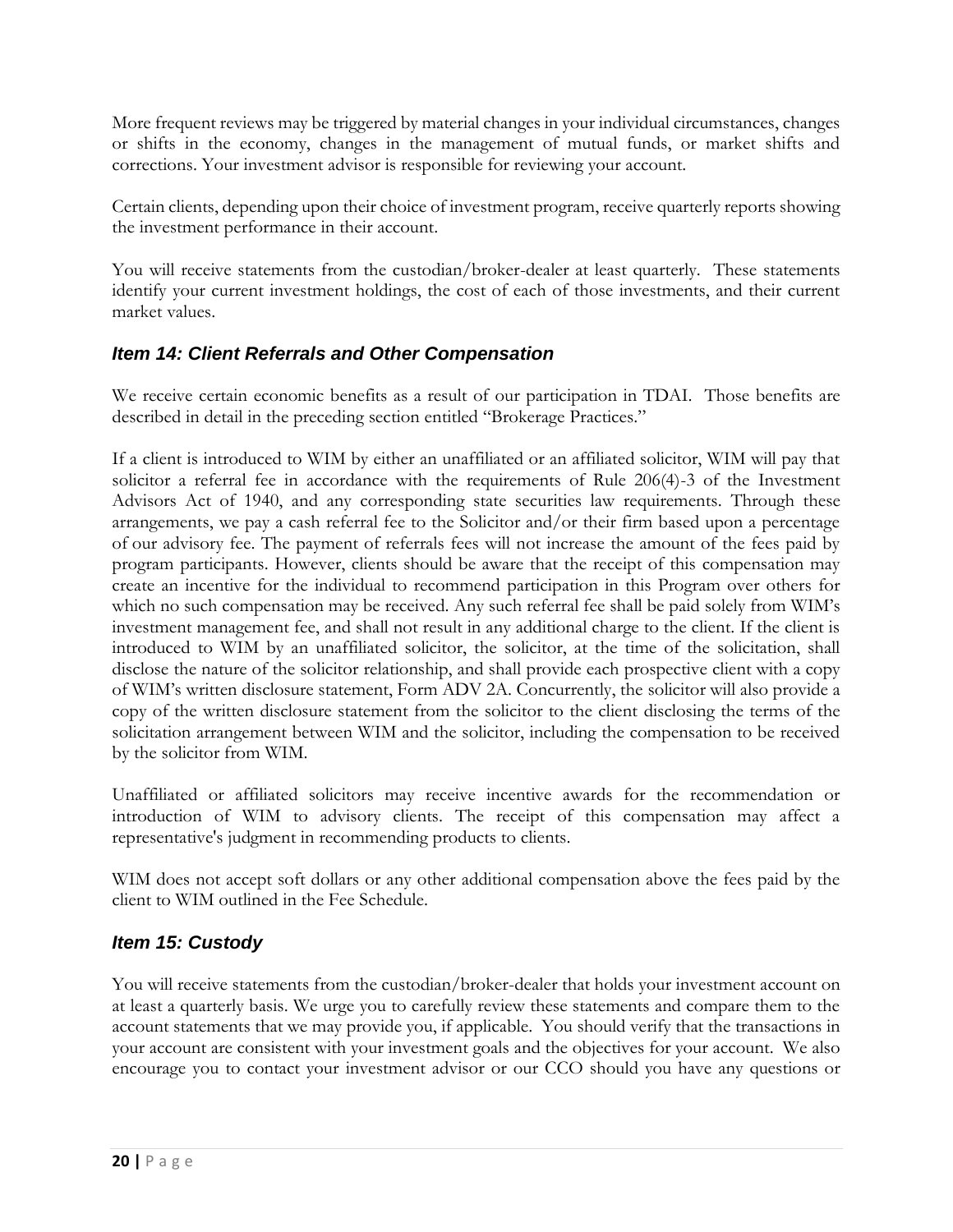More frequent reviews may be triggered by material changes in your individual circumstances, changes or shifts in the economy, changes in the management of mutual funds, or market shifts and corrections. Your investment advisor is responsible for reviewing your account.

Certain clients, depending upon their choice of investment program, receive quarterly reports showing the investment performance in their account.

You will receive statements from the custodian/broker-dealer at least quarterly. These statements identify your current investment holdings, the cost of each of those investments, and their current market values.

## *Item 14: Client Referrals and Other Compensation*

We receive certain economic benefits as a result of our participation in TDAI. Those benefits are described in detail in the preceding section entitled "Brokerage Practices."

If a client is introduced to WIM by either an unaffiliated or an affiliated solicitor, WIM will pay that solicitor a referral fee in accordance with the requirements of Rule 206(4)-3 of the Investment Advisors Act of 1940, and any corresponding state securities law requirements. Through these arrangements, we pay a cash referral fee to the Solicitor and/or their firm based upon a percentage of our advisory fee. The payment of referrals fees will not increase the amount of the fees paid by program participants. However, clients should be aware that the receipt of this compensation may create an incentive for the individual to recommend participation in this Program over others for which no such compensation may be received. Any such referral fee shall be paid solely from WIM's investment management fee, and shall not result in any additional charge to the client. If the client is introduced to WIM by an unaffiliated solicitor, the solicitor, at the time of the solicitation, shall disclose the nature of the solicitor relationship, and shall provide each prospective client with a copy of WIM's written disclosure statement, Form ADV 2A. Concurrently, the solicitor will also provide a copy of the written disclosure statement from the solicitor to the client disclosing the terms of the solicitation arrangement between WIM and the solicitor, including the compensation to be received by the solicitor from WIM.

Unaffiliated or affiliated solicitors may receive incentive awards for the recommendation or introduction of WIM to advisory clients. The receipt of this compensation may affect a representative's judgment in recommending products to clients.

WIM does not accept soft dollars or any other additional compensation above the fees paid by the client to WIM outlined in the Fee Schedule.

## *Item 15: Custody*

You will receive statements from the custodian/broker-dealer that holds your investment account on at least a quarterly basis. We urge you to carefully review these statements and compare them to the account statements that we may provide you, if applicable. You should verify that the transactions in your account are consistent with your investment goals and the objectives for your account. We also encourage you to contact your investment advisor or our CCO should you have any questions or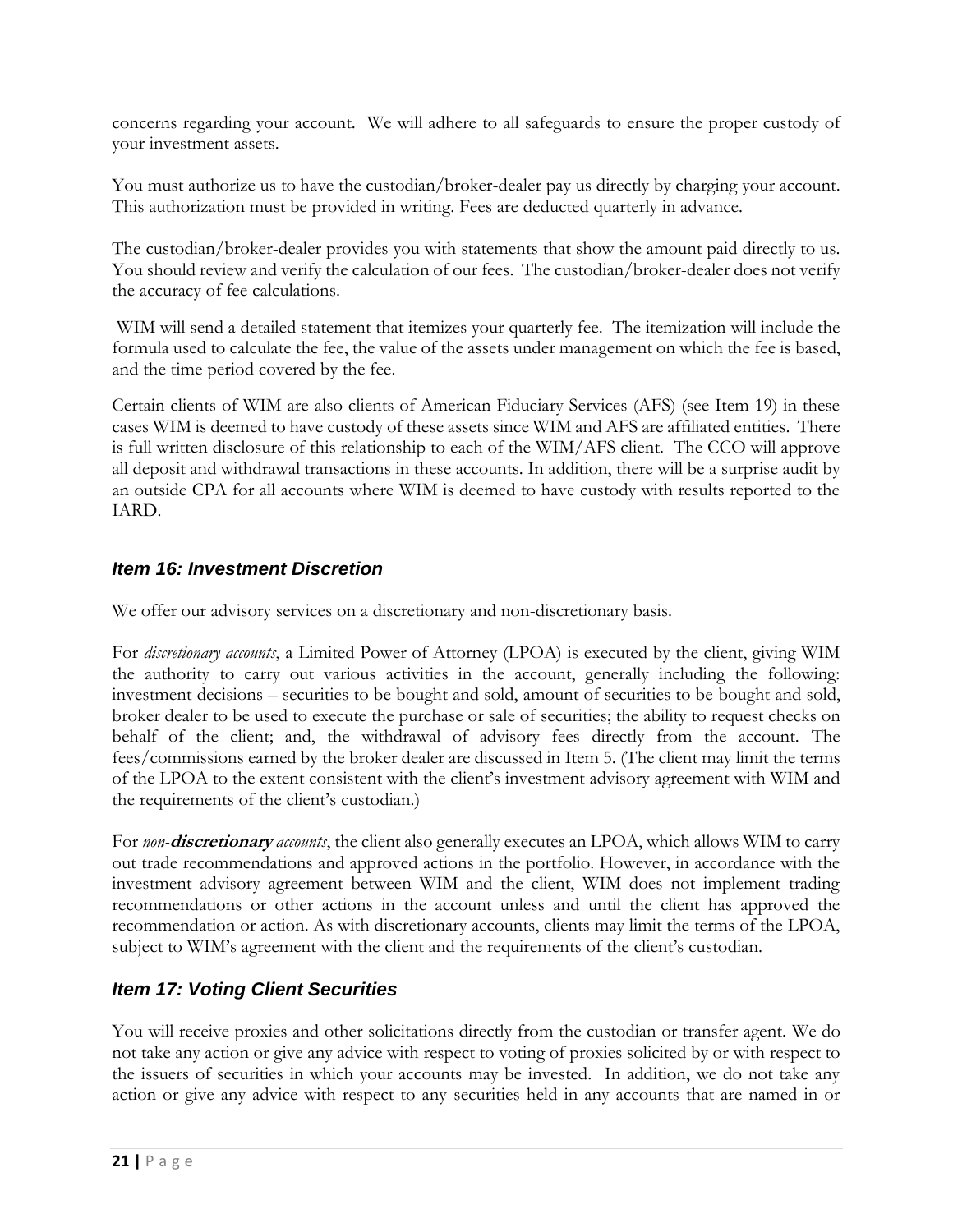concerns regarding your account. We will adhere to all safeguards to ensure the proper custody of your investment assets.

You must authorize us to have the custodian/broker-dealer pay us directly by charging your account. This authorization must be provided in writing. Fees are deducted quarterly in advance.

The custodian/broker-dealer provides you with statements that show the amount paid directly to us. You should review and verify the calculation of our fees. The custodian/broker-dealer does not verify the accuracy of fee calculations.

WIM will send a detailed statement that itemizes your quarterly fee. The itemization will include the formula used to calculate the fee, the value of the assets under management on which the fee is based, and the time period covered by the fee.

Certain clients of WIM are also clients of American Fiduciary Services (AFS) (see Item 19) in these cases WIM is deemed to have custody of these assets since WIM and AFS are affiliated entities. There is full written disclosure of this relationship to each of the WIM/AFS client. The CCO will approve all deposit and withdrawal transactions in these accounts. In addition, there will be a surprise audit by an outside CPA for all accounts where WIM is deemed to have custody with results reported to the IARD.

## *Item 16: Investment Discretion*

We offer our advisory services on a discretionary and non-discretionary basis.

For *discretionary accounts*, a Limited Power of Attorney (LPOA) is executed by the client, giving WIM the authority to carry out various activities in the account, generally including the following: investment decisions – securities to be bought and sold, amount of securities to be bought and sold, broker dealer to be used to execute the purchase or sale of securities; the ability to request checks on behalf of the client; and, the withdrawal of advisory fees directly from the account. The fees/commissions earned by the broker dealer are discussed in Item 5. (The client may limit the terms of the LPOA to the extent consistent with the client's investment advisory agreement with WIM and the requirements of the client's custodian.)

For *non-***discretionary** *accounts*, the client also generally executes an LPOA, which allows WIM to carry out trade recommendations and approved actions in the portfolio. However, in accordance with the investment advisory agreement between WIM and the client, WIM does not implement trading recommendations or other actions in the account unless and until the client has approved the recommendation or action. As with discretionary accounts, clients may limit the terms of the LPOA, subject to WIM's agreement with the client and the requirements of the client's custodian.

## *Item 17: Voting Client Securities*

You will receive proxies and other solicitations directly from the custodian or transfer agent. We do not take any action or give any advice with respect to voting of proxies solicited by or with respect to the issuers of securities in which your accounts may be invested. In addition, we do not take any action or give any advice with respect to any securities held in any accounts that are named in or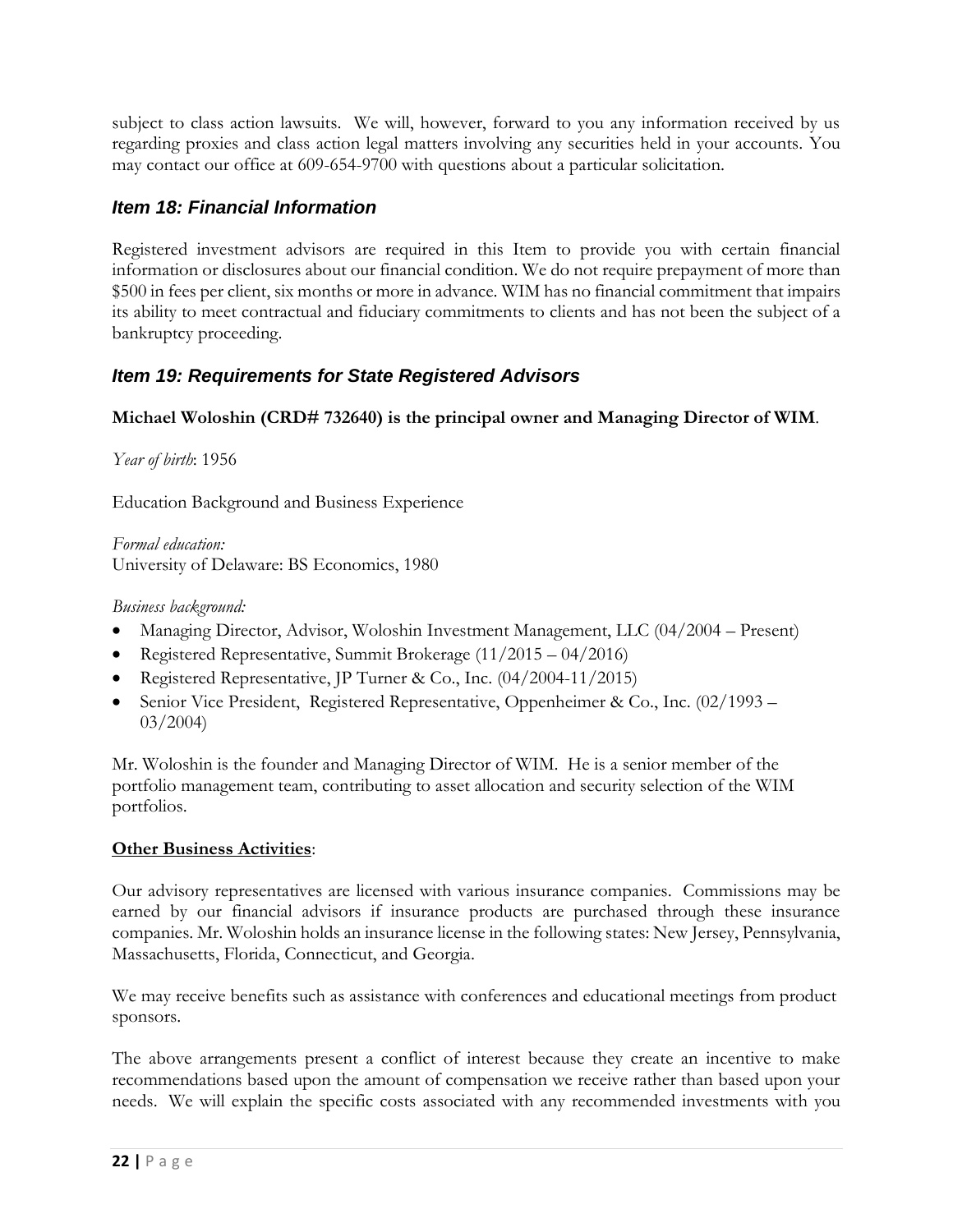subject to class action lawsuits. We will, however, forward to you any information received by us regarding proxies and class action legal matters involving any securities held in your accounts. You may contact our office at 609-654-9700 with questions about a particular solicitation.

## *Item 18: Financial Information*

Registered investment advisors are required in this Item to provide you with certain financial information or disclosures about our financial condition. We do not require prepayment of more than \$500 in fees per client, six months or more in advance. WIM has no financial commitment that impairs its ability to meet contractual and fiduciary commitments to clients and has not been the subject of a bankruptcy proceeding.

## *Item 19: Requirements for State Registered Advisors*

## **Michael Woloshin (CRD# 732640) is the principal owner and Managing Director of WIM**.

*Year of birth*: 1956

Education Background and Business Experience

*Formal education:* University of Delaware: BS Economics, 1980

### *Business background:*

- Managing Director, Advisor, Woloshin Investment Management, LLC (04/2004 Present)
- Registered Representative, Summit Brokerage (11/2015 04/2016)
- Registered Representative, JP Turner & Co., Inc. (04/2004-11/2015)
- Senior Vice President, Registered Representative, Oppenheimer & Co., Inc. (02/1993 03/2004)

Mr. Woloshin is the founder and Managing Director of WIM. He is a senior member of the portfolio management team, contributing to asset allocation and security selection of the WIM portfolios.

## **Other Business Activities**:

Our advisory representatives are licensed with various insurance companies. Commissions may be earned by our financial advisors if insurance products are purchased through these insurance companies. Mr. Woloshin holds an insurance license in the following states: New Jersey, Pennsylvania, Massachusetts, Florida, Connecticut, and Georgia.

We may receive benefits such as assistance with conferences and educational meetings from product sponsors.

The above arrangements present a conflict of interest because they create an incentive to make recommendations based upon the amount of compensation we receive rather than based upon your needs. We will explain the specific costs associated with any recommended investments with you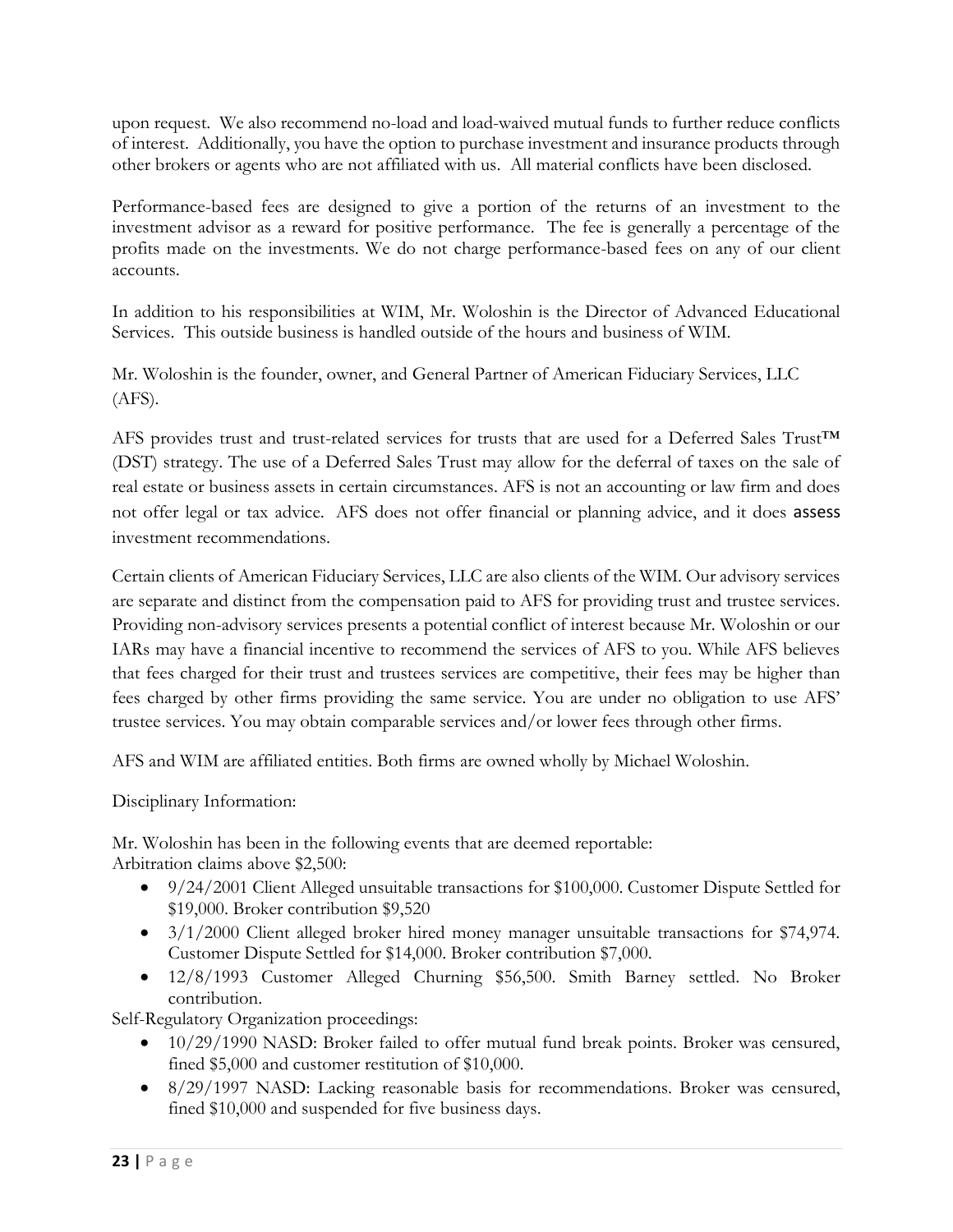upon request. We also recommend no-load and load-waived mutual funds to further reduce conflicts of interest. Additionally, you have the option to purchase investment and insurance products through other brokers or agents who are not affiliated with us. All material conflicts have been disclosed.

Performance-based fees are designed to give a portion of the returns of an investment to the investment advisor as a reward for positive performance. The fee is generally a percentage of the profits made on the investments. We do not charge performance-based fees on any of our client accounts.

In addition to his responsibilities at WIM, Mr. Woloshin is the Director of Advanced Educational Services. This outside business is handled outside of the hours and business of WIM.

Mr. Woloshin is the founder, owner, and General Partner of American Fiduciary Services, LLC (AFS).

AFS provides trust and trust-related services for trusts that are used for a Deferred Sales Trust™ (DST) strategy. The use of a Deferred Sales Trust may allow for the deferral of taxes on the sale of real estate or business assets in certain circumstances. AFS is not an accounting or law firm and does not offer legal or tax advice. AFS does not offer financial or planning advice, and it does assess investment recommendations.

Certain clients of American Fiduciary Services, LLC are also clients of the WIM. Our advisory services are separate and distinct from the compensation paid to AFS for providing trust and trustee services. Providing non-advisory services presents a potential conflict of interest because Mr. Woloshin or our IARs may have a financial incentive to recommend the services of AFS to you. While AFS believes that fees charged for their trust and trustees services are competitive, their fees may be higher than fees charged by other firms providing the same service. You are under no obligation to use AFS' trustee services. You may obtain comparable services and/or lower fees through other firms.

AFS and WIM are affiliated entities. Both firms are owned wholly by Michael Woloshin.

Disciplinary Information:

Mr. Woloshin has been in the following events that are deemed reportable: Arbitration claims above \$2,500:

- 9/24/2001 Client Alleged unsuitable transactions for \$100,000. Customer Dispute Settled for \$19,000. Broker contribution \$9,520
- 3/1/2000 Client alleged broker hired money manager unsuitable transactions for \$74,974. Customer Dispute Settled for \$14,000. Broker contribution \$7,000.
- 12/8/1993 Customer Alleged Churning \$56,500. Smith Barney settled. No Broker contribution.

Self-Regulatory Organization proceedings:

- 10/29/1990 NASD: Broker failed to offer mutual fund break points. Broker was censured, fined \$5,000 and customer restitution of \$10,000.
- 8/29/1997 NASD: Lacking reasonable basis for recommendations. Broker was censured, fined \$10,000 and suspended for five business days.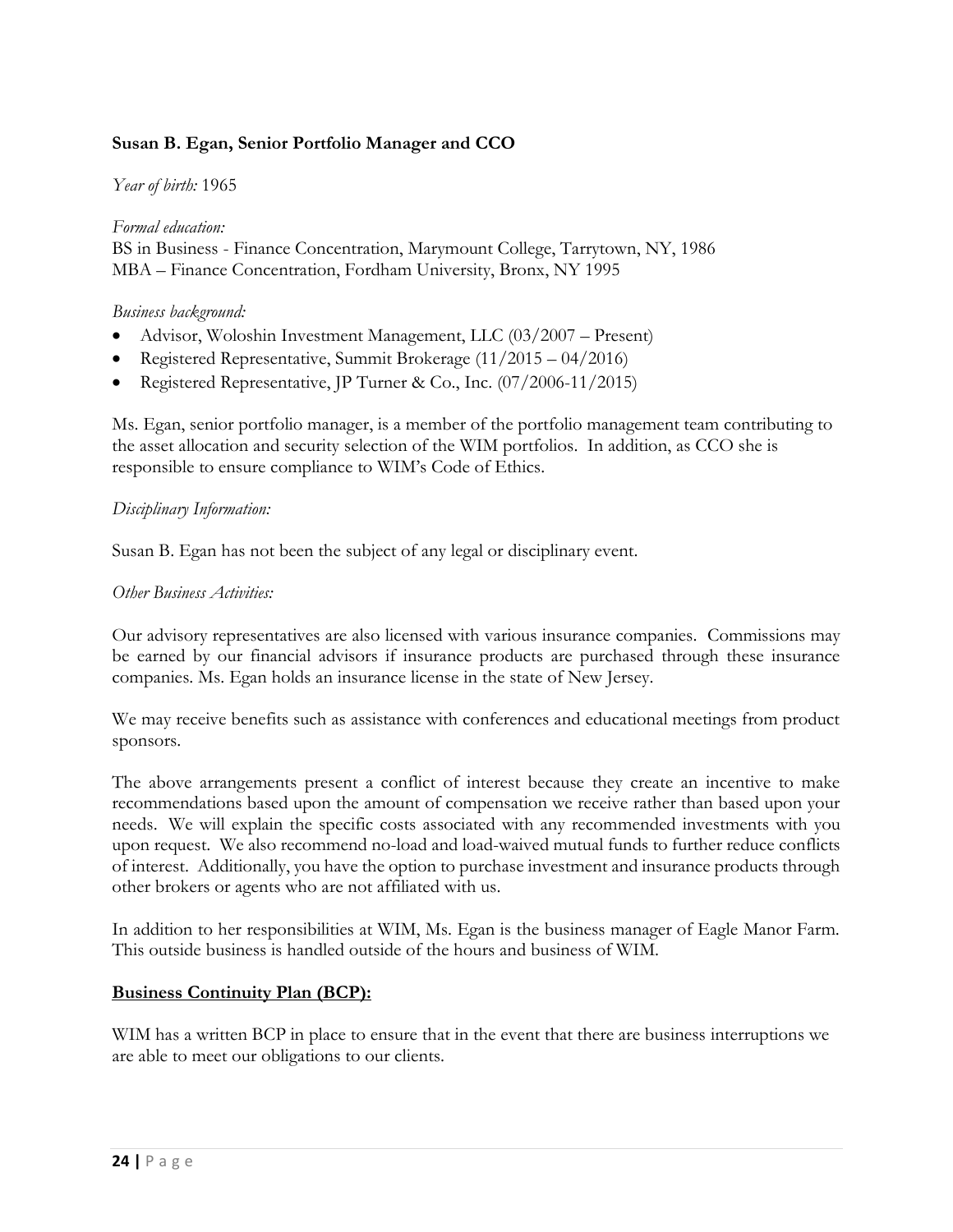### **Susan B. Egan, Senior Portfolio Manager and CCO**

#### *Year of birth:* 1965

*Formal education:* BS in Business - Finance Concentration, Marymount College, Tarrytown, NY, 1986 MBA – Finance Concentration, Fordham University, Bronx, NY 1995

#### *Business background:*

- Advisor, Woloshin Investment Management, LLC (03/2007 Present)
- Registered Representative, Summit Brokerage (11/2015 04/2016)
- Registered Representative, JP Turner & Co., Inc. (07/2006-11/2015)

Ms. Egan, senior portfolio manager, is a member of the portfolio management team contributing to the asset allocation and security selection of the WIM portfolios. In addition, as CCO she is responsible to ensure compliance to WIM's Code of Ethics.

#### *Disciplinary Information:*

Susan B. Egan has not been the subject of any legal or disciplinary event.

#### *Other Business Activities:*

Our advisory representatives are also licensed with various insurance companies. Commissions may be earned by our financial advisors if insurance products are purchased through these insurance companies. Ms. Egan holds an insurance license in the state of New Jersey.

We may receive benefits such as assistance with conferences and educational meetings from product sponsors.

The above arrangements present a conflict of interest because they create an incentive to make recommendations based upon the amount of compensation we receive rather than based upon your needs. We will explain the specific costs associated with any recommended investments with you upon request. We also recommend no-load and load-waived mutual funds to further reduce conflicts of interest. Additionally, you have the option to purchase investment and insurance products through other brokers or agents who are not affiliated with us.

In addition to her responsibilities at WIM, Ms. Egan is the business manager of Eagle Manor Farm. This outside business is handled outside of the hours and business of WIM.

#### **Business Continuity Plan (BCP):**

WIM has a written BCP in place to ensure that in the event that there are business interruptions we are able to meet our obligations to our clients.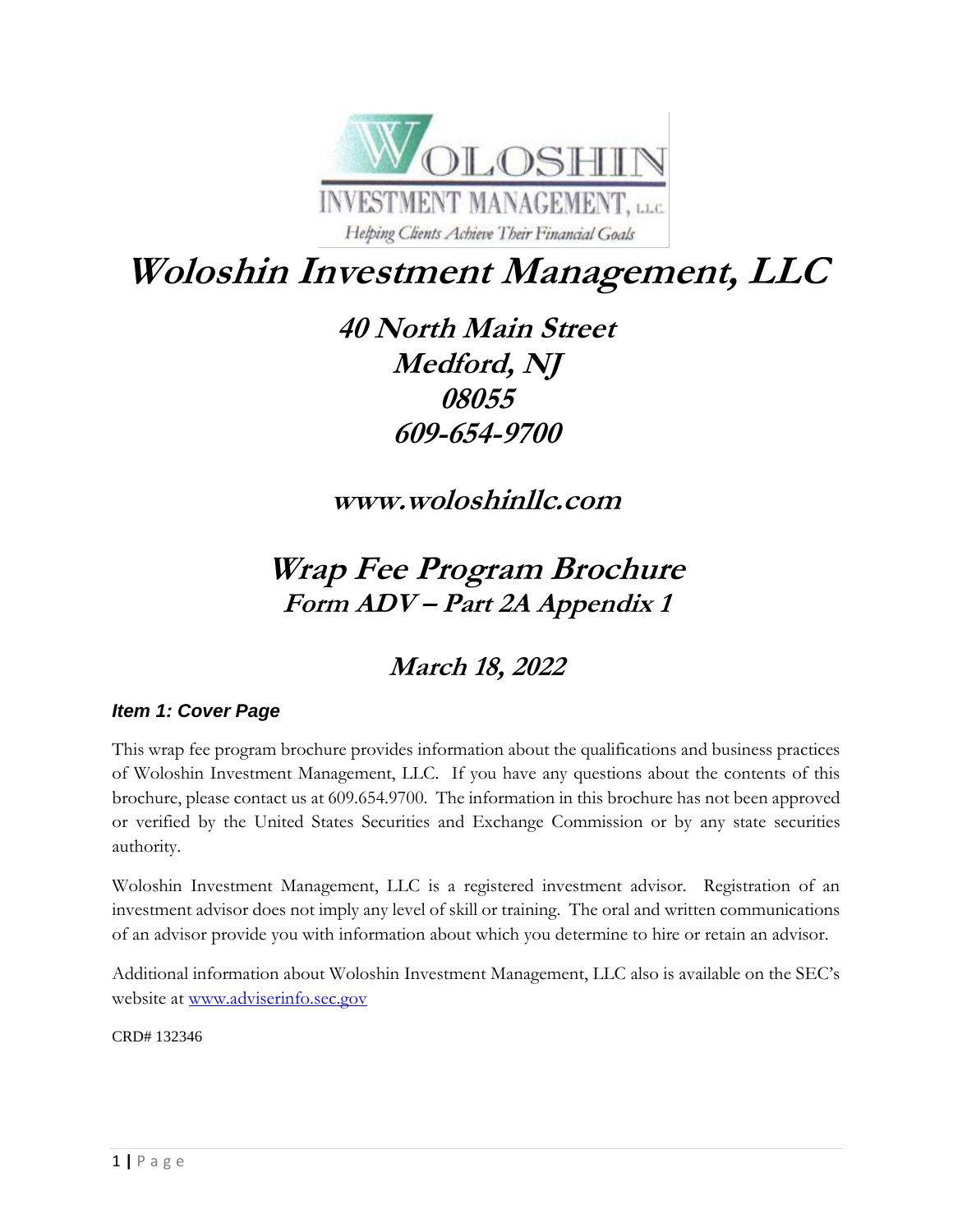

# **Woloshin Investment Management, LLC**

**40 North Main Street Medford, NJ 08055 609-654-9700**

**www.woloshinllc.com**

**Wrap Fee Program Brochure Form ADV – Part 2A Appendix 1**

## **March 18, 2022**

## *Item 1: Cover Page*

This wrap fee program brochure provides information about the qualifications and business practices of Woloshin Investment Management, LLC. If you have any questions about the contents of this brochure, please contact us at 609.654.9700. The information in this brochure has not been approved or verified by the United States Securities and Exchange Commission or by any state securities authority.

Woloshin Investment Management, LLC is a registered investment advisor. Registration of an investment advisor does not imply any level of skill or training. The oral and written communications of an advisor provide you with information about which you determine to hire or retain an advisor.

Additional information about Woloshin Investment Management, LLC also is available on the SEC's website at [www.adviserinfo.sec.gov](http://www.adviserinfo.sec.gov/)

CRD# 132346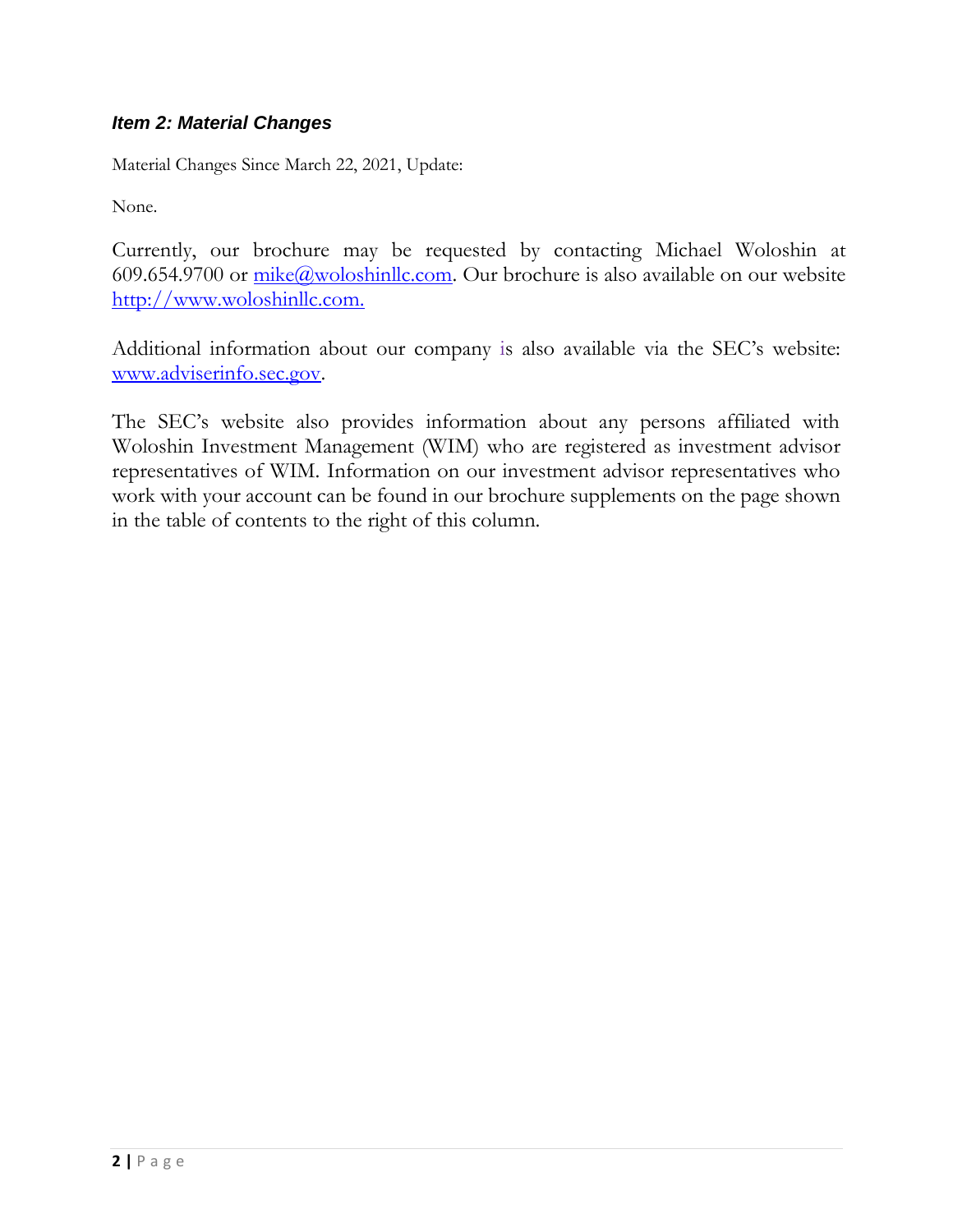## *Item 2: Material Changes*

Material Changes Since March 22, 2021, Update:

None.

Currently, our brochure may be requested by contacting Michael Woloshin at 609.654.9700 or  $mike@$ woloshinllc.com. Our brochure is also available on our website [http://www.woloshinllc.com.](http://www.woloshinllc.com/)

Additional information about our company is also available via the SEC's website: [www.adviserinfo.sec.gov.](http://www.adviserinfo.sec.gov/)

The SEC's website also provides information about any persons affiliated with Woloshin Investment Management (WIM) who are registered as investment advisor representatives of WIM. Information on our investment advisor representatives who work with your account can be found in our brochure supplements on the page shown in the table of contents to the right of this column.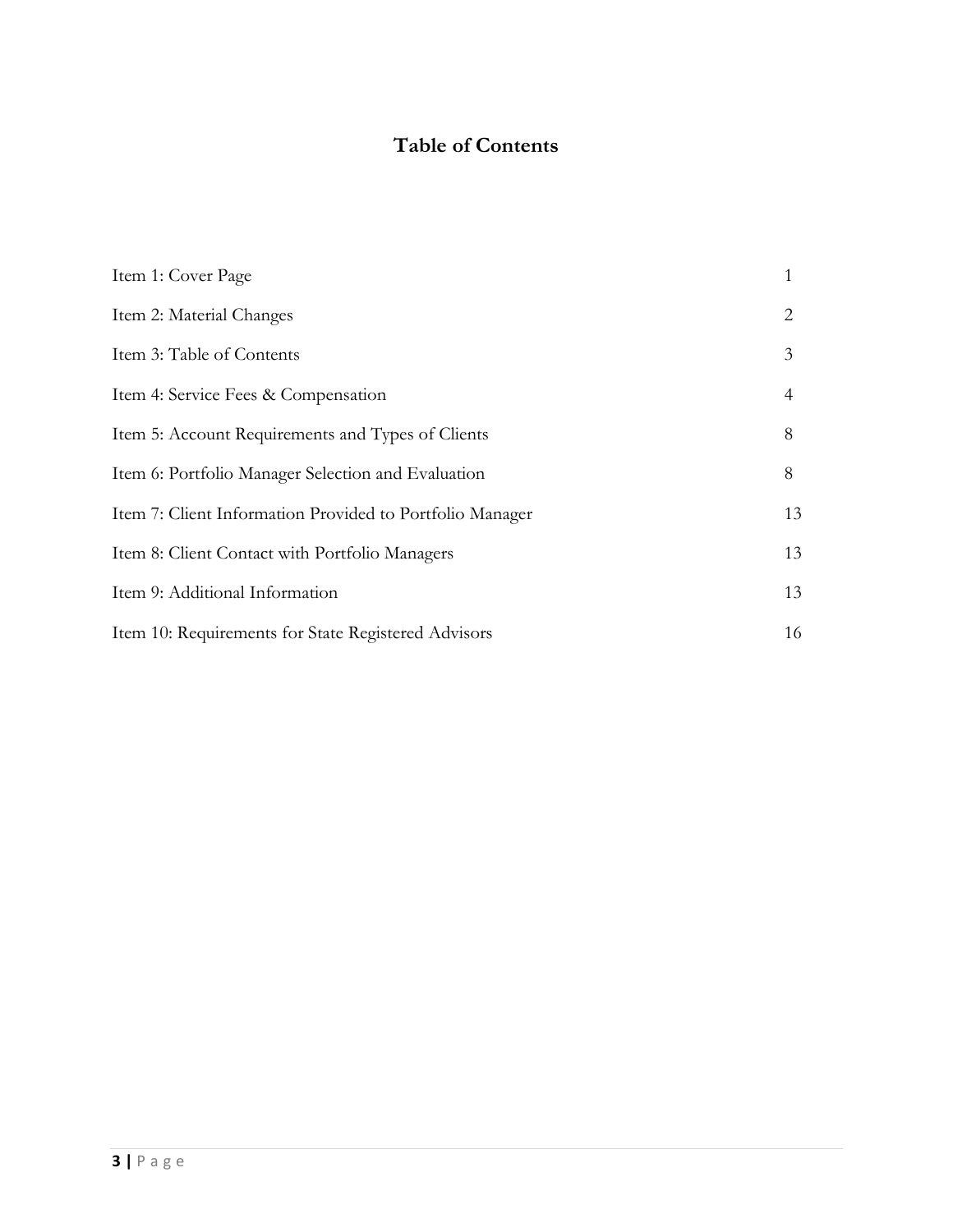## **Table of Contents**

| Item 1: Cover Page                                       |    |
|----------------------------------------------------------|----|
| Item 2: Material Changes                                 | 2  |
| Item 3: Table of Contents                                | 3  |
| Item 4: Service Fees & Compensation                      | 4  |
| Item 5: Account Requirements and Types of Clients        | 8  |
| Item 6: Portfolio Manager Selection and Evaluation       | 8  |
| Item 7: Client Information Provided to Portfolio Manager | 13 |
| Item 8: Client Contact with Portfolio Managers           | 13 |
| Item 9: Additional Information                           | 13 |
| Item 10: Requirements for State Registered Advisors      | 16 |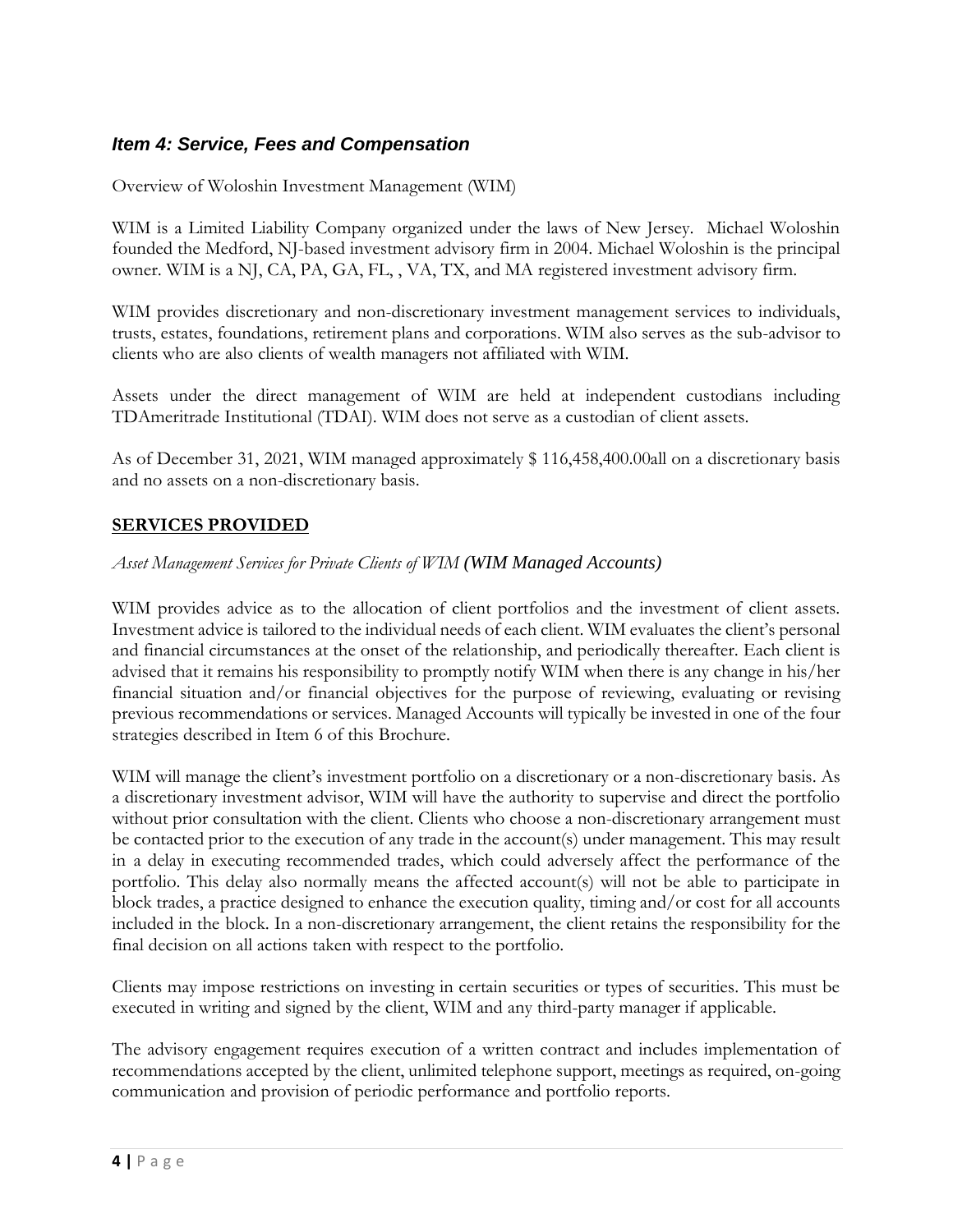## *Item 4: Service, Fees and Compensation*

Overview of Woloshin Investment Management (WIM)

WIM is a Limited Liability Company organized under the laws of New Jersey. Michael Woloshin founded the Medford, NJ-based investment advisory firm in 2004. Michael Woloshin is the principal owner. WIM is a NJ, CA, PA, GA, FL, , VA, TX, and MA registered investment advisory firm.

WIM provides discretionary and non-discretionary investment management services to individuals, trusts, estates, foundations, retirement plans and corporations. WIM also serves as the sub-advisor to clients who are also clients of wealth managers not affiliated with WIM.

Assets under the direct management of WIM are held at independent custodians including TDAmeritrade Institutional (TDAI). WIM does not serve as a custodian of client assets.

As of December 31, 2021, WIM managed approximately \$ 116,458,400.00all on a discretionary basis and no assets on a non-discretionary basis.

#### **SERVICES PROVIDED**

#### *Asset Management Services for Private Clients of WIM (WIM Managed Accounts)*

WIM provides advice as to the allocation of client portfolios and the investment of client assets. Investment advice is tailored to the individual needs of each client. WIM evaluates the client's personal and financial circumstances at the onset of the relationship, and periodically thereafter. Each client is advised that it remains his responsibility to promptly notify WIM when there is any change in his/her financial situation and/or financial objectives for the purpose of reviewing, evaluating or revising previous recommendations or services. Managed Accounts will typically be invested in one of the four strategies described in Item 6 of this Brochure.

WIM will manage the client's investment portfolio on a discretionary or a non-discretionary basis. As a discretionary investment advisor, WIM will have the authority to supervise and direct the portfolio without prior consultation with the client. Clients who choose a non-discretionary arrangement must be contacted prior to the execution of any trade in the account(s) under management. This may result in a delay in executing recommended trades, which could adversely affect the performance of the portfolio. This delay also normally means the affected account(s) will not be able to participate in block trades, a practice designed to enhance the execution quality, timing and/or cost for all accounts included in the block. In a non-discretionary arrangement, the client retains the responsibility for the final decision on all actions taken with respect to the portfolio.

Clients may impose restrictions on investing in certain securities or types of securities. This must be executed in writing and signed by the client, WIM and any third-party manager if applicable.

The advisory engagement requires execution of a written contract and includes implementation of recommendations accepted by the client, unlimited telephone support, meetings as required, on-going communication and provision of periodic performance and portfolio reports.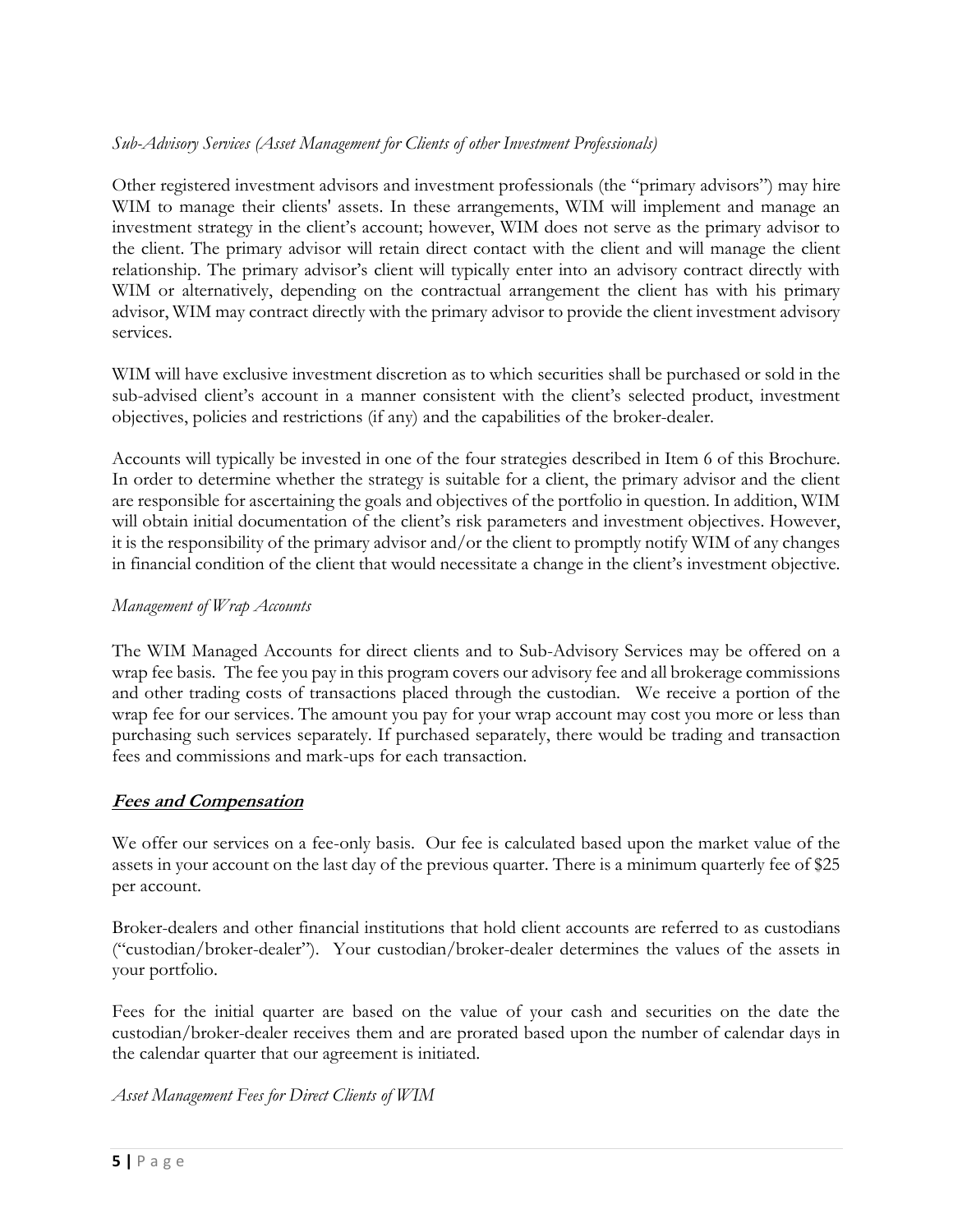## *Sub-Advisory Services (Asset Management for Clients of other Investment Professionals)*

Other registered investment advisors and investment professionals (the "primary advisors") may hire WIM to manage their clients' assets. In these arrangements, WIM will implement and manage an investment strategy in the client's account; however, WIM does not serve as the primary advisor to the client. The primary advisor will retain direct contact with the client and will manage the client relationship. The primary advisor's client will typically enter into an advisory contract directly with WIM or alternatively, depending on the contractual arrangement the client has with his primary advisor, WIM may contract directly with the primary advisor to provide the client investment advisory services.

WIM will have exclusive investment discretion as to which securities shall be purchased or sold in the sub-advised client's account in a manner consistent with the client's selected product, investment objectives, policies and restrictions (if any) and the capabilities of the broker-dealer.

Accounts will typically be invested in one of the four strategies described in Item 6 of this Brochure. In order to determine whether the strategy is suitable for a client, the primary advisor and the client are responsible for ascertaining the goals and objectives of the portfolio in question. In addition, WIM will obtain initial documentation of the client's risk parameters and investment objectives. However, it is the responsibility of the primary advisor and/or the client to promptly notify WIM of any changes in financial condition of the client that would necessitate a change in the client's investment objective.

### *Management of Wrap Accounts*

The WIM Managed Accounts for direct clients and to Sub-Advisory Services may be offered on a wrap fee basis. The fee you pay in this program covers our advisory fee and all brokerage commissions and other trading costs of transactions placed through the custodian. We receive a portion of the wrap fee for our services. The amount you pay for your wrap account may cost you more or less than purchasing such services separately. If purchased separately, there would be trading and transaction fees and commissions and mark-ups for each transaction.

## **Fees and Compensation**

We offer our services on a fee-only basis. Our fee is calculated based upon the market value of the assets in your account on the last day of the previous quarter. There is a minimum quarterly fee of \$25 per account.

Broker-dealers and other financial institutions that hold client accounts are referred to as custodians ("custodian/broker-dealer"). Your custodian/broker-dealer determines the values of the assets in your portfolio.

Fees for the initial quarter are based on the value of your cash and securities on the date the custodian/broker-dealer receives them and are prorated based upon the number of calendar days in the calendar quarter that our agreement is initiated.

*Asset Management Fees for Direct Clients of WIM*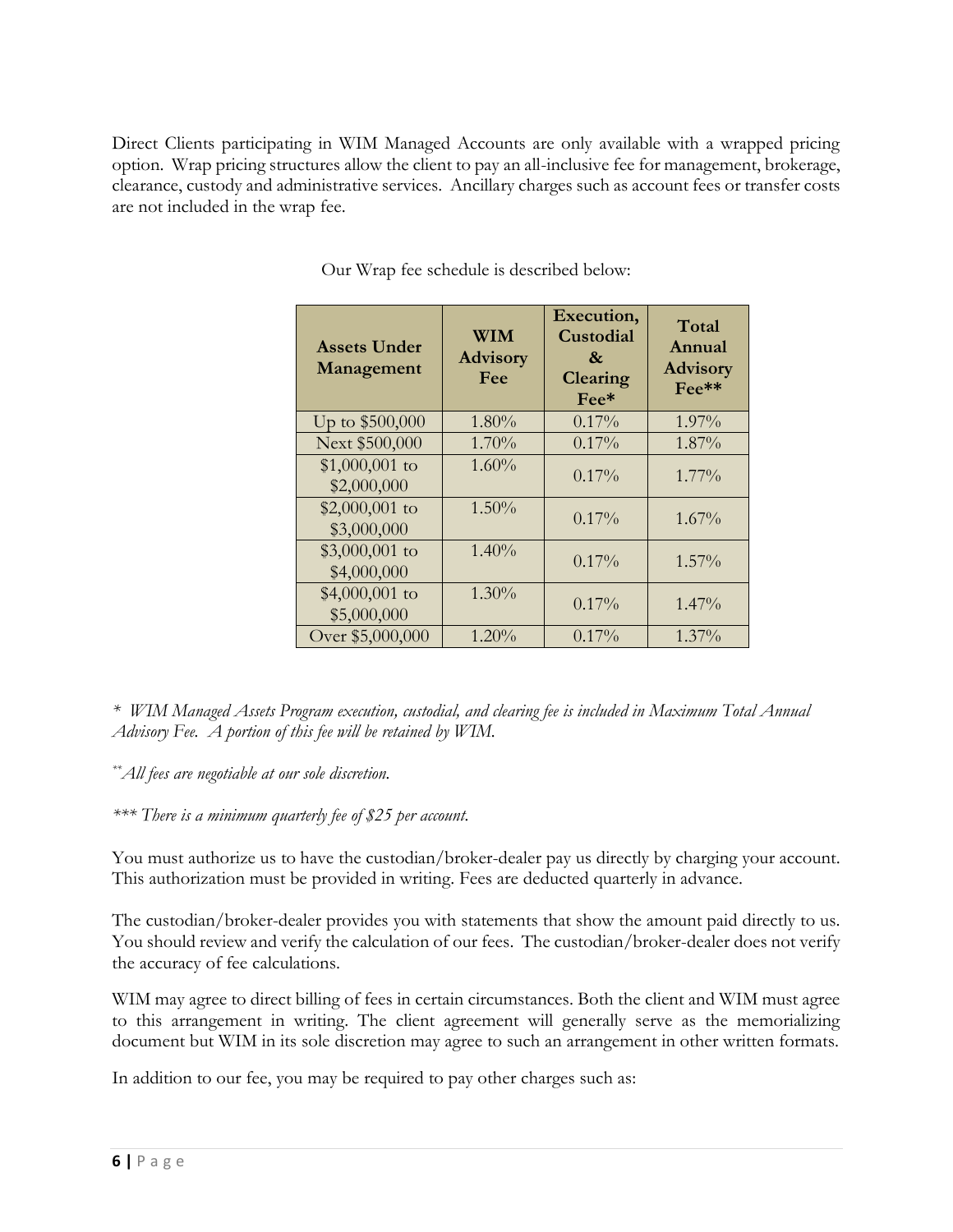Direct Clients participating in WIM Managed Accounts are only available with a wrapped pricing option. Wrap pricing structures allow the client to pay an all-inclusive fee for management, brokerage, clearance, custody and administrative services. Ancillary charges such as account fees or transfer costs are not included in the wrap fee.

| <b>Assets Under</b><br>Management | <b>WIM</b><br><b>Advisory</b><br>Fee | Execution,<br>Custodial<br>&<br>Clearing<br>Fee* | Total<br>Annual<br><b>Advisory</b><br>Fee** |
|-----------------------------------|--------------------------------------|--------------------------------------------------|---------------------------------------------|
| Up to \$500,000                   | 1.80%                                | $0.17\%$                                         | $1.97\%$                                    |
| Next \$500,000                    | $1.70\%$                             | 0.17%                                            | 1.87%                                       |
| $$1,000,001$ to<br>\$2,000,000    | 1.60%                                | $0.17\%$                                         | $1.77\%$                                    |
| $$2,000,001$ to<br>\$3,000,000    | $1.50\%$                             | 0.17%                                            | 1.67%                                       |
| $$3,000,001$ to<br>\$4,000,000    | $1.40\%$                             | 0.17%                                            | $1.57\%$                                    |
| $$4,000,001$ to<br>\$5,000,000    | $1.30\%$                             | 0.17%                                            | $1.47\%$                                    |
| Over \$5,000,000                  | $1.20\%$                             | 0.17%                                            | $1.37\%$                                    |

Our Wrap fee schedule is described below:

*\* WIM Managed Assets Program execution, custodial, and clearing fee is included in Maximum Total Annual Advisory Fee. A portion of this fee will be retained by WIM.* 

*\*\*All fees are negotiable at our sole discretion.*

*\*\*\* There is a minimum quarterly fee of \$25 per account.*

You must authorize us to have the custodian/broker-dealer pay us directly by charging your account. This authorization must be provided in writing. Fees are deducted quarterly in advance.

The custodian/broker-dealer provides you with statements that show the amount paid directly to us. You should review and verify the calculation of our fees. The custodian/broker-dealer does not verify the accuracy of fee calculations.

WIM may agree to direct billing of fees in certain circumstances. Both the client and WIM must agree to this arrangement in writing. The client agreement will generally serve as the memorializing document but WIM in its sole discretion may agree to such an arrangement in other written formats.

In addition to our fee, you may be required to pay other charges such as: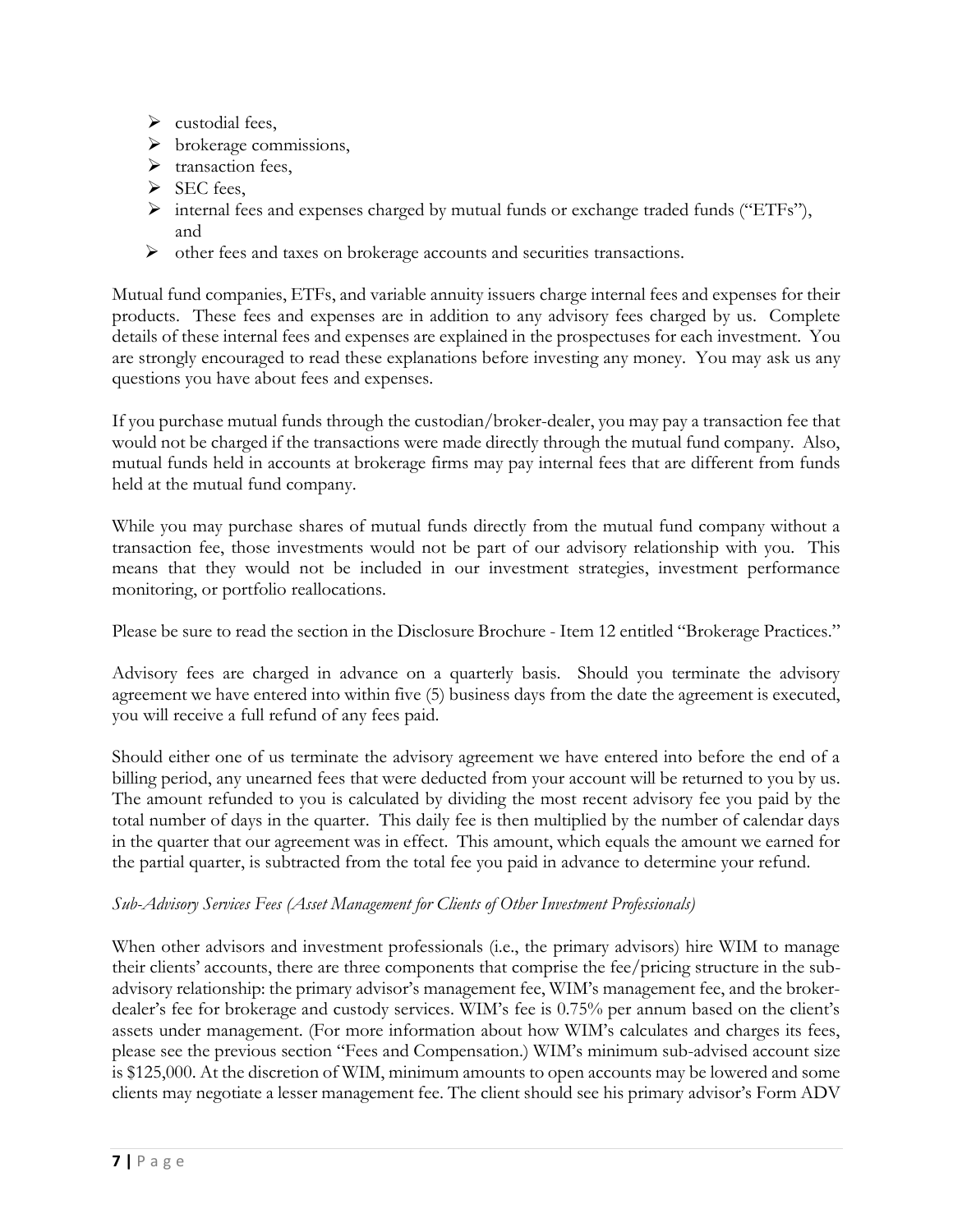- $\blacktriangleright$  custodial fees.
- ➢ brokerage commissions,
- ➢ transaction fees,
- ➢ SEC fees,
- ➢ internal fees and expenses charged by mutual funds or exchange traded funds ("ETFs"), and
- ➢ other fees and taxes on brokerage accounts and securities transactions.

Mutual fund companies, ETFs, and variable annuity issuers charge internal fees and expenses for their products. These fees and expenses are in addition to any advisory fees charged by us. Complete details of these internal fees and expenses are explained in the prospectuses for each investment. You are strongly encouraged to read these explanations before investing any money. You may ask us any questions you have about fees and expenses.

If you purchase mutual funds through the custodian/broker-dealer, you may pay a transaction fee that would not be charged if the transactions were made directly through the mutual fund company. Also, mutual funds held in accounts at brokerage firms may pay internal fees that are different from funds held at the mutual fund company.

While you may purchase shares of mutual funds directly from the mutual fund company without a transaction fee, those investments would not be part of our advisory relationship with you. This means that they would not be included in our investment strategies, investment performance monitoring, or portfolio reallocations.

Please be sure to read the section in the Disclosure Brochure - Item 12 entitled "Brokerage Practices."

Advisory fees are charged in advance on a quarterly basis. Should you terminate the advisory agreement we have entered into within five (5) business days from the date the agreement is executed, you will receive a full refund of any fees paid.

Should either one of us terminate the advisory agreement we have entered into before the end of a billing period, any unearned fees that were deducted from your account will be returned to you by us. The amount refunded to you is calculated by dividing the most recent advisory fee you paid by the total number of days in the quarter. This daily fee is then multiplied by the number of calendar days in the quarter that our agreement was in effect. This amount, which equals the amount we earned for the partial quarter, is subtracted from the total fee you paid in advance to determine your refund.

## *Sub-Advisory Services Fees (Asset Management for Clients of Other Investment Professionals)*

When other advisors and investment professionals (i.e., the primary advisors) hire WIM to manage their clients' accounts, there are three components that comprise the fee/pricing structure in the subadvisory relationship: the primary advisor's management fee, WIM's management fee, and the brokerdealer's fee for brokerage and custody services. WIM's fee is 0.75% per annum based on the client's assets under management. (For more information about how WIM's calculates and charges its fees, please see the previous section "Fees and Compensation.) WIM's minimum sub-advised account size is \$125,000. At the discretion of WIM, minimum amounts to open accounts may be lowered and some clients may negotiate a lesser management fee. The client should see his primary advisor's Form ADV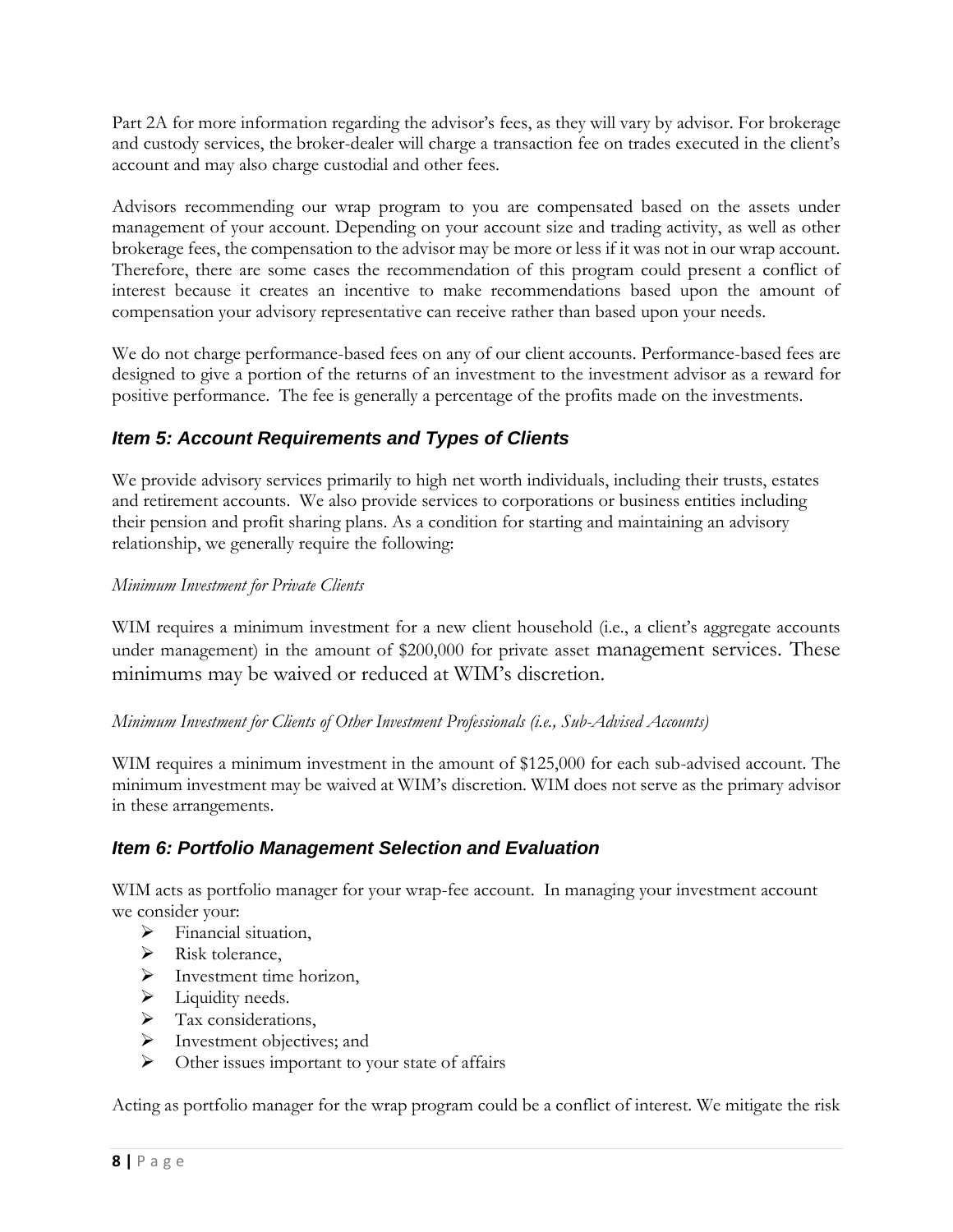Part 2A for more information regarding the advisor's fees, as they will vary by advisor. For brokerage and custody services, the broker-dealer will charge a transaction fee on trades executed in the client's account and may also charge custodial and other fees.

Advisors recommending our wrap program to you are compensated based on the assets under management of your account. Depending on your account size and trading activity, as well as other brokerage fees, the compensation to the advisor may be more or less if it was not in our wrap account. Therefore, there are some cases the recommendation of this program could present a conflict of interest because it creates an incentive to make recommendations based upon the amount of compensation your advisory representative can receive rather than based upon your needs.

We do not charge performance-based fees on any of our client accounts. Performance-based fees are designed to give a portion of the [returns](http://www.investorwords.com/4244/return.html) of an [investment](http://www.investorwords.com/2599/investment.html) to the investment [advisor](http://www.investorwords.com/2937/manager.html) as a [reward](http://www.businessdictionary.com/definition/reward.html) for [positive](http://www.investorwords.com/10659/positive.html) [performance.](http://www.investorwords.com/3665/performance.html) The fee is generally a [percentage](http://www.businessdictionary.com/definition/percentage.html) of the [profits](http://www.investorwords.com/3880/profit.html) made [on](http://www.investorwords.com/9376/cut_down_on.html) the investments.

## *Item 5: Account Requirements and Types of Clients*

We provide advisory services primarily to high net worth individuals, including their trusts, estates and retirement accounts. We also provide services to corporations or business entities including their pension and profit sharing plans. As a condition for starting and maintaining an advisory relationship, we generally require the following:

## *Minimum Investment for Private Clients*

WIM requires a minimum investment for a new client household (i.e., a client's aggregate accounts under management) in the amount of \$200,000 for private asset management services. These minimums may be waived or reduced at WIM's discretion.

#### *Minimum Investment for Clients of Other Investment Professionals (i.e., Sub-Advised Accounts)*

WIM requires a minimum investment in the amount of \$125,000 for each sub-advised account. The minimum investment may be waived at WIM's discretion. WIM does not serve as the primary advisor in these arrangements.

## *Item 6: Portfolio Management Selection and Evaluation*

WIM acts as portfolio manager for your wrap-fee account. In managing your investment account we consider your:

- ➢ Financial situation,
- ➢ Risk tolerance,
- ➢ Investment time horizon,
- $\blacktriangleright$  Liquidity needs.
- > Tax considerations,
- ➢ Investment objectives; and
- ➢ Other issues important to your state of affairs

Acting as portfolio manager for the wrap program could be a conflict of interest. We mitigate the risk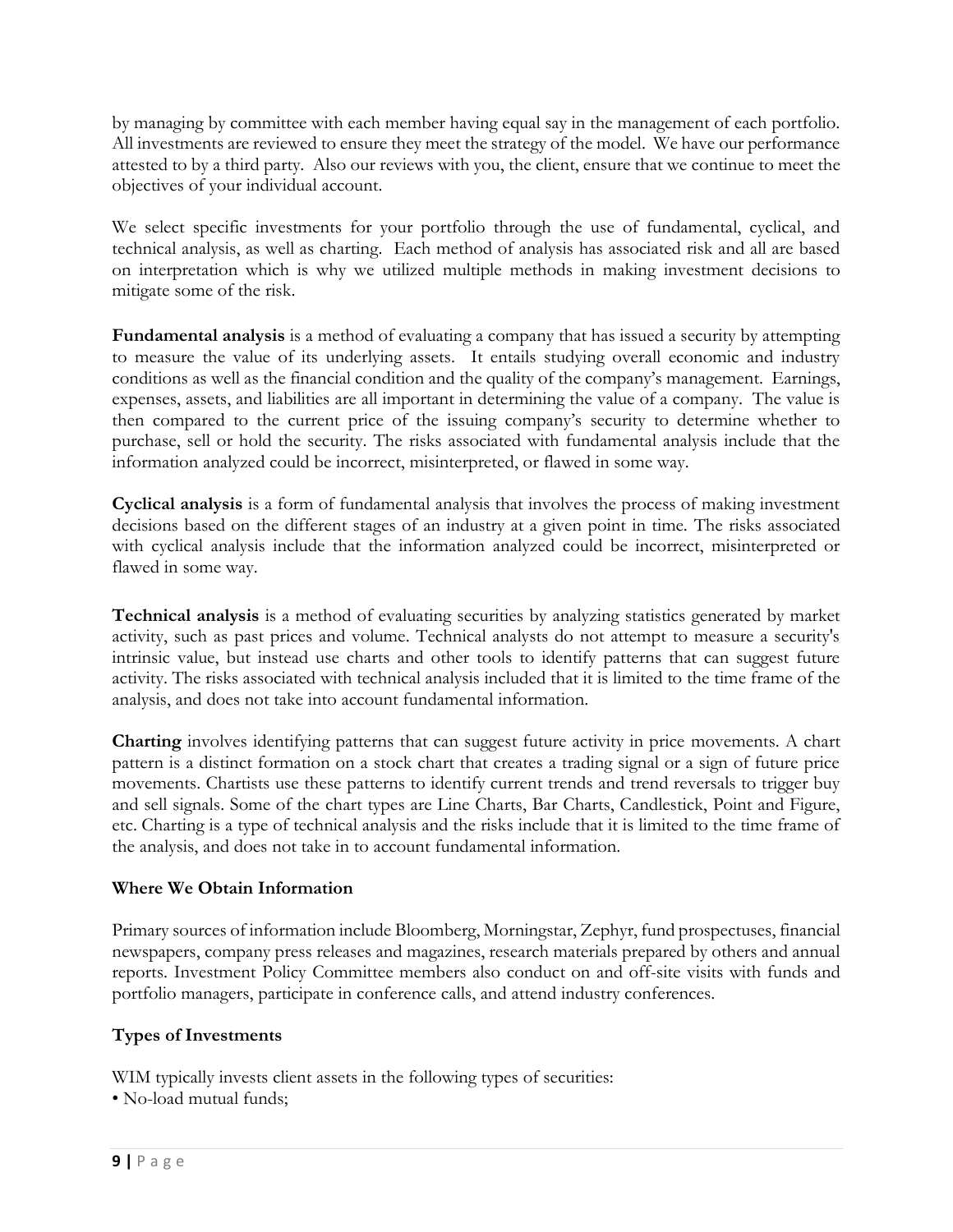by managing by committee with each member having equal say in the management of each portfolio. All investments are reviewed to ensure they meet the strategy of the model. We have our performance attested to by a third party. Also our reviews with you, the client, ensure that we continue to meet the objectives of your individual account.

We select specific investments for your portfolio through the use of fundamental, cyclical, and technical analysis, as well as charting. Each method of analysis has associated risk and all are based on interpretation which is why we utilized multiple methods in making investment decisions to mitigate some of the risk.

**Fundamental analysis** is a method of evaluating a company that has issued a security by attempting to measure the value of its underlying assets. It entails studying overall economic and industry conditions as well as the financial condition and the quality of the company's management. Earnings, expenses, assets, and liabilities are all important in determining the value of a company. The value is then compared to the current price of the issuing company's security to determine whether to purchase, sell or hold the security. The risks associated with fundamental analysis include that the information analyzed could be incorrect, misinterpreted, or flawed in some way.

**Cyclical analysis** is a form of fundamental analysis that involves the process of making investment decisions based on the different stages of an industry at a given point in time. The risks associated with cyclical analysis include that the information analyzed could be incorrect, misinterpreted or flawed in some way.

**Technical analysis** is a method of evaluating securities by analyzing statistics generated by market activity, such as past prices and volume. Technical analysts do not attempt to measure a security's intrinsic value, but instead use charts and other tools to identify patterns that can suggest future activity. The risks associated with technical analysis included that it is limited to the time frame of the analysis, and does not take into account fundamental information.

**Charting** involves identifying patterns that can suggest future activity in price movements. A chart pattern is a distinct formation on a stock chart that creates a trading signal or a sign of future price movements. Chartists use these patterns to identify current trends and trend reversals to trigger buy and sell signals. Some of the chart types are Line Charts, Bar Charts, Candlestick, Point and Figure, etc. Charting is a type of technical analysis and the risks include that it is limited to the time frame of the analysis, and does not take in to account fundamental information.

## **Where We Obtain Information**

Primary sources of information include Bloomberg, Morningstar, Zephyr, fund prospectuses, financial newspapers, company press releases and magazines, research materials prepared by others and annual reports. Investment Policy Committee members also conduct on and off-site visits with funds and portfolio managers, participate in conference calls, and attend industry conferences.

## **Types of Investments**

WIM typically invests client assets in the following types of securities:

• No-load mutual funds;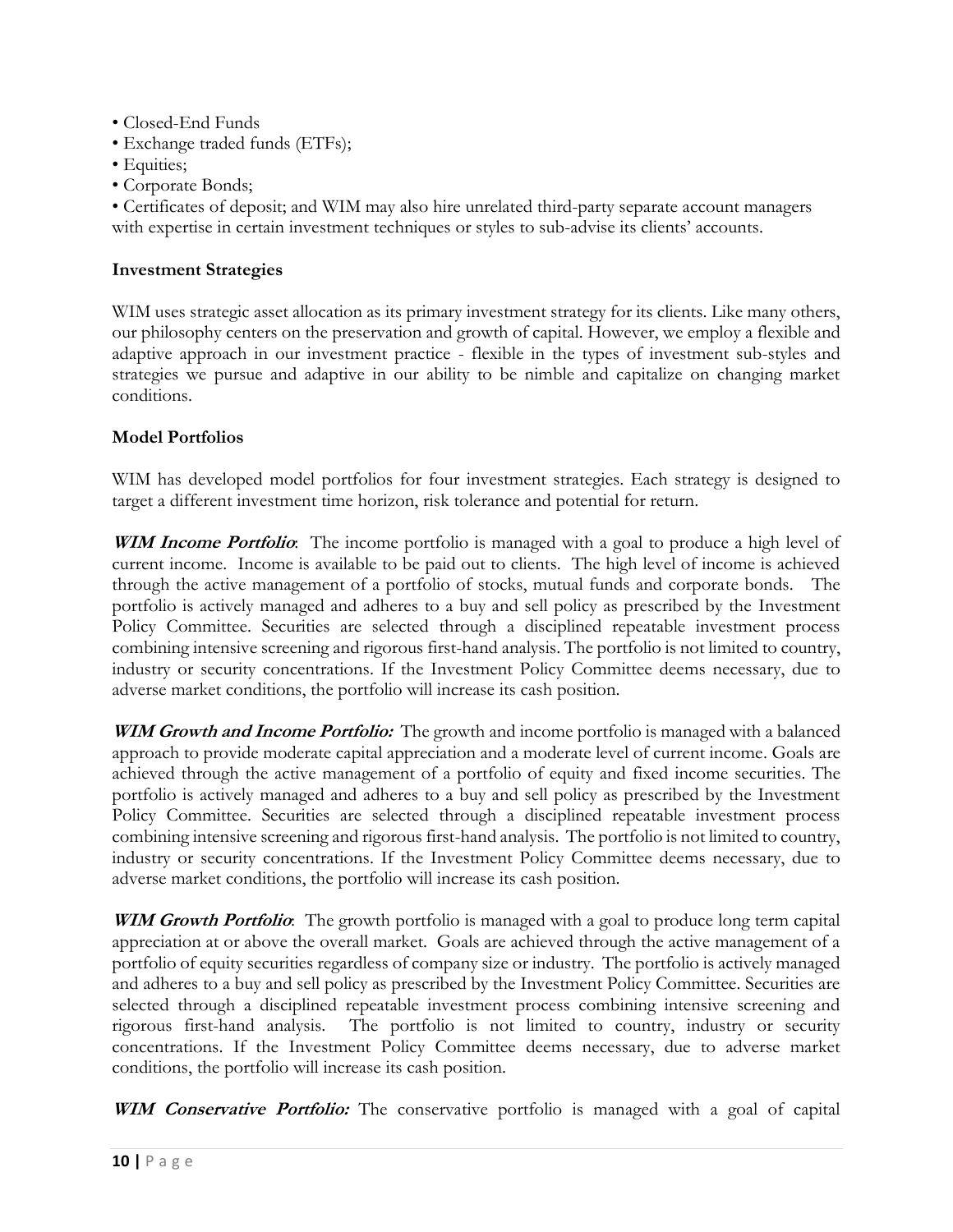- Closed-End Funds
- Exchange traded funds (ETFs);
- Equities;
- Corporate Bonds;

• Certificates of deposit; and WIM may also hire unrelated third-party separate account managers with expertise in certain investment techniques or styles to sub-advise its clients' accounts.

## **Investment Strategies**

WIM uses strategic asset allocation as its primary investment strategy for its clients. Like many others, our philosophy centers on the preservation and growth of capital. However, we employ a flexible and adaptive approach in our investment practice - flexible in the types of investment sub-styles and strategies we pursue and adaptive in our ability to be nimble and capitalize on changing market conditions.

## **Model Portfolios**

WIM has developed model portfolios for four investment strategies. Each strategy is designed to target a different investment time horizon, risk tolerance and potential for return.

**WIM Income Portfolio**: The income portfolio is managed with a goal to produce a high level of current income. Income is available to be paid out to clients. The high level of income is achieved through the active management of a portfolio of stocks, mutual funds and corporate bonds. The portfolio is actively managed and adheres to a buy and sell policy as prescribed by the Investment Policy Committee. Securities are selected through a disciplined repeatable investment process combining intensive screening and rigorous first-hand analysis. The portfolio is not limited to country, industry or security concentrations. If the Investment Policy Committee deems necessary, due to adverse market conditions, the portfolio will increase its cash position.

**WIM Growth and Income Portfolio:** The growth and income portfolio is managed with a balanced approach to provide moderate capital appreciation and a moderate level of current income. Goals are achieved through the active management of a portfolio of equity and fixed income securities. The portfolio is actively managed and adheres to a buy and sell policy as prescribed by the Investment Policy Committee. Securities are selected through a disciplined repeatable investment process combining intensive screening and rigorous first-hand analysis. The portfolio is not limited to country, industry or security concentrations. If the Investment Policy Committee deems necessary, due to adverse market conditions, the portfolio will increase its cash position.

**WIM Growth Portfolio**: The growth portfolio is managed with a goal to produce long term capital appreciation at or above the overall market. Goals are achieved through the active management of a portfolio of equity securities regardless of company size or industry. The portfolio is actively managed and adheres to a buy and sell policy as prescribed by the Investment Policy Committee. Securities are selected through a disciplined repeatable investment process combining intensive screening and rigorous first-hand analysis. The portfolio is not limited to country, industry or security concentrations. If the Investment Policy Committee deems necessary, due to adverse market conditions, the portfolio will increase its cash position.

**WIM Conservative Portfolio:** The conservative portfolio is managed with a goal of capital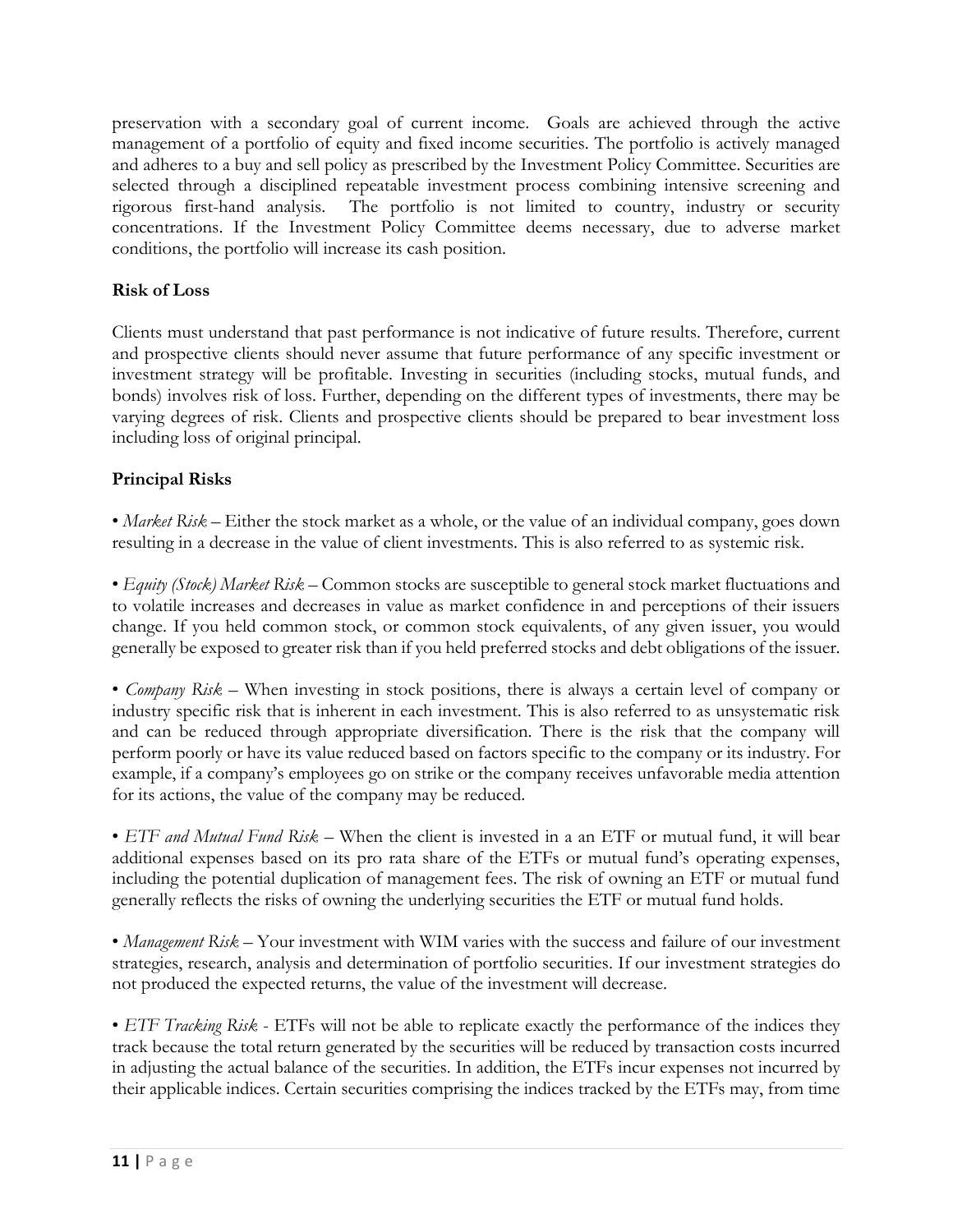preservation with a secondary goal of current income. Goals are achieved through the active management of a portfolio of equity and fixed income securities. The portfolio is actively managed and adheres to a buy and sell policy as prescribed by the Investment Policy Committee. Securities are selected through a disciplined repeatable investment process combining intensive screening and rigorous first-hand analysis. The portfolio is not limited to country, industry or security concentrations. If the Investment Policy Committee deems necessary, due to adverse market conditions, the portfolio will increase its cash position.

## **Risk of Loss**

Clients must understand that past performance is not indicative of future results. Therefore, current and prospective clients should never assume that future performance of any specific investment or investment strategy will be profitable. Investing in securities (including stocks, mutual funds, and bonds) involves risk of loss. Further, depending on the different types of investments, there may be varying degrees of risk. Clients and prospective clients should be prepared to bear investment loss including loss of original principal.

## **Principal Risks**

• *Market Risk* – Either the stock market as a whole, or the value of an individual company, goes down resulting in a decrease in the value of client investments. This is also referred to as systemic risk.

• *Equity (Stock) Market Risk* – Common stocks are susceptible to general stock market fluctuations and to volatile increases and decreases in value as market confidence in and perceptions of their issuers change. If you held common stock, or common stock equivalents, of any given issuer, you would generally be exposed to greater risk than if you held preferred stocks and debt obligations of the issuer.

• *Company Risk* – When investing in stock positions, there is always a certain level of company or industry specific risk that is inherent in each investment. This is also referred to as unsystematic risk and can be reduced through appropriate diversification. There is the risk that the company will perform poorly or have its value reduced based on factors specific to the company or its industry. For example, if a company's employees go on strike or the company receives unfavorable media attention for its actions, the value of the company may be reduced.

• *ETF and Mutual Fund Risk* – When the client is invested in a an ETF or mutual fund, it will bear additional expenses based on its pro rata share of the ETFs or mutual fund's operating expenses, including the potential duplication of management fees. The risk of owning an ETF or mutual fund generally reflects the risks of owning the underlying securities the ETF or mutual fund holds.

• *Management Risk* – Your investment with WIM varies with the success and failure of our investment strategies, research, analysis and determination of portfolio securities. If our investment strategies do not produced the expected returns, the value of the investment will decrease.

• *ETF Tracking Risk* - ETFs will not be able to replicate exactly the performance of the indices they track because the total return generated by the securities will be reduced by transaction costs incurred in adjusting the actual balance of the securities. In addition, the ETFs incur expenses not incurred by their applicable indices. Certain securities comprising the indices tracked by the ETFs may, from time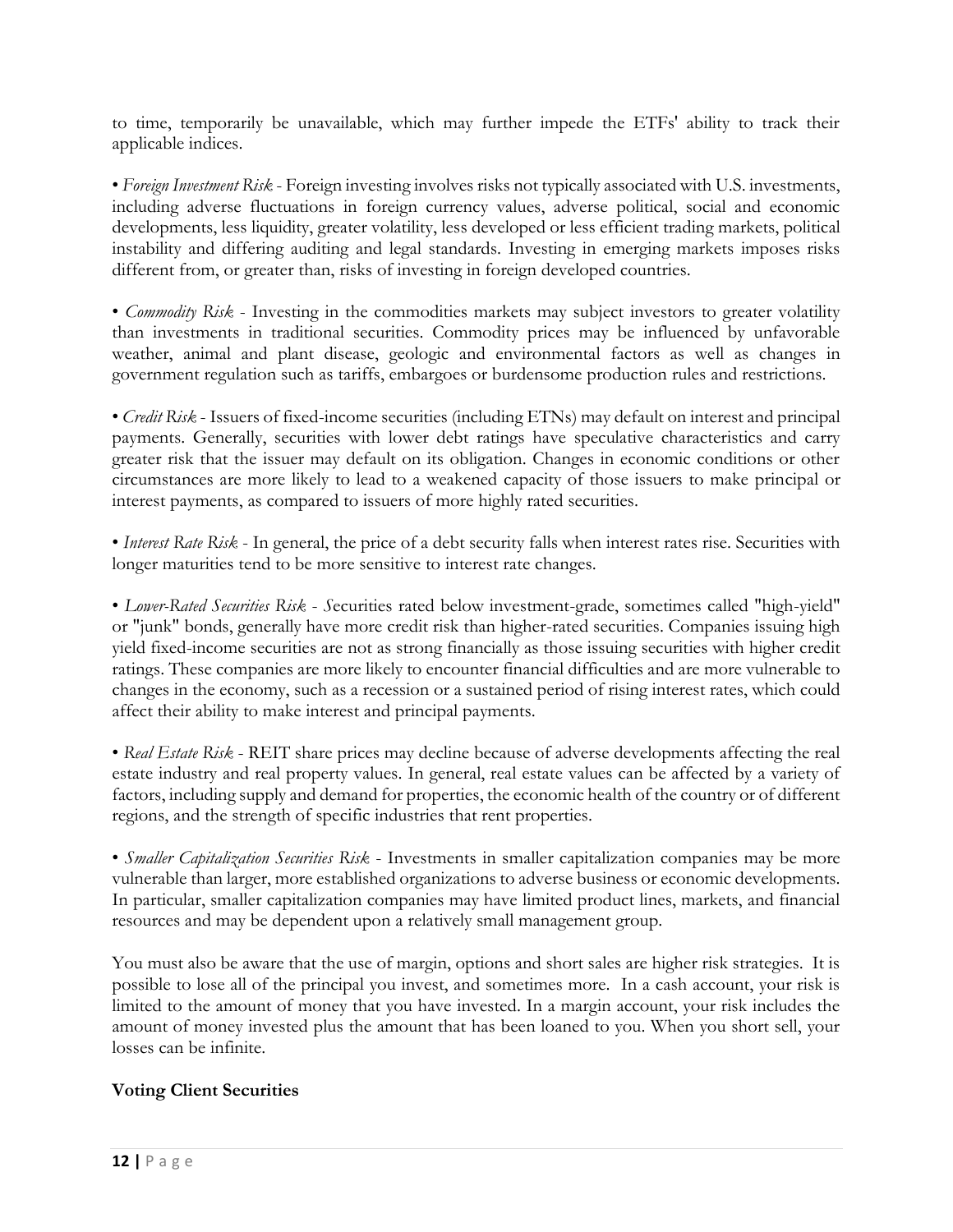to time, temporarily be unavailable, which may further impede the ETFs' ability to track their applicable indices.

• *Foreign Investment Risk* - Foreign investing involves risks not typically associated with U.S. investments, including adverse fluctuations in foreign currency values, adverse political, social and economic developments, less liquidity, greater volatility, less developed or less efficient trading markets, political instability and differing auditing and legal standards. Investing in emerging markets imposes risks different from, or greater than, risks of investing in foreign developed countries.

• *Commodity Risk* - Investing in the commodities markets may subject investors to greater volatility than investments in traditional securities. Commodity prices may be influenced by unfavorable weather, animal and plant disease, geologic and environmental factors as well as changes in government regulation such as tariffs, embargoes or burdensome production rules and restrictions.

• *Credit Risk* - Issuers of fixed-income securities (including ETNs) may default on interest and principal payments. Generally, securities with lower debt ratings have speculative characteristics and carry greater risk that the issuer may default on its obligation. Changes in economic conditions or other circumstances are more likely to lead to a weakened capacity of those issuers to make principal or interest payments, as compared to issuers of more highly rated securities.

• *Interest Rate Risk* - In general, the price of a debt security falls when interest rates rise. Securities with longer maturities tend to be more sensitive to interest rate changes.

• *Lower-Rated Securities Risk* - *S*ecurities rated below investment-grade, sometimes called "high-yield" or "junk" bonds, generally have more credit risk than higher-rated securities. Companies issuing high yield fixed-income securities are not as strong financially as those issuing securities with higher credit ratings. These companies are more likely to encounter financial difficulties and are more vulnerable to changes in the economy, such as a recession or a sustained period of rising interest rates, which could affect their ability to make interest and principal payments.

• *Real Estate Risk* - REIT share prices may decline because of adverse developments affecting the real estate industry and real property values. In general, real estate values can be affected by a variety of factors, including supply and demand for properties, the economic health of the country or of different regions, and the strength of specific industries that rent properties.

• *Smaller Capitalization Securities Risk* - Investments in smaller capitalization companies may be more vulnerable than larger, more established organizations to adverse business or economic developments. In particular, smaller capitalization companies may have limited product lines, markets, and financial resources and may be dependent upon a relatively small management group.

You must also be aware that the use of margin, options and short sales are higher risk strategies. It is possible to lose all of the principal you invest, and sometimes more. In a cash account, your risk is limited to the amount of money that you have invested. In a margin account, your risk includes the amount of money invested plus the amount that has been loaned to you. When you short sell, your losses can be infinite.

## **Voting Client Securities**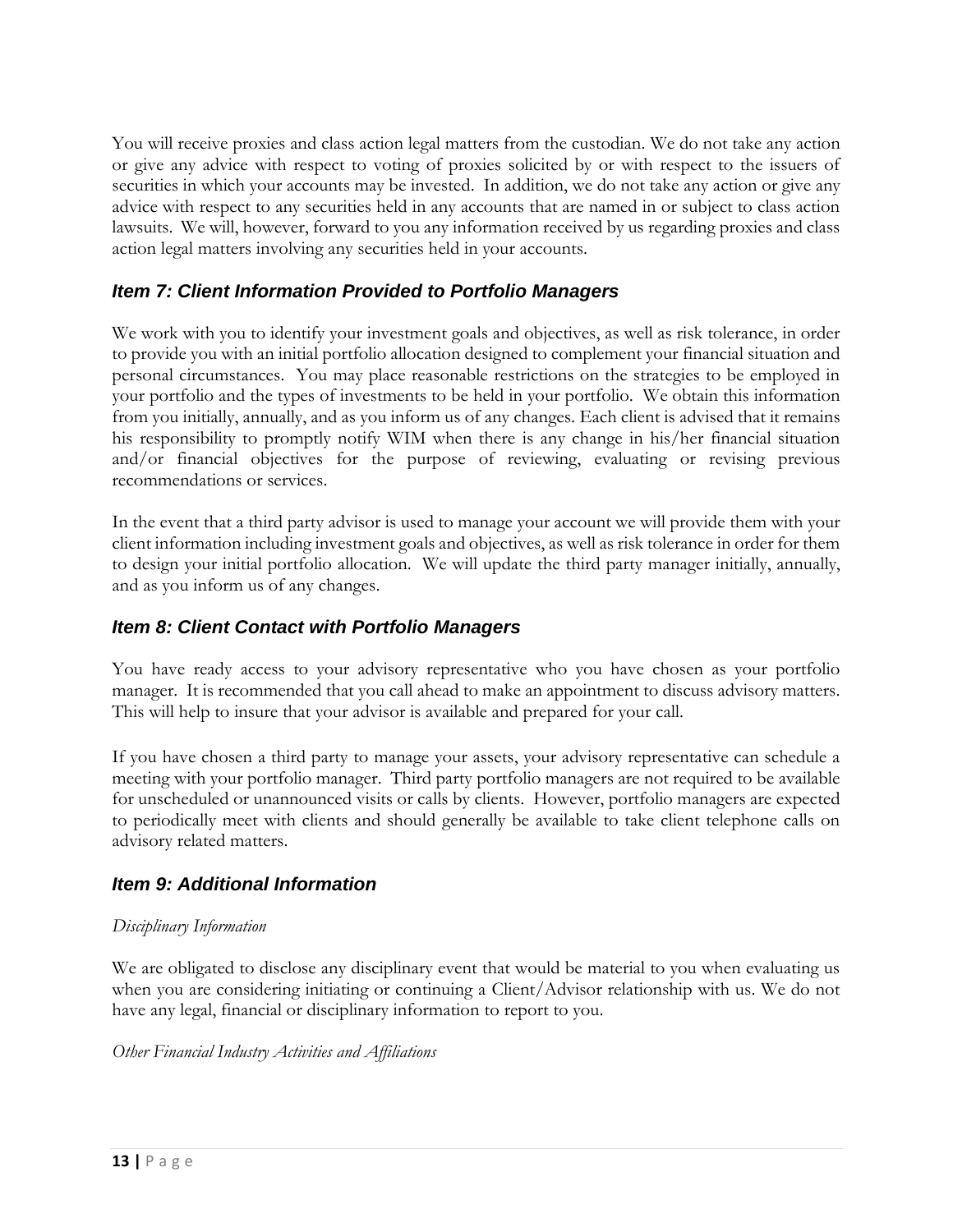You will receive proxies and class action legal matters from the custodian. We do not take any action or give any advice with respect to voting of proxies solicited by or with respect to the issuers of securities in which your accounts may be invested. In addition, we do not take any action or give any advice with respect to any securities held in any accounts that are named in or subject to class action lawsuits. We will, however, forward to you any information received by us regarding proxies and class action legal matters involving any securities held in your accounts.

## *Item 7: Client Information Provided to Portfolio Managers*

We work with you to identify your investment goals and objectives, as well as risk tolerance, in order to provide you with an initial portfolio allocation designed to complement your financial situation and personal circumstances. You may place reasonable restrictions on the strategies to be employed in your portfolio and the types of investments to be held in your portfolio. We obtain this information from you initially, annually, and as you inform us of any changes. Each client is advised that it remains his responsibility to promptly notify WIM when there is any change in his/her financial situation and/or financial objectives for the purpose of reviewing, evaluating or revising previous recommendations or services.

In the event that a third party advisor is used to manage your account we will provide them with your client information including investment goals and objectives, as well as risk tolerance in order for them to design your initial portfolio allocation. We will update the third party manager initially, annually, and as you inform us of any changes.

## *Item 8: Client Contact with Portfolio Managers*

You have ready access to your advisory representative who you have chosen as your portfolio manager. It is recommended that you call ahead to make an appointment to discuss advisory matters. This will help to insure that your advisor is available and prepared for your call.

If you have chosen a third party to manage your assets, your advisory representative can schedule a meeting with your portfolio manager. Third party portfolio managers are not required to be available for unscheduled or unannounced visits or calls by clients. However, portfolio managers are expected to periodically meet with clients and should generally be available to take client telephone calls on advisory related matters.

## *Item 9: Additional Information*

#### *Disciplinary Information*

We are obligated to disclose any disciplinary event that would be material to you when evaluating us when you are considering initiating or continuing a Client/Advisor relationship with us. We do not have any legal, financial or disciplinary information to report to you.

*Other Financial Industry Activities and Affiliations*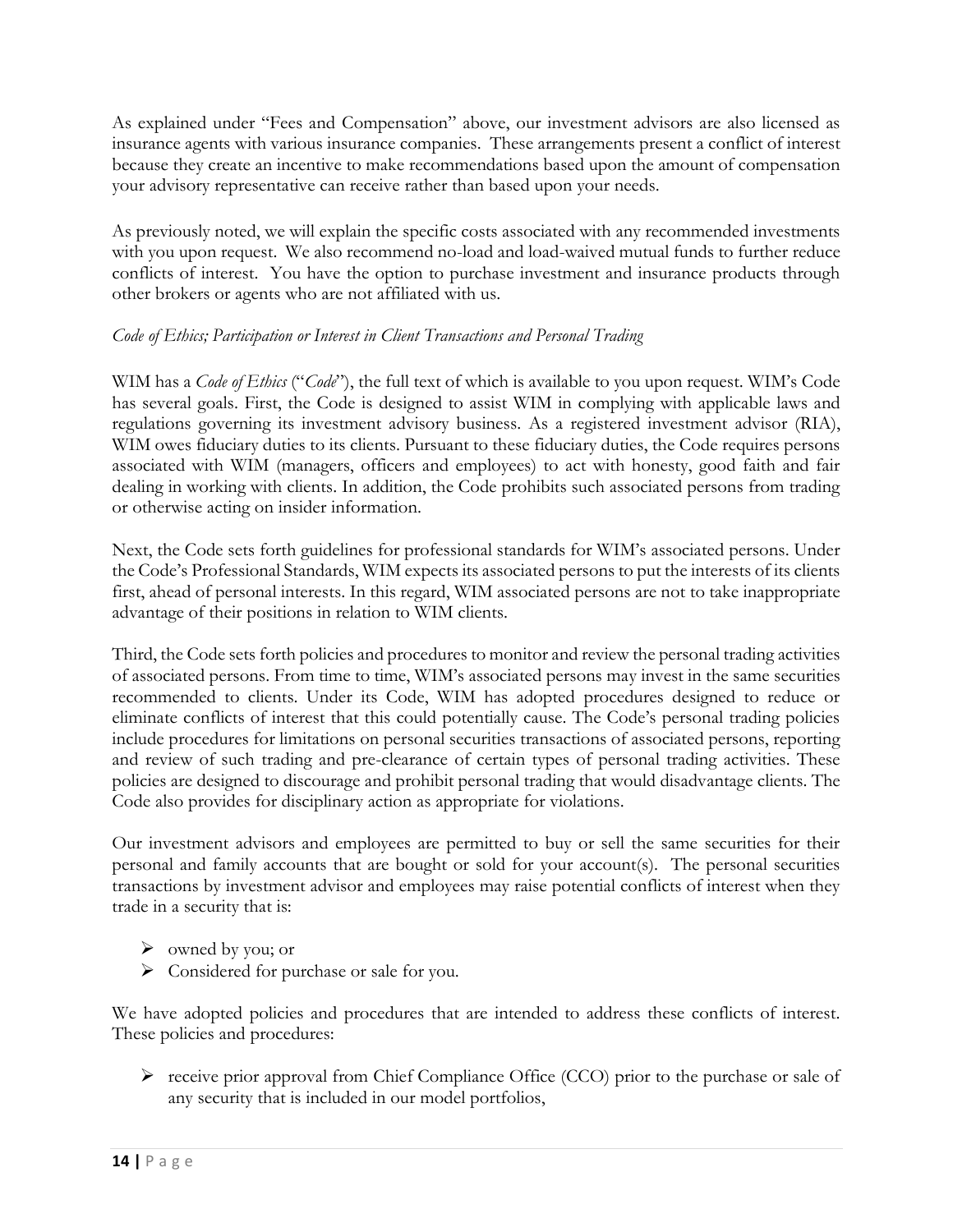As explained under "Fees and Compensation" above, our investment advisors are also licensed as insurance agents with various insurance companies. These arrangements present a conflict of interest because they create an incentive to make recommendations based upon the amount of compensation your advisory representative can receive rather than based upon your needs.

As previously noted, we will explain the specific costs associated with any recommended investments with you upon request. We also recommend no-load and load-waived mutual funds to further reduce conflicts of interest. You have the option to purchase investment and insurance products through other brokers or agents who are not affiliated with us.

## *Code of Ethics; Participation or Interest in Client Transactions and Personal Trading*

WIM has a *Code of Ethics* ("*Code*"), the full text of which is available to you upon request. WIM's Code has several goals. First, the Code is designed to assist WIM in complying with applicable laws and regulations governing its investment advisory business. As a registered investment advisor (RIA), WIM owes fiduciary duties to its clients. Pursuant to these fiduciary duties, the Code requires persons associated with WIM (managers, officers and employees) to act with honesty, good faith and fair dealing in working with clients. In addition, the Code prohibits such associated persons from trading or otherwise acting on insider information.

Next, the Code sets forth guidelines for professional standards for WIM's associated persons. Under the Code's Professional Standards, WIM expects its associated persons to put the interests of its clients first, ahead of personal interests. In this regard, WIM associated persons are not to take inappropriate advantage of their positions in relation to WIM clients.

Third, the Code sets forth policies and procedures to monitor and review the personal trading activities of associated persons. From time to time, WIM's associated persons may invest in the same securities recommended to clients. Under its Code, WIM has adopted procedures designed to reduce or eliminate conflicts of interest that this could potentially cause. The Code's personal trading policies include procedures for limitations on personal securities transactions of associated persons, reporting and review of such trading and pre-clearance of certain types of personal trading activities. These policies are designed to discourage and prohibit personal trading that would disadvantage clients. The Code also provides for disciplinary action as appropriate for violations.

Our investment advisors and employees are permitted to buy or sell the same securities for their personal and family accounts that are bought or sold for your account(s). The personal securities transactions by investment advisor and employees may raise potential conflicts of interest when they trade in a security that is:

- ➢ owned by you; or
- ➢ Considered for purchase or sale for you.

We have adopted policies and procedures that are intended to address these conflicts of interest. These policies and procedures:

➢ receive prior approval from Chief Compliance Office (CCO) prior to the purchase or sale of any security that is included in our model portfolios,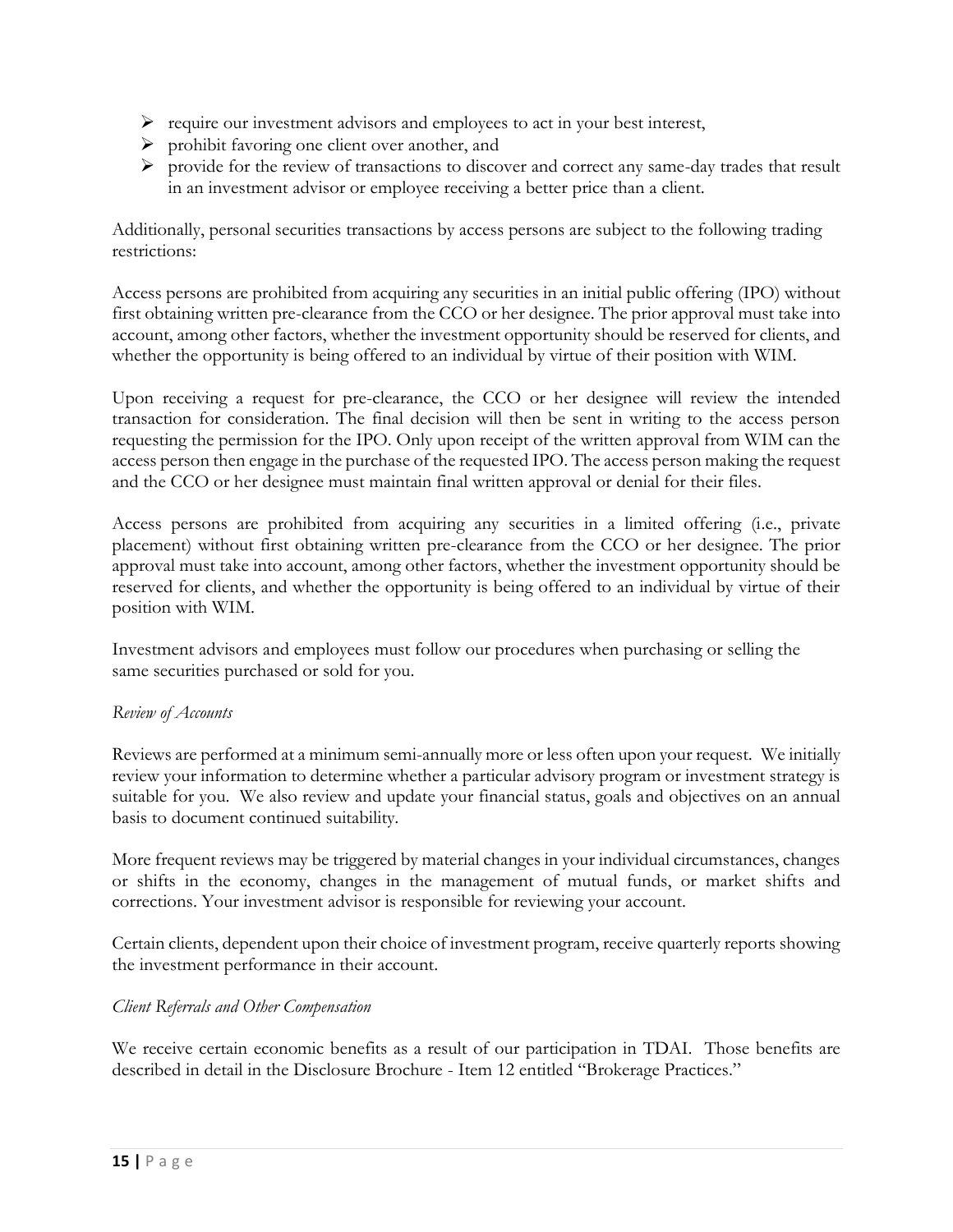- ➢ require our investment advisors and employees to act in your best interest,
- ➢ prohibit favoring one client over another, and
- ➢ provide for the review of transactions to discover and correct any same-day trades that result in an investment advisor or employee receiving a better price than a client.

Additionally, personal securities transactions by access persons are subject to the following trading restrictions:

Access persons are prohibited from acquiring any securities in an initial public offering (IPO) without first obtaining written pre-clearance from the CCO or her designee. The prior approval must take into account, among other factors, whether the investment opportunity should be reserved for clients, and whether the opportunity is being offered to an individual by virtue of their position with WIM.

Upon receiving a request for pre-clearance, the CCO or her designee will review the intended transaction for consideration. The final decision will then be sent in writing to the access person requesting the permission for the IPO. Only upon receipt of the written approval from WIM can the access person then engage in the purchase of the requested IPO. The access person making the request and the CCO or her designee must maintain final written approval or denial for their files.

Access persons are prohibited from acquiring any securities in a limited offering (i.e., private placement) without first obtaining written pre-clearance from the CCO or her designee. The prior approval must take into account, among other factors, whether the investment opportunity should be reserved for clients, and whether the opportunity is being offered to an individual by virtue of their position with WIM.

Investment advisors and employees must follow our procedures when purchasing or selling the same securities purchased or sold for you.

#### *Review of Accounts*

Reviews are performed at a minimum semi-annually more or less often upon your request. We initially review your information to determine whether a particular advisory program or investment strategy is suitable for you. We also review and update your financial status, goals and objectives on an annual basis to document continued suitability.

More frequent reviews may be triggered by material changes in your individual circumstances, changes or shifts in the economy, changes in the management of mutual funds, or market shifts and corrections. Your investment advisor is responsible for reviewing your account.

Certain clients, dependent upon their choice of investment program, receive quarterly reports showing the investment performance in their account.

#### *Client Referrals and Other Compensation*

We receive certain economic benefits as a result of our participation in TDAI. Those benefits are described in detail in the Disclosure Brochure - Item 12 entitled "Brokerage Practices."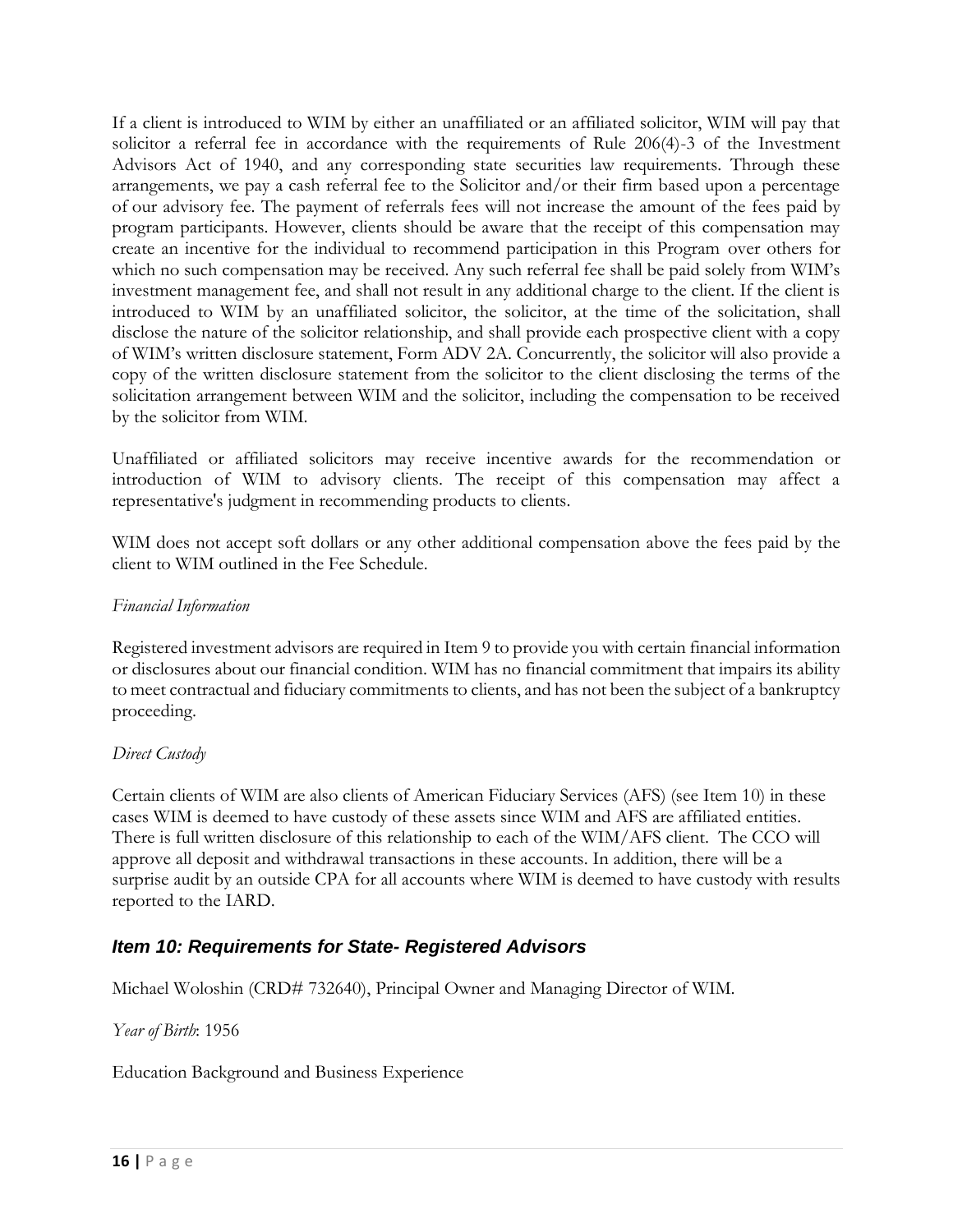If a client is introduced to WIM by either an unaffiliated or an affiliated solicitor, WIM will pay that solicitor a referral fee in accordance with the requirements of Rule 206(4)-3 of the Investment Advisors Act of 1940, and any corresponding state securities law requirements. Through these arrangements, we pay a cash referral fee to the Solicitor and/or their firm based upon a percentage of our advisory fee. The payment of referrals fees will not increase the amount of the fees paid by program participants. However, clients should be aware that the receipt of this compensation may create an incentive for the individual to recommend participation in this Program over others for which no such compensation may be received. Any such referral fee shall be paid solely from WIM's investment management fee, and shall not result in any additional charge to the client. If the client is introduced to WIM by an unaffiliated solicitor, the solicitor, at the time of the solicitation, shall disclose the nature of the solicitor relationship, and shall provide each prospective client with a copy of WIM's written disclosure statement, Form ADV 2A. Concurrently, the solicitor will also provide a copy of the written disclosure statement from the solicitor to the client disclosing the terms of the solicitation arrangement between WIM and the solicitor, including the compensation to be received by the solicitor from WIM.

Unaffiliated or affiliated solicitors may receive incentive awards for the recommendation or introduction of WIM to advisory clients. The receipt of this compensation may affect a representative's judgment in recommending products to clients.

WIM does not accept soft dollars or any other additional compensation above the fees paid by the client to WIM outlined in the Fee Schedule.

#### *Financial Information*

Registered investment advisors are required in Item 9 to provide you with certain financial information or disclosures about our financial condition. WIM has no financial commitment that impairs its ability to meet contractual and fiduciary commitments to clients, and has not been the subject of a bankruptcy proceeding.

#### *Direct Custody*

Certain clients of WIM are also clients of American Fiduciary Services (AFS) (see Item 10) in these cases WIM is deemed to have custody of these assets since WIM and AFS are affiliated entities. There is full written disclosure of this relationship to each of the WIM/AFS client. The CCO will approve all deposit and withdrawal transactions in these accounts. In addition, there will be a surprise audit by an outside CPA for all accounts where WIM is deemed to have custody with results reported to the IARD.

## *Item 10: Requirements for State- Registered Advisors*

Michael Woloshin (CRD# 732640), Principal Owner and Managing Director of WIM.

#### *Year of Birth*: 1956

Education Background and Business Experience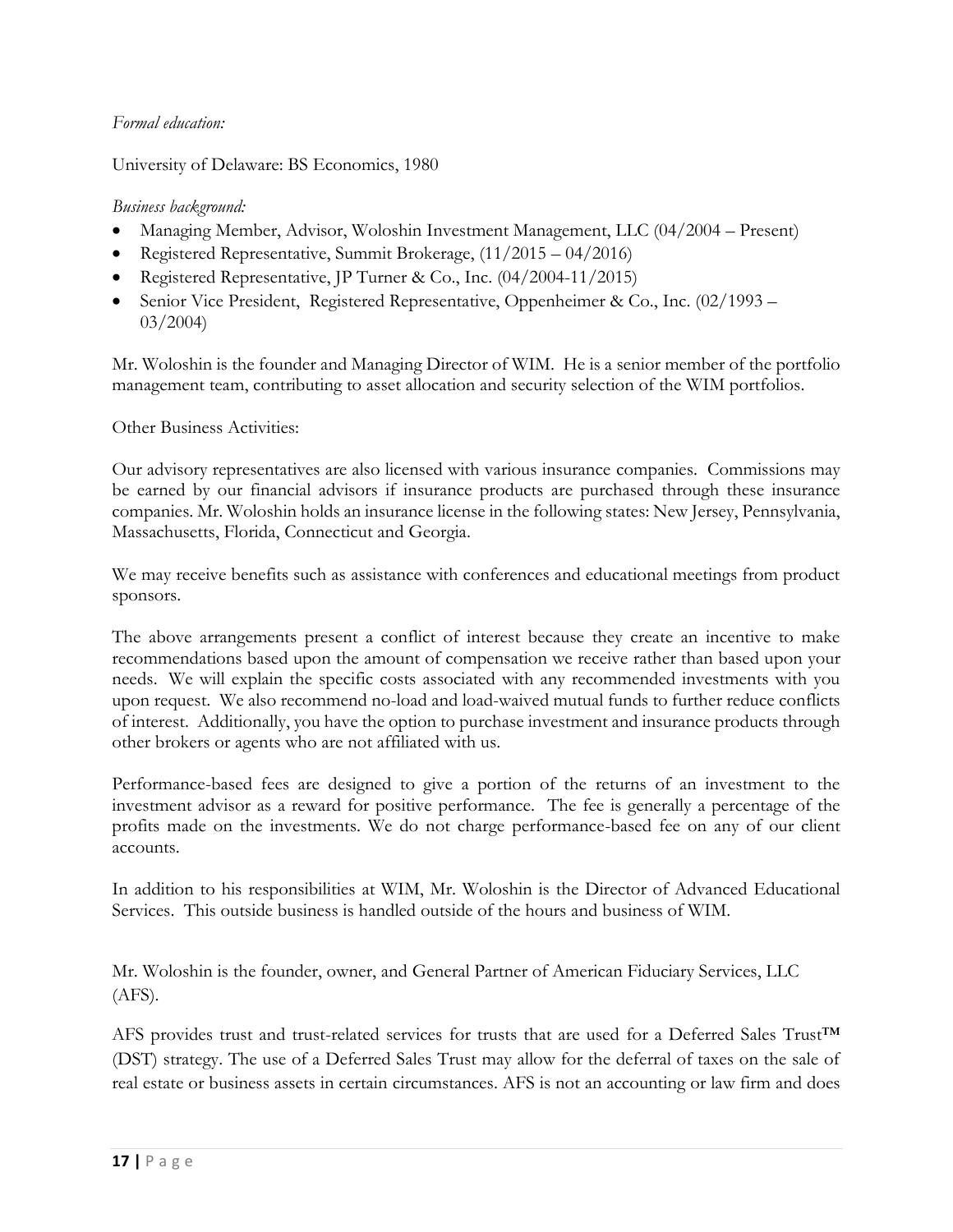#### *Formal education:*

University of Delaware: BS Economics, 1980

#### *Business background:*

- Managing Member, Advisor, Woloshin Investment Management, LLC (04/2004 Present)
- Registered Representative, Summit Brokerage,  $(11/2015 04/2016)$
- Registered Representative, JP Turner & Co., Inc. (04/2004-11/2015)
- Senior Vice President, Registered Representative, Oppenheimer & Co., Inc. (02/1993 03/2004)

Mr. Woloshin is the founder and Managing Director of WIM. He is a senior member of the portfolio management team, contributing to asset allocation and security selection of the WIM portfolios.

Other Business Activities:

Our advisory representatives are also licensed with various insurance companies. Commissions may be earned by our financial advisors if insurance products are purchased through these insurance companies. Mr. Woloshin holds an insurance license in the following states: New Jersey, Pennsylvania, Massachusetts, Florida, Connecticut and Georgia.

We may receive benefits such as assistance with conferences and educational meetings from product sponsors.

The above arrangements present a conflict of interest because they create an incentive to make recommendations based upon the amount of compensation we receive rather than based upon your needs. We will explain the specific costs associated with any recommended investments with you upon request. We also recommend no-load and load-waived mutual funds to further reduce conflicts of interest. Additionally, you have the option to purchase investment and insurance products through other brokers or agents who are not affiliated with us.

Performance-based fees are designed to give a portion of the returns of an investment to the investment advisor as a reward for positive performance. The fee is generally a percentage of the profits made on the investments. We do not charge performance-based fee on any of our client accounts.

In addition to his responsibilities at WIM, Mr. Woloshin is the Director of Advanced Educational Services. This outside business is handled outside of the hours and business of WIM.

Mr. Woloshin is the founder, owner, and General Partner of American Fiduciary Services, LLC (AFS).

AFS provides trust and trust-related services for trusts that are used for a Deferred Sales Trust™ (DST) strategy. The use of a Deferred Sales Trust may allow for the deferral of taxes on the sale of real estate or business assets in certain circumstances. AFS is not an accounting or law firm and does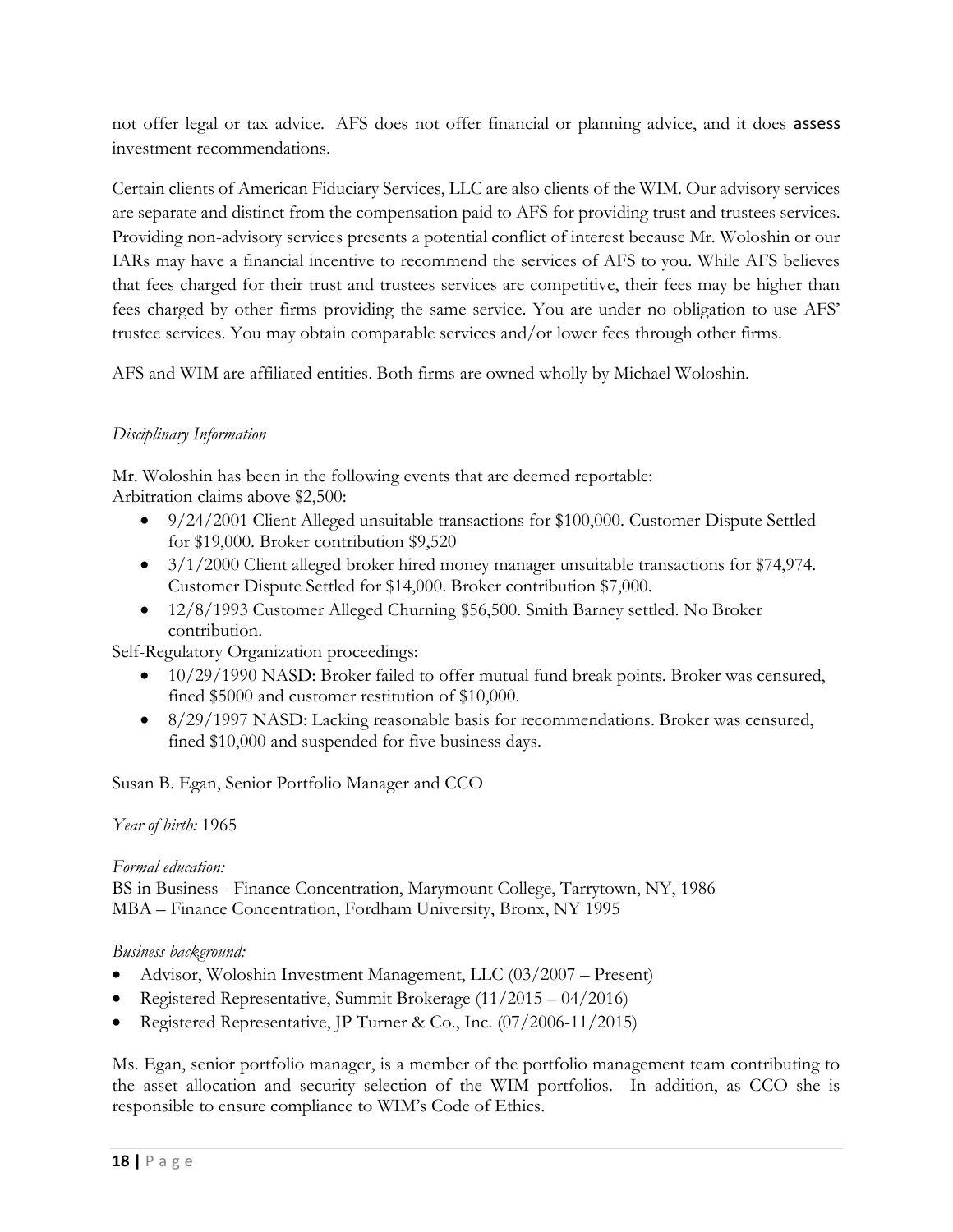not offer legal or tax advice. AFS does not offer financial or planning advice, and it does assess investment recommendations.

Certain clients of American Fiduciary Services, LLC are also clients of the WIM. Our advisory services are separate and distinct from the compensation paid to AFS for providing trust and trustees services. Providing non-advisory services presents a potential conflict of interest because Mr. Woloshin or our IARs may have a financial incentive to recommend the services of AFS to you. While AFS believes that fees charged for their trust and trustees services are competitive, their fees may be higher than fees charged by other firms providing the same service. You are under no obligation to use AFS' trustee services. You may obtain comparable services and/or lower fees through other firms.

AFS and WIM are affiliated entities. Both firms are owned wholly by Michael Woloshin.

## *Disciplinary Information*

Mr. Woloshin has been in the following events that are deemed reportable: Arbitration claims above \$2,500:

- 9/24/2001 Client Alleged unsuitable transactions for \$100,000. Customer Dispute Settled for \$19,000. Broker contribution \$9,520
- 3/1/2000 Client alleged broker hired money manager unsuitable transactions for \$74,974. Customer Dispute Settled for \$14,000. Broker contribution \$7,000.
- 12/8/1993 Customer Alleged Churning \$56,500. Smith Barney settled. No Broker contribution.

Self-Regulatory Organization proceedings:

- 10/29/1990 NASD: Broker failed to offer mutual fund break points. Broker was censured, fined \$5000 and customer restitution of \$10,000.
- 8/29/1997 NASD: Lacking reasonable basis for recommendations. Broker was censured, fined \$10,000 and suspended for five business days.

Susan B. Egan, Senior Portfolio Manager and CCO

*Year of birth:* 1965

*Formal education:* BS in Business - Finance Concentration, Marymount College, Tarrytown, NY, 1986 MBA – Finance Concentration, Fordham University, Bronx, NY 1995

#### *Business background:*

- Advisor, Woloshin Investment Management, LLC (03/2007 Present)
- Registered Representative, Summit Brokerage (11/2015 04/2016)
- Registered Representative, JP Turner & Co., Inc. (07/2006-11/2015)

Ms. Egan, senior portfolio manager, is a member of the portfolio management team contributing to the asset allocation and security selection of the WIM portfolios. In addition, as CCO she is responsible to ensure compliance to WIM's Code of Ethics.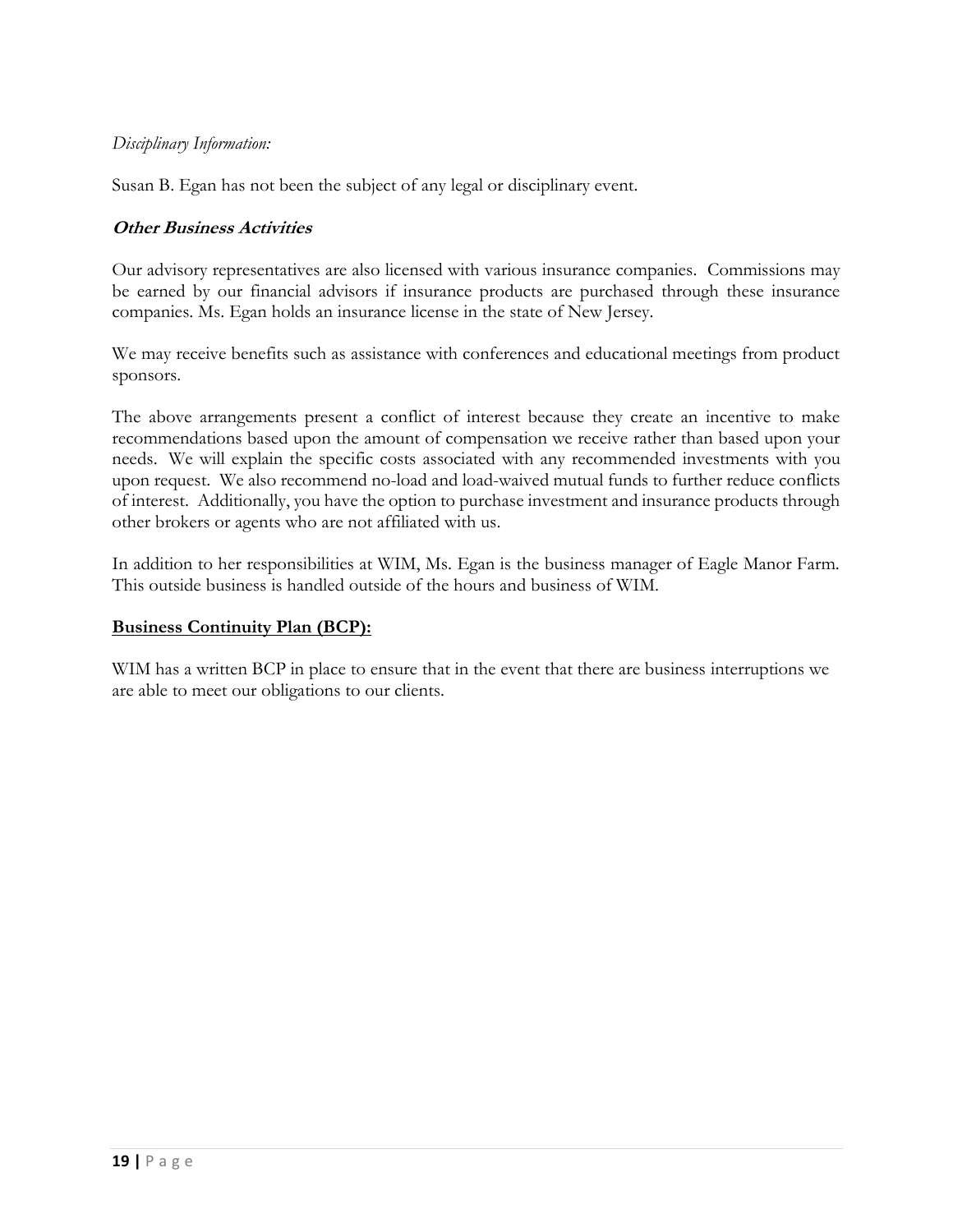#### *Disciplinary Information:*

Susan B. Egan has not been the subject of any legal or disciplinary event.

#### **Other Business Activities**

Our advisory representatives are also licensed with various insurance companies. Commissions may be earned by our financial advisors if insurance products are purchased through these insurance companies. Ms. Egan holds an insurance license in the state of New Jersey.

We may receive benefits such as assistance with conferences and educational meetings from product sponsors.

The above arrangements present a conflict of interest because they create an incentive to make recommendations based upon the amount of compensation we receive rather than based upon your needs. We will explain the specific costs associated with any recommended investments with you upon request. We also recommend no-load and load-waived mutual funds to further reduce conflicts of interest. Additionally, you have the option to purchase investment and insurance products through other brokers or agents who are not affiliated with us.

In addition to her responsibilities at WIM, Ms. Egan is the business manager of Eagle Manor Farm. This outside business is handled outside of the hours and business of WIM.

#### **Business Continuity Plan (BCP):**

WIM has a written BCP in place to ensure that in the event that there are business interruptions we are able to meet our obligations to our clients.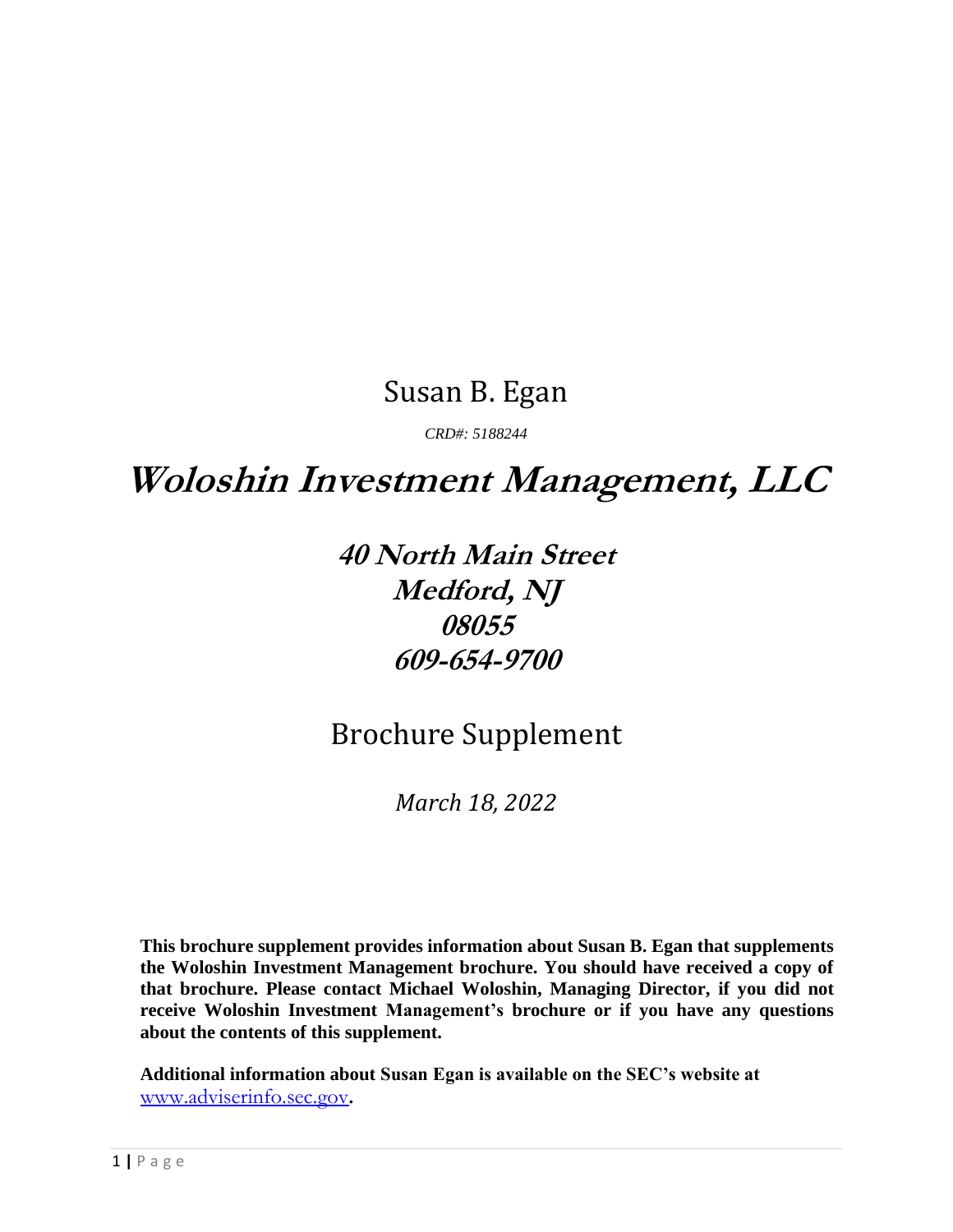# Susan B. Egan

*CRD#: 5188244*

# **Woloshin Investment Management, LLC**

# **40 North Main Street Medford, NJ 08055 609-654-9700**

# Brochure Supplement

*March 18, 2022*

**This brochure supplement provides information about Susan B. Egan that supplements the Woloshin Investment Management brochure. You should have received a copy of that brochure. Please contact Michael Woloshin, Managing Director, if you did not receive Woloshin Investment Management's brochure or if you have any questions about the contents of this supplement.** 

**Additional information about Susan Egan is available on the SEC's website at**  [www.adviserinfo.sec.gov](http://www.adviserinfo.sec.gov/)**.**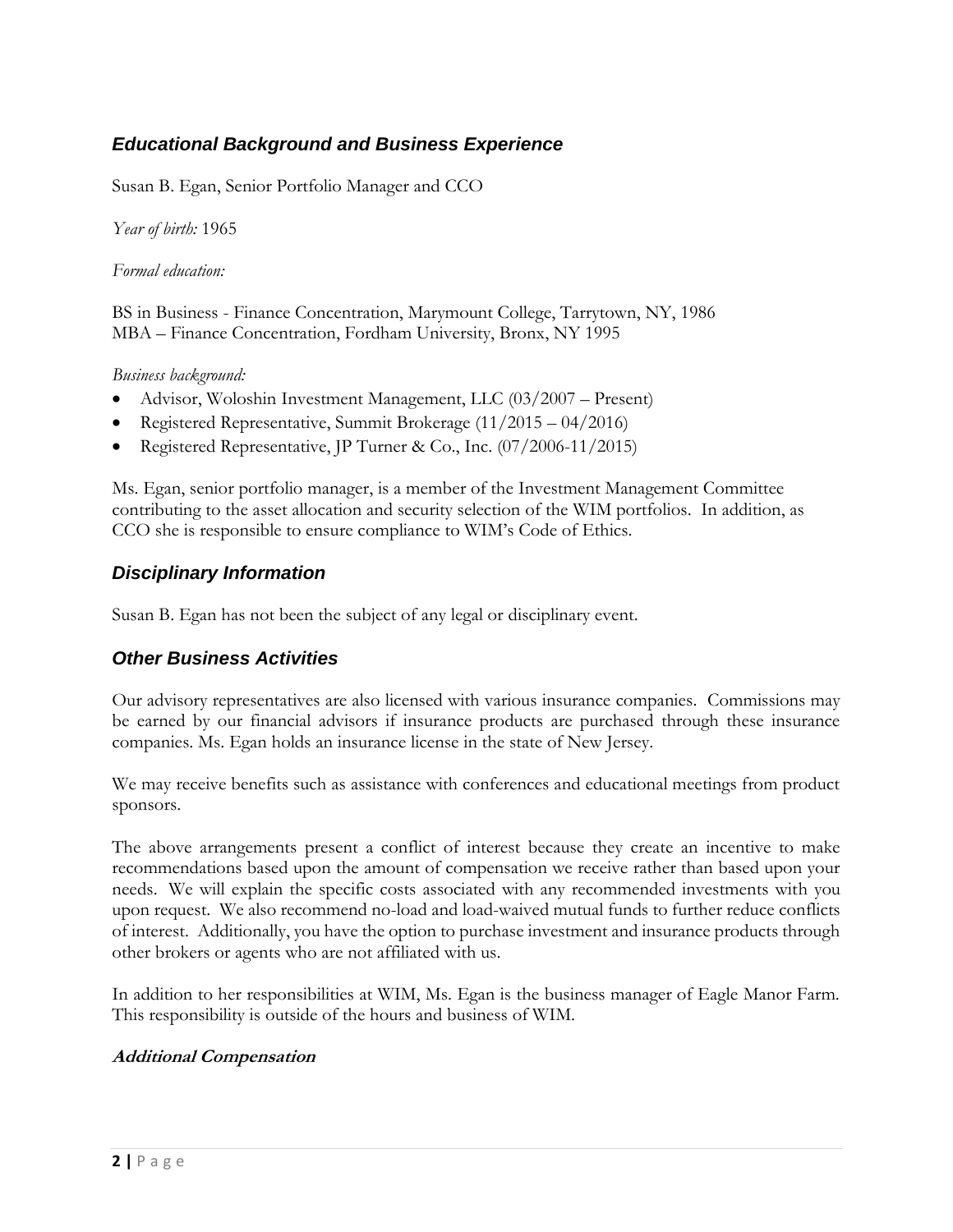## *Educational Background and Business Experience*

Susan B. Egan, Senior Portfolio Manager and CCO

*Year of birth:* 1965

*Formal education:*

BS in Business - Finance Concentration, Marymount College, Tarrytown, NY, 1986 MBA – Finance Concentration, Fordham University, Bronx, NY 1995

*Business background:* 

- Advisor, Woloshin Investment Management, LLC (03/2007 Present)
- Registered Representative, Summit Brokerage (11/2015 04/2016)
- Registered Representative, JP Turner & Co., Inc. (07/2006-11/2015)

Ms. Egan, senior portfolio manager, is a member of the Investment Management Committee contributing to the asset allocation and security selection of the WIM portfolios. In addition, as CCO she is responsible to ensure compliance to WIM's Code of Ethics.

## *Disciplinary Information*

Susan B. Egan has not been the subject of any legal or disciplinary event.

## *Other Business Activities*

Our advisory representatives are also licensed with various insurance companies. Commissions may be earned by our financial advisors if insurance products are purchased through these insurance companies. Ms. Egan holds an insurance license in the state of New Jersey.

We may receive benefits such as assistance with conferences and educational meetings from product sponsors.

The above arrangements present a conflict of interest because they create an incentive to make recommendations based upon the amount of compensation we receive rather than based upon your needs. We will explain the specific costs associated with any recommended investments with you upon request. We also recommend no-load and load-waived mutual funds to further reduce conflicts of interest. Additionally, you have the option to purchase investment and insurance products through other brokers or agents who are not affiliated with us.

In addition to her responsibilities at WIM, Ms. Egan is the business manager of Eagle Manor Farm. This responsibility is outside of the hours and business of WIM.

#### **Additional Compensation**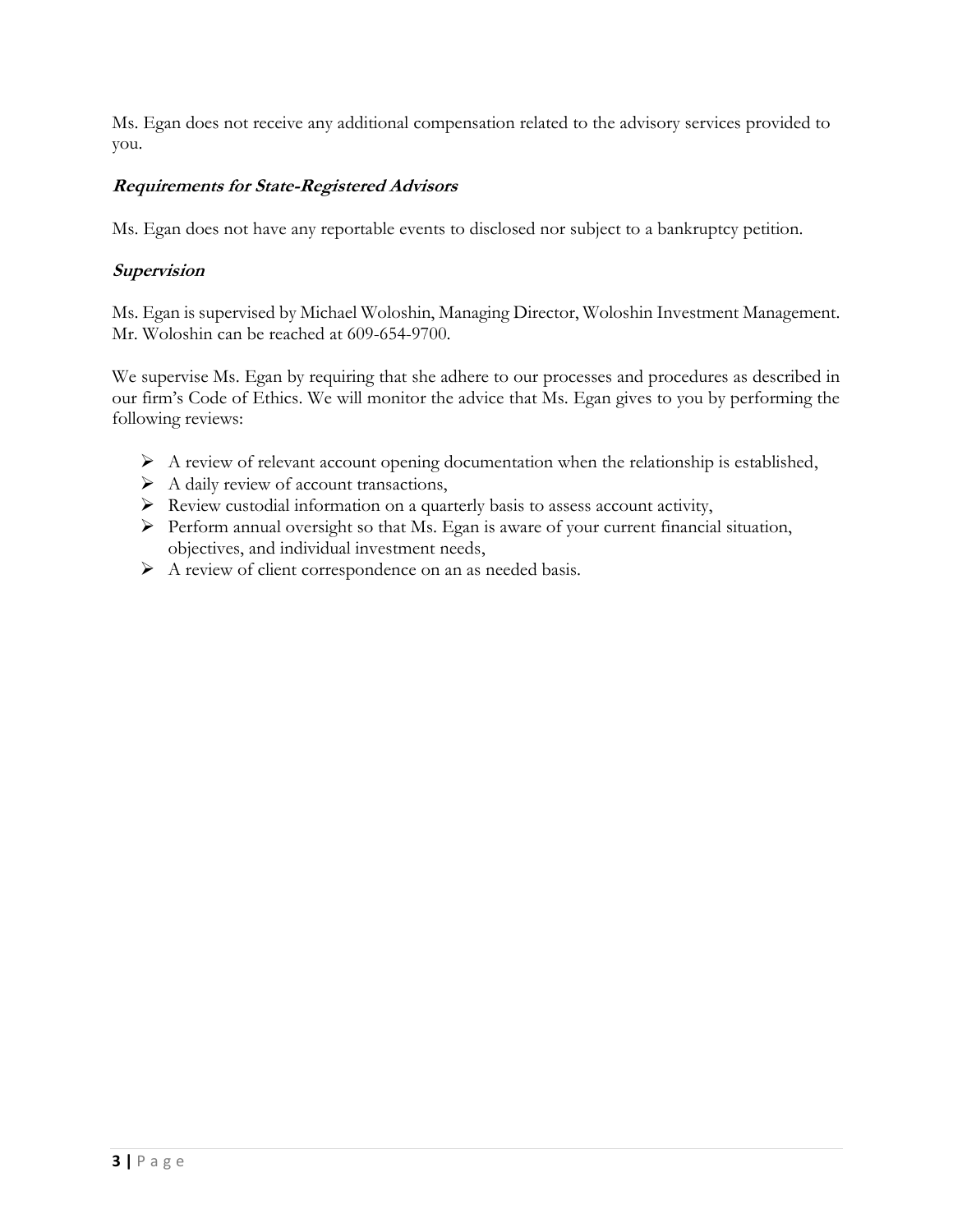Ms. Egan does not receive any additional compensation related to the advisory services provided to you.

## **Requirements for State-Registered Advisors**

Ms. Egan does not have any reportable events to disclosed nor subject to a bankruptcy petition.

### **Supervision**

Ms. Egan is supervised by Michael Woloshin, Managing Director, Woloshin Investment Management. Mr. Woloshin can be reached at 609-654-9700.

We supervise Ms. Egan by requiring that she adhere to our processes and procedures as described in our firm's Code of Ethics. We will monitor the advice that Ms. Egan gives to you by performing the following reviews:

- ➢ A review of relevant account opening documentation when the relationship is established,
- ➢ A daily review of account transactions,
- ➢ Review custodial information on a quarterly basis to assess account activity,
- ➢ Perform annual oversight so that Ms. Egan is aware of your current financial situation, objectives, and individual investment needs,
- ➢ A review of client correspondence on an as needed basis.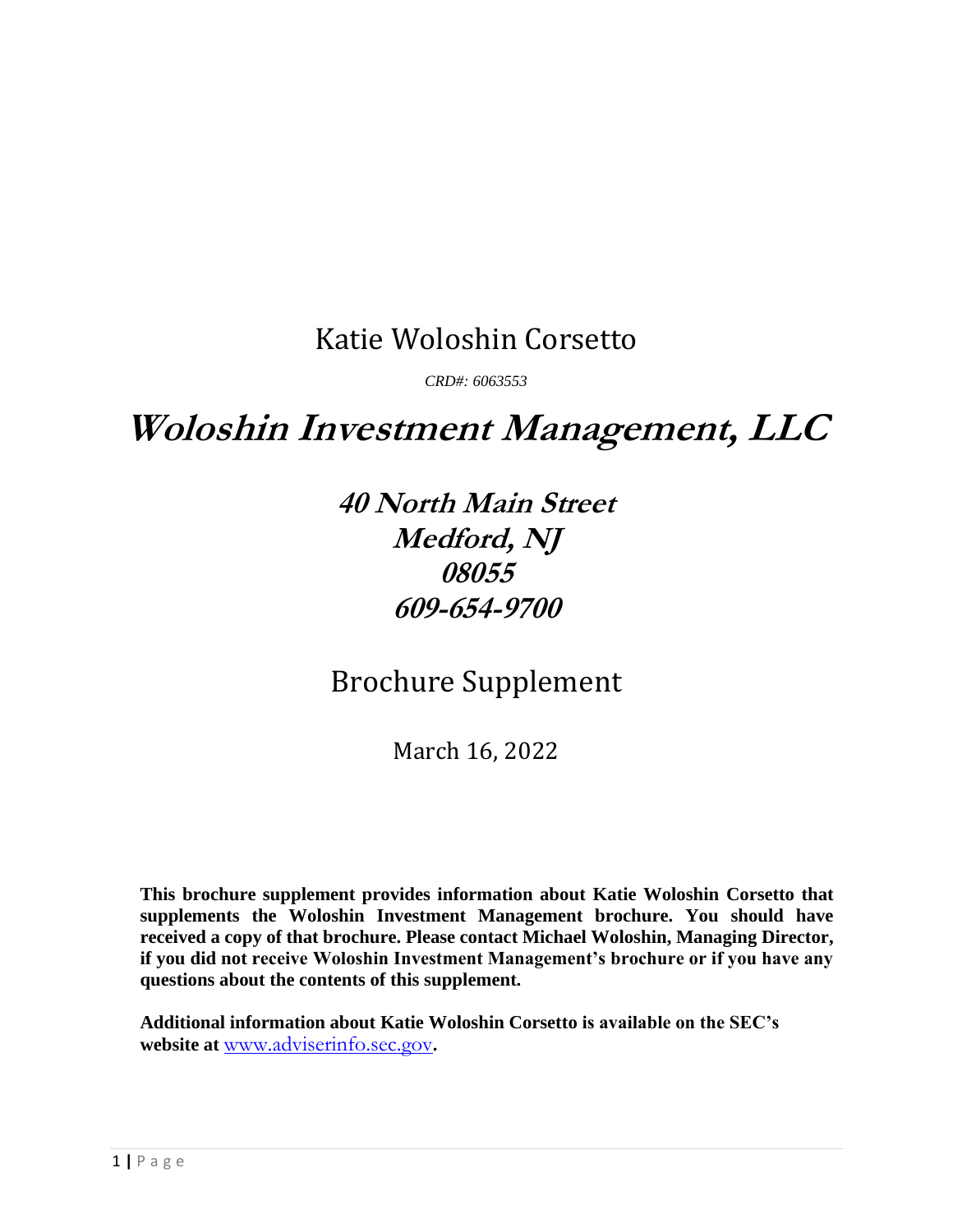# Katie Woloshin Corsetto

*CRD#: 6063553*

# **Woloshin Investment Management, LLC**

**40 North Main Street Medford, NJ 08055 609-654-9700**

Brochure Supplement

March 16, 2022

**This brochure supplement provides information about Katie Woloshin Corsetto that supplements the Woloshin Investment Management brochure. You should have received a copy of that brochure. Please contact Michael Woloshin, Managing Director, if you did not receive Woloshin Investment Management's brochure or if you have any questions about the contents of this supplement.** 

**Additional information about Katie Woloshin Corsetto is available on the SEC's website at** [www.adviserinfo.sec.gov](http://www.adviserinfo.sec.gov/)**.**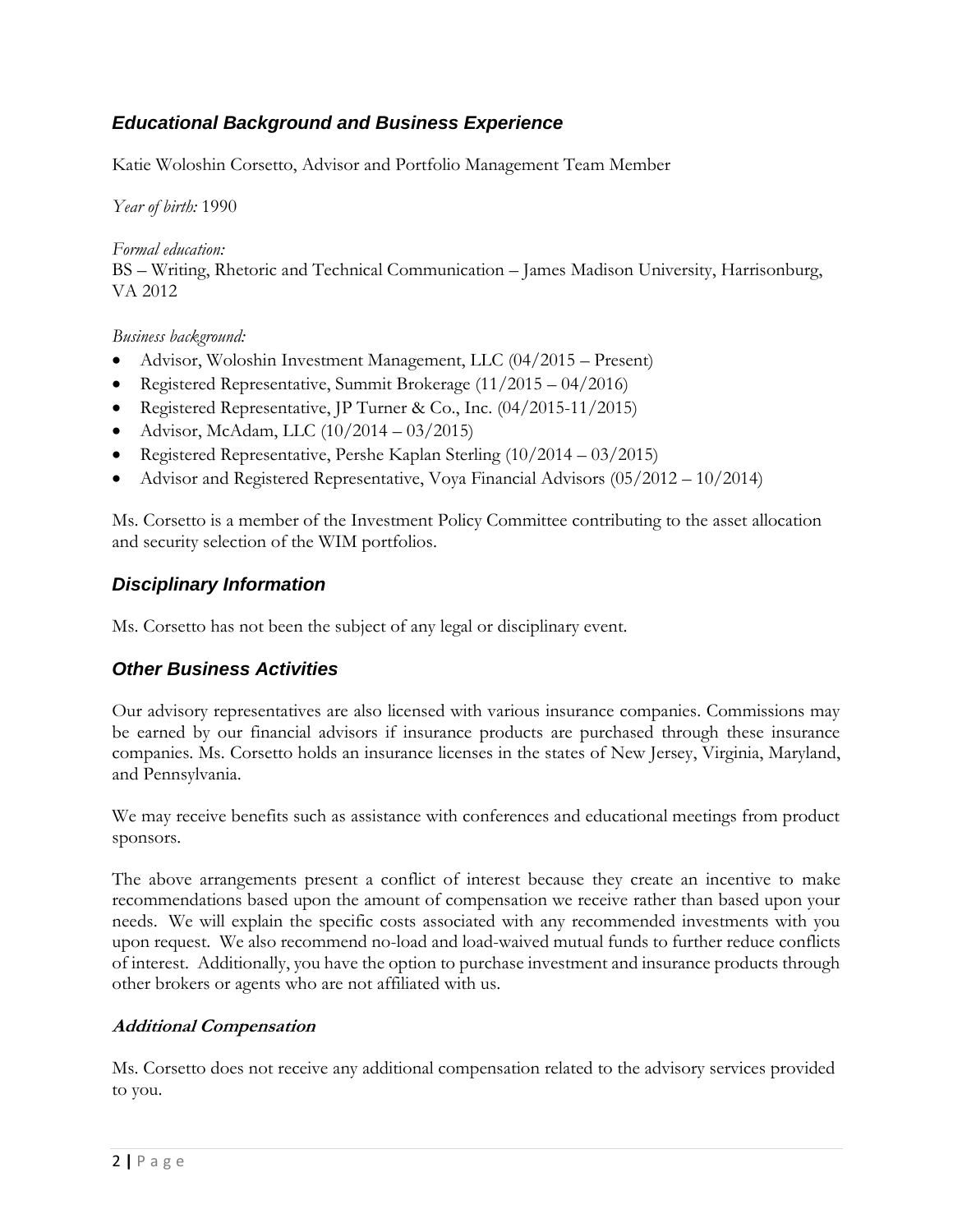## *Educational Background and Business Experience*

Katie Woloshin Corsetto, Advisor and Portfolio Management Team Member

*Year of birth:* 1990

*Formal education:* BS – Writing, Rhetoric and Technical Communication – James Madison University, Harrisonburg, VA 2012

*Business background:* 

- Advisor, Woloshin Investment Management, LLC (04/2015 Present)
- Registered Representative, Summit Brokerage (11/2015 04/2016)
- Registered Representative, JP Turner & Co., Inc. (04/2015-11/2015)
- Advisor, McAdam, LLC  $(10/2014 03/2015)$
- Registered Representative, Pershe Kaplan Sterling (10/2014 03/2015)
- Advisor and Registered Representative, Voya Financial Advisors (05/2012 10/2014)

Ms. Corsetto is a member of the Investment Policy Committee contributing to the asset allocation and security selection of the WIM portfolios.

## *Disciplinary Information*

Ms. Corsetto has not been the subject of any legal or disciplinary event.

## *Other Business Activities*

Our advisory representatives are also licensed with various insurance companies. Commissions may be earned by our financial advisors if insurance products are purchased through these insurance companies. Ms. Corsetto holds an insurance licenses in the states of New Jersey, Virginia, Maryland, and Pennsylvania.

We may receive benefits such as assistance with conferences and educational meetings from product sponsors.

The above arrangements present a conflict of interest because they create an incentive to make recommendations based upon the amount of compensation we receive rather than based upon your needs. We will explain the specific costs associated with any recommended investments with you upon request. We also recommend no-load and load-waived mutual funds to further reduce conflicts of interest. Additionally, you have the option to purchase investment and insurance products through other brokers or agents who are not affiliated with us.

## **Additional Compensation**

Ms. Corsetto does not receive any additional compensation related to the advisory services provided to you.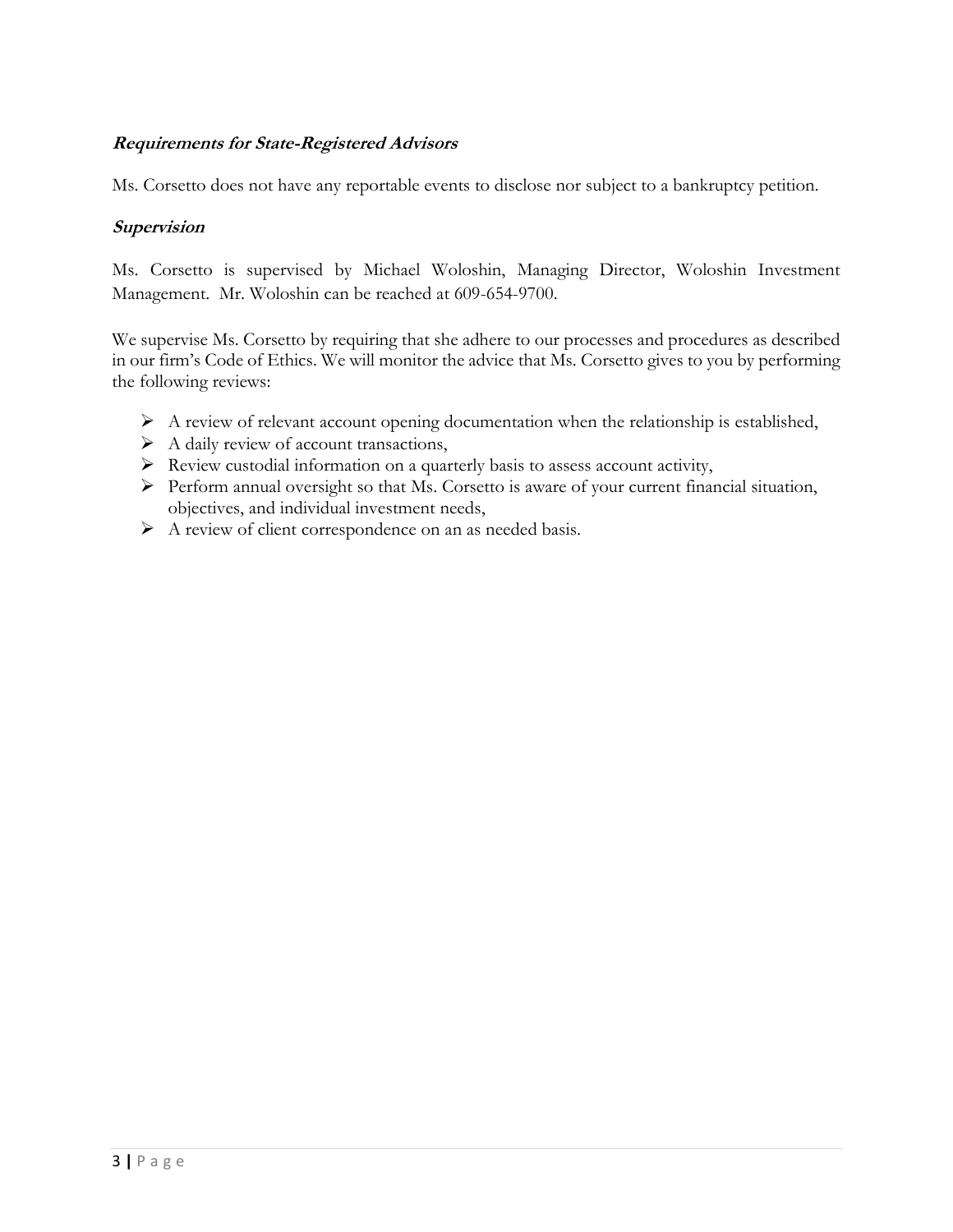### **Requirements for State-Registered Advisors**

Ms. Corsetto does not have any reportable events to disclose nor subject to a bankruptcy petition.

#### **Supervision**

Ms. Corsetto is supervised by Michael Woloshin, Managing Director, Woloshin Investment Management. Mr. Woloshin can be reached at 609-654-9700.

We supervise Ms. Corsetto by requiring that she adhere to our processes and procedures as described in our firm's Code of Ethics. We will monitor the advice that Ms. Corsetto gives to you by performing the following reviews:

- ➢ A review of relevant account opening documentation when the relationship is established,
- ➢ A daily review of account transactions,
- ➢ Review custodial information on a quarterly basis to assess account activity,
- ➢ Perform annual oversight so that Ms. Corsetto is aware of your current financial situation, objectives, and individual investment needs,
- ➢ A review of client correspondence on an as needed basis.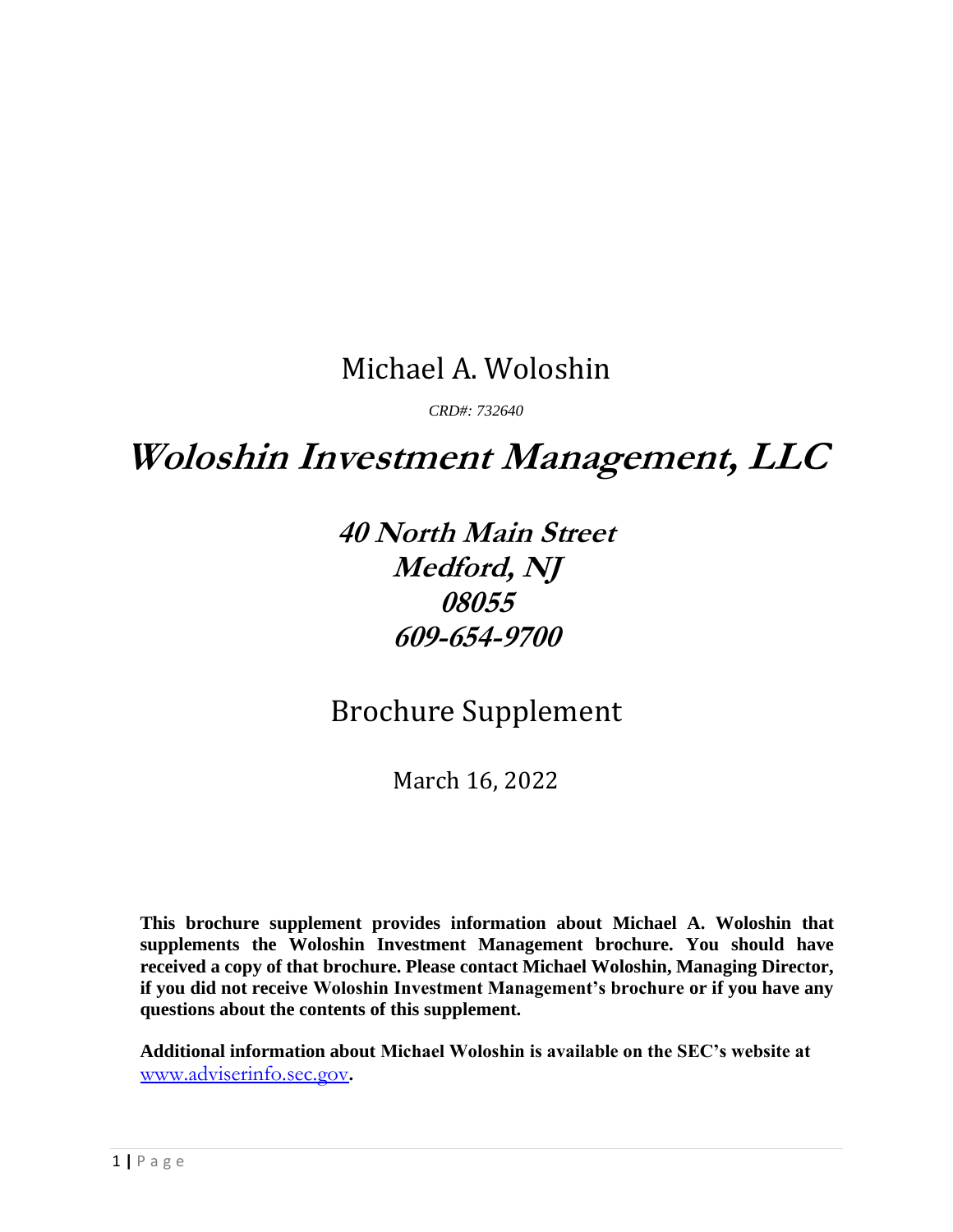# Michael A. Woloshin

*CRD#: 732640*

# **Woloshin Investment Management, LLC**

**40 North Main Street Medford, NJ 08055 609-654-9700**

# Brochure Supplement

March 16, 2022

**This brochure supplement provides information about Michael A. Woloshin that supplements the Woloshin Investment Management brochure. You should have received a copy of that brochure. Please contact Michael Woloshin, Managing Director, if you did not receive Woloshin Investment Management's brochure or if you have any questions about the contents of this supplement.** 

**Additional information about Michael Woloshin is available on the SEC's website at**  [www.adviserinfo.sec.gov](http://www.adviserinfo.sec.gov/)**.**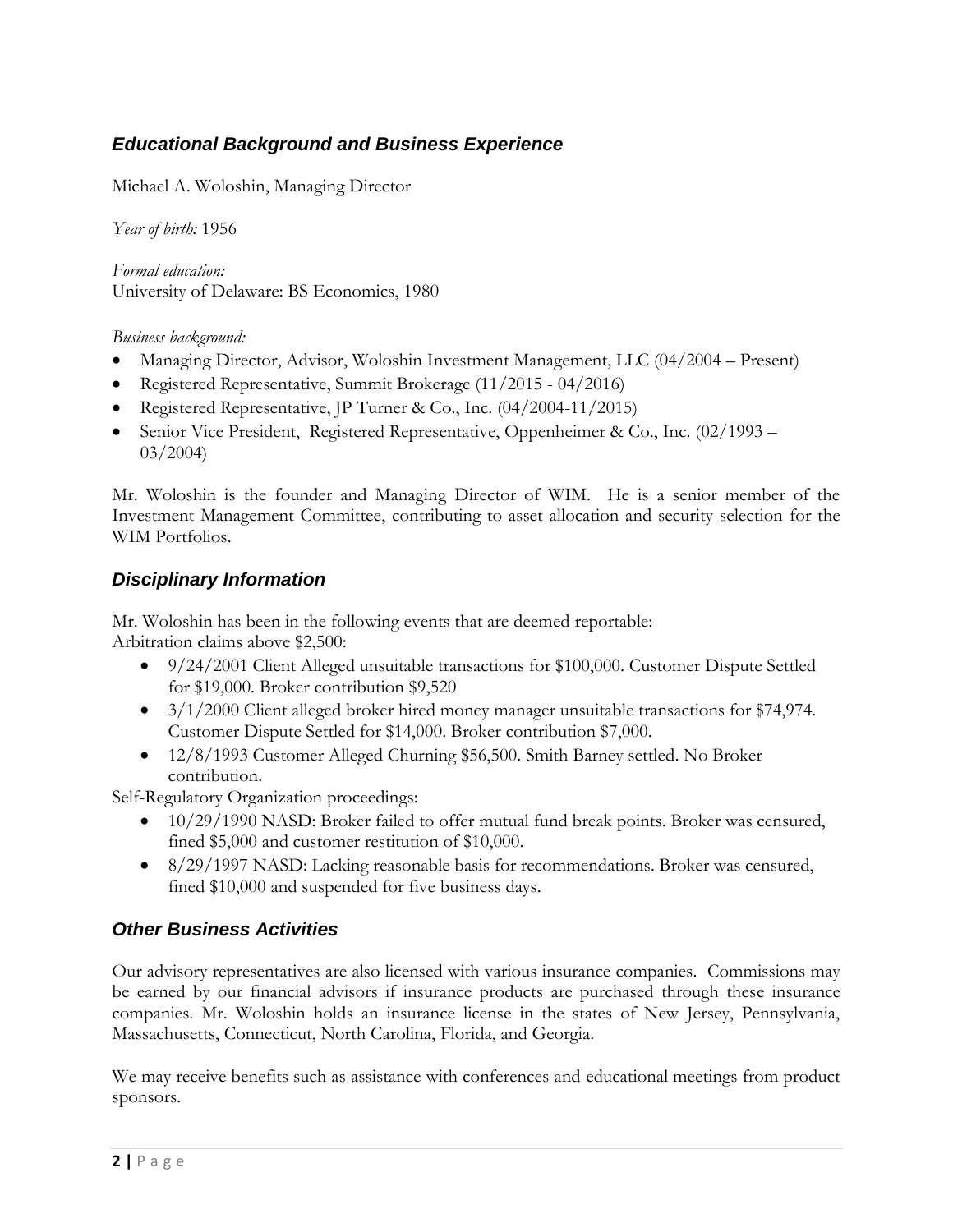## *Educational Background and Business Experience*

Michael A. Woloshin, Managing Director

*Year of birth:* 1956

*Formal education:* University of Delaware: BS Economics, 1980

#### *Business background:*

- Managing Director, Advisor, Woloshin Investment Management, LLC (04/2004 Present)
- Registered Representative, Summit Brokerage (11/2015 04/2016)
- Registered Representative, JP Turner & Co., Inc. (04/2004-11/2015)
- Senior Vice President, Registered Representative, Oppenheimer & Co., Inc. (02/1993 03/2004)

Mr. Woloshin is the founder and Managing Director of WIM. He is a senior member of the Investment Management Committee, contributing to asset allocation and security selection for the WIM Portfolios.

## *Disciplinary Information*

Mr. Woloshin has been in the following events that are deemed reportable: Arbitration claims above \$2,500:

- 9/24/2001 Client Alleged unsuitable transactions for \$100,000. Customer Dispute Settled for \$19,000. Broker contribution \$9,520
- 3/1/2000 Client alleged broker hired money manager unsuitable transactions for \$74,974. Customer Dispute Settled for \$14,000. Broker contribution \$7,000.
- 12/8/1993 Customer Alleged Churning \$56,500. Smith Barney settled. No Broker contribution.

Self-Regulatory Organization proceedings:

- 10/29/1990 NASD: Broker failed to offer mutual fund break points. Broker was censured, fined \$5,000 and customer restitution of \$10,000.
- 8/29/1997 NASD: Lacking reasonable basis for recommendations. Broker was censured, fined \$10,000 and suspended for five business days.

## *Other Business Activities*

Our advisory representatives are also licensed with various insurance companies. Commissions may be earned by our financial advisors if insurance products are purchased through these insurance companies. Mr. Woloshin holds an insurance license in the states of New Jersey, Pennsylvania, Massachusetts, Connecticut, North Carolina, Florida, and Georgia.

We may receive benefits such as assistance with conferences and educational meetings from product sponsors.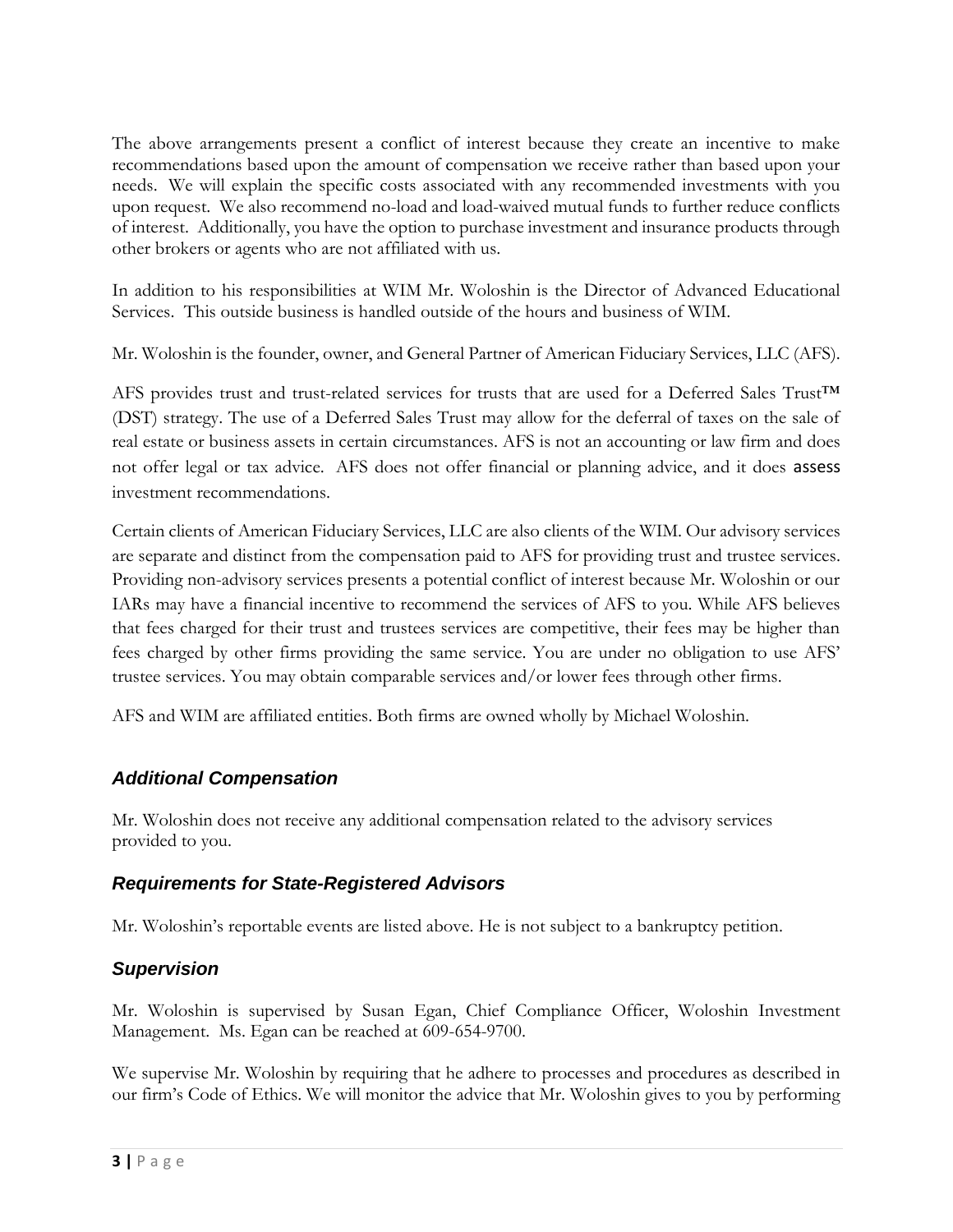The above arrangements present a conflict of interest because they create an incentive to make recommendations based upon the amount of compensation we receive rather than based upon your needs. We will explain the specific costs associated with any recommended investments with you upon request. We also recommend no-load and load-waived mutual funds to further reduce conflicts of interest. Additionally, you have the option to purchase investment and insurance products through other brokers or agents who are not affiliated with us.

In addition to his responsibilities at WIM Mr. Woloshin is the Director of Advanced Educational Services. This outside business is handled outside of the hours and business of WIM.

Mr. Woloshin is the founder, owner, and General Partner of American Fiduciary Services, LLC (AFS).

AFS provides trust and trust-related services for trusts that are used for a Deferred Sales Trust™ (DST) strategy. The use of a Deferred Sales Trust may allow for the deferral of taxes on the sale of real estate or business assets in certain circumstances. AFS is not an accounting or law firm and does not offer legal or tax advice. AFS does not offer financial or planning advice, and it does assess investment recommendations.

Certain clients of American Fiduciary Services, LLC are also clients of the WIM. Our advisory services are separate and distinct from the compensation paid to AFS for providing trust and trustee services. Providing non-advisory services presents a potential conflict of interest because Mr. Woloshin or our IARs may have a financial incentive to recommend the services of AFS to you. While AFS believes that fees charged for their trust and trustees services are competitive, their fees may be higher than fees charged by other firms providing the same service. You are under no obligation to use AFS' trustee services. You may obtain comparable services and/or lower fees through other firms.

AFS and WIM are affiliated entities. Both firms are owned wholly by Michael Woloshin.

## *Additional Compensation*

Mr. Woloshin does not receive any additional compensation related to the advisory services provided to you.

## *Requirements for State-Registered Advisors*

Mr. Woloshin's reportable events are listed above. He is not subject to a bankruptcy petition.

## *Supervision*

Mr. Woloshin is supervised by Susan Egan, Chief Compliance Officer, Woloshin Investment Management. Ms. Egan can be reached at 609-654-9700.

We supervise Mr. Woloshin by requiring that he adhere to processes and procedures as described in our firm's Code of Ethics. We will monitor the advice that Mr. Woloshin gives to you by performing